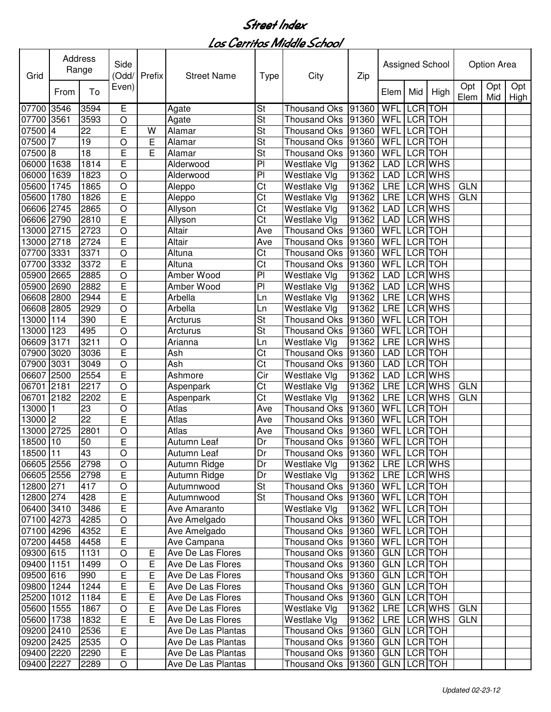| Grid       |                 | Address<br>Range | Side<br>(Odd/  | Prefix | <b>Street Name</b> | <b>Type</b>              | City                           | Zip   |                    |                | Assigned School |             | <b>Option Area</b> |             |
|------------|-----------------|------------------|----------------|--------|--------------------|--------------------------|--------------------------------|-------|--------------------|----------------|-----------------|-------------|--------------------|-------------|
|            | From            | To               | Even)          |        |                    |                          |                                |       | Elem               | Mid            | High            | Opt<br>Elem | Opt<br>Mid         | Opt<br>High |
| 07700      | 3546            | 3594             | Е              |        | Agate              | $\overline{\mathsf{St}}$ | Thousand Oks 91360             |       | <b>WFL</b>         | <b>LCR</b>     | <b>TOH</b>      |             |                    |             |
| 07700      | 3561            | 3593             | O              |        | Agate              | St                       | Thousand Oks                   | 91360 | <b>WFL LCR TOH</b> |                |                 |             |                    |             |
| 07500      | $\overline{4}$  | 22               | E              | W      | Alamar             | $\overline{\mathsf{St}}$ | Thousand Oks 91360             |       | <b>WFL</b>         | <b>LCR</b> TOH |                 |             |                    |             |
| 07500      | 7               | 19               | $\circ$        | Е      | Alamar             | St                       | Thousand Oks 91360             |       | WFL                |                | LCR TOH         |             |                    |             |
| 07500 8    |                 | $\overline{18}$  | E              | E      | Alamar             | $\overline{\mathsf{St}}$ | Thousand Oks 91360             |       | WFL                |                | <b>LCR</b> TOH  |             |                    |             |
| 06000 1638 |                 | 1814             | E              |        | Alderwood          | PI                       | Westlake Vlg                   | 91362 | <b>LAD</b>         |                | <b>LCR WHS</b>  |             |                    |             |
| 06000      | 1639            | 1823             | $\circ$        |        | Alderwood          | PI                       | Westlake Vlg                   | 91362 | <b>LAD</b>         |                | LCR WHS         |             |                    |             |
| 05600 1745 |                 | 1865             | $\circ$        |        | Aleppo             | Ct                       | Westlake Vlg                   | 91362 | <b>LRE</b>         |                | <b>LCR WHS</b>  | <b>GLN</b>  |                    |             |
| 05600      | 1780            | 1826             | E              |        | Aleppo             | Ct                       | Westlake Vlg                   | 91362 | <b>LRE</b>         |                | <b>LCR WHS</b>  | <b>GLN</b>  |                    |             |
| 06606 2745 |                 | 2865             | $\circ$        |        | Allyson            | Ct                       | Westlake Vlg                   | 91362 | <b>LAD</b>         |                | <b>LCR WHS</b>  |             |                    |             |
| 06606 2790 |                 | 2810             | E              |        | Allyson            | $\overline{\text{Ct}}$   | Westlake Vlg                   | 91362 | <b>LAD</b>         |                | <b>LCR WHS</b>  |             |                    |             |
| 13000 2715 |                 | 2723             | $\overline{O}$ |        | Altair             | Ave                      | Thousand Oks 91360             |       | <b>WFL</b>         | LCR TOH        |                 |             |                    |             |
| 13000 2718 |                 | 2724             | Ė              |        | Altair             | Ave                      | Thousand Oks 91360             |       | WFL LCR TOH        |                |                 |             |                    |             |
| 07700 3331 |                 | 3371             | $\circ$        |        | Altuna             | Ct                       | Thousand Oks 91360             |       | <b>WFL</b>         | LCR TOH        |                 |             |                    |             |
| 07700      | 3332            | 3372             | E              |        | Altuna             | Ct                       | Thousand Oks 91360             |       | WFL                | LCR TOH        |                 |             |                    |             |
| 05900      | 2665            | 2885             | $\circ$        |        | Amber Wood         | PI                       | Westlake Vlg                   | 91362 | <b>LAD</b>         |                | LCR WHS         |             |                    |             |
| 05900      | 2690            | 2882             | E              |        | Amber Wood         | PI                       | Westlake Vlg                   | 91362 | <b>LAD</b>         |                | LCR WHS         |             |                    |             |
| 06608      | 2800            | 2944             | Ē              |        | Arbella            | Ln                       | Westlake Vlg                   | 91362 | <b>LRE</b>         |                | LCR WHS         |             |                    |             |
| 06608 2805 |                 | 2929             | O              |        | Arbella            | Ln                       | Westlake Vlg                   | 91362 | <b>LRE</b>         |                | LCR WHS         |             |                    |             |
| 13000      | 114             | 390              | E              |        | Arcturus           | St                       | Thousand Oks 91360             |       | WFL                |                | LCR TOH         |             |                    |             |
| 13000      | 123             | 495              | $\circ$        |        | Arcturus           | St                       | Thousand Oks 91360             |       | WFL                |                | LCR TOH         |             |                    |             |
| 06609 3171 |                 | 3211             | $\circ$        |        | Arianna            | Ln                       | Westlake Vlg                   | 91362 | <b>LRE</b>         |                | LCR WHS         |             |                    |             |
| 07900      | 3020            | 3036             | E              |        | Ash                | Ct                       | Thousand Oks 91360             |       | <b>LAD</b>         | LCR TOH        |                 |             |                    |             |
| 07900      | 3031            | 3049             | $\circ$        |        | Ash                | Ct                       | Thousand Oks 91360             |       | <b>LAD</b>         | LCR TOH        |                 |             |                    |             |
| 06607      | 2500            | 2554             | E              |        | Ashmore            | Cir                      | Westlake Vlg                   | 91362 | <b>LAD</b>         |                | LCR WHS         |             |                    |             |
| 06701      | 2181            | 2217             | O              |        | Aspenpark          | Ct                       | <b>Westlake Vlg</b>            | 91362 | <b>LRE</b>         |                | LCR WHS         | <b>GLN</b>  |                    |             |
| 06701      | 2182            | 2202             | E              |        | Aspenpark          | Ct                       | Westlake Vlg                   | 91362 | <b>LRE</b>         |                | <b>LCR WHS</b>  | <b>GLN</b>  |                    |             |
| 13000      | $\overline{11}$ | 23               | O              |        | Atlas              | Ave                      | Thousand Oks 91360             |       | <b>WFL</b>         | <b>LCR</b> TOH |                 |             |                    |             |
| 13000 2    |                 | $\overline{22}$  | E              |        | Atlas              | Ave                      | Thousand Oks 91360             |       | <b>WFL LCR TOH</b> |                |                 |             |                    |             |
| 13000 2725 |                 | 2801             | $\circ$        |        | Atlas              | Ave                      | Thousand Oks 91360             |       | WFL LCR TOH        |                |                 |             |                    |             |
| 18500 10   |                 | 50               | E              |        | Autumn Leaf        | Dr                       | Thousand Oks 91360             |       | <b>WFL LCR TOH</b> |                |                 |             |                    |             |
| 18500 11   |                 | 43               | $\overline{O}$ |        | <b>Autumn Leaf</b> | Dr                       | Thousand Oks 91360 WFL LCR TOH |       |                    |                |                 |             |                    |             |
| 06605 2556 |                 | 2798             | $\circ$        |        | Autumn Ridge       | Dr                       | Westlake Vlg                   | 91362 |                    |                | LRE LCR WHS     |             |                    |             |
| 06605 2556 |                 | 2798             | $\overline{E}$ |        | Autumn Ridge       | Dr                       | Westlake Vlg                   | 91362 |                    |                | LRE LCR WHS     |             |                    |             |
| 12800 271  |                 | 417              | $\bigcirc$     |        | Autumnwood         | St                       | Thousand Oks   91360           |       | WFL LCR TOH        |                |                 |             |                    |             |
| 12800 274  |                 | 428              | E              |        | Autumnwood         | St                       | Thousand Oks   91360           |       | WFL LCR TOH        |                |                 |             |                    |             |
| 06400 3410 |                 | 3486             | E              |        | Ave Amaranto       |                          | Westlake Vlg                   | 91362 | WFL LCR TOH        |                |                 |             |                    |             |
| 07100 4273 |                 | 4285             | $\circ$        |        | Ave Amelgado       |                          | Thousand Oks   91360           |       | WFL LCR TOH        |                |                 |             |                    |             |
| 07100 4296 |                 | 4352             | E              |        | Ave Amelgado       |                          | Thousand Oks   91360           |       | WFL LCR TOH        |                |                 |             |                    |             |
| 07200 4458 |                 | 4458             | E              |        | Ave Campana        |                          | Thousand Oks 91360             |       | WFL LCR TOH        |                |                 |             |                    |             |
| 09300 615  |                 | 1131             | $\circ$        | Е      | Ave De Las Flores  |                          | Thousand Oks   91360           |       | GLN LCR TOH        |                |                 |             |                    |             |
| 09400 1151 |                 | 1499             | $\circ$        | E      | Ave De Las Flores  |                          | Thousand Oks 91360             |       | GLN LCR TOH        |                |                 |             |                    |             |
| 09500 616  |                 | 990              | E              | E      | Ave De Las Flores  |                          | Thousand Oks 91360             |       | GLN LCR TOH        |                |                 |             |                    |             |
| 09800 1244 |                 | 1244             | E              | E      | Ave De Las Flores  |                          | Thousand Oks   91360           |       | GLN LCR TOH        |                |                 |             |                    |             |
| 25200 1012 |                 | 1184             | E              | E      | Ave De Las Flores  |                          | Thousand Oks 91360             |       | GLN LCR TOH        |                |                 |             |                    |             |
| 05600 1555 |                 | 1867             | $\circ$        | Е      | Ave De Las Flores  |                          | Westlake Vlg                   | 91362 |                    |                | LRE LCR WHS     | <b>GLN</b>  |                    |             |
| 05600 1738 |                 | 1832             | E              | E      | Ave De Las Flores  |                          | Westlake Vlg                   | 91362 | LRE LCRWHS         |                |                 | <b>GLN</b>  |                    |             |
| 09200 2410 |                 | 2536             | E              |        | Ave De Las Plantas |                          | Thousand Oks   91360           |       | GLN LCR TOH        |                |                 |             |                    |             |
| 09200 2425 |                 | 2535             | $\circ$        |        | Ave De Las Plantas |                          | Thousand Oks 91360             |       | GLN LCR TOH        |                |                 |             |                    |             |
| 09400 2220 |                 | 2290             | E              |        | Ave De Las Plantas |                          | Thousand Oks 91360             |       | GLN LCR TOH        |                |                 |             |                    |             |
| 09400 2227 |                 | 2289             | $\bigcirc$     |        | Ave De Las Plantas |                          | Thousand Oks   91360           |       | GLN LCR TOH        |                |                 |             |                    |             |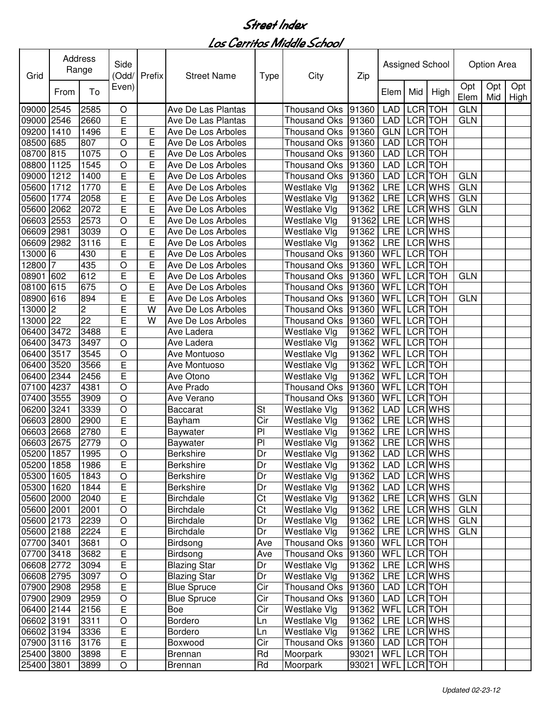| Grid                     |                | Address<br>Range | Side<br>(Odd/  | Prefix | <b>Street Name</b>  | <b>Type</b>              | City                 | Zip               |             |             | Assigned School            |             | Option Area |             |
|--------------------------|----------------|------------------|----------------|--------|---------------------|--------------------------|----------------------|-------------------|-------------|-------------|----------------------------|-------------|-------------|-------------|
|                          | From           | To               | Even)          |        |                     |                          |                      |                   | Elem        | Mid         | High                       | Opt<br>Elem | Opt<br>Mid  | Opt<br>High |
| 09000                    | 2545           | 2585             | O              |        | Ave De Las Plantas  |                          | Thousand Oks 91360   |                   | <b>LAD</b>  | <b>LCR</b>  | <b>TOH</b>                 | <b>GLN</b>  |             |             |
| 09000 2546               |                | 2660             | E              |        | Ave De Las Plantas  |                          | Thousand Oks   91360 |                   | <b>LAD</b>  | LCR TOH     |                            | <b>GLN</b>  |             |             |
| 09200                    | 1410           | 1496             | E              | Е      | Ave De Los Arboles  |                          | Thousand Oks   91360 |                   | <b>GLN</b>  | LCR TOH     |                            |             |             |             |
| 08500                    | 685            | 807              | $\circ$        | E      | Ave De Los Arboles  |                          | Thousand Oks 91360   |                   | <b>LAD</b>  | LCR TOH     |                            |             |             |             |
| 08700 815                |                | 1075             | $\circ$        | E      | Ave De Los Arboles  |                          | Thousand Oks 91360   |                   | <b>LAD</b>  | LCR TOH     |                            |             |             |             |
| 08800 1125               |                | 1545             | $\circ$        | E      | Ave De Los Arboles  |                          | Thousand Oks 91360   |                   | <b>LAD</b>  | LCR TOH     |                            |             |             |             |
| 09000                    | 1212           | 1400             | E              | E      | Ave De Los Arboles  |                          | Thousand Oks 91360   |                   | <b>LAD</b>  | LCR TOH     |                            | <b>GLN</b>  |             |             |
| 05600                    | 1712           | 1770             | E              | E      | Ave De Los Arboles  |                          | Westlake Vlg         | 91362             | <b>LRE</b>  |             | LCR WHS                    | <b>GLN</b>  |             |             |
| 05600                    | 1774           | 2058             | E              | E      | Ave De Los Arboles  |                          | Westlake Vlg         | 91362             | <b>LRE</b>  |             | LCR WHS                    | <b>GLN</b>  |             |             |
| 05600                    | 2062           | 2072             | E              | E      | Ave De Los Arboles  |                          | Westlake Vlg         | 91362             | <b>LRE</b>  |             | <b>LCR WHS</b>             | <b>GLN</b>  |             |             |
| 06603 2553               |                | 2573             | $\circ$        | E      | Ave De Los Arboles  |                          | Westlake Vlg         | 91362             | <b>LRE</b>  |             | <b>LCR WHS</b>             |             |             |             |
| 06609 2981               |                | 3039             | $\circ$        | E      | Ave De Los Arboles  |                          | Westlake Vlg         | 91362             |             |             | LRE LCRWHS                 |             |             |             |
| 06609                    | 2982           | 3116             | E              | E      | Ave De Los Arboles  |                          | Westlake Vlg         | 91362             | <b>LRE</b>  |             | <b>LCR WHS</b>             |             |             |             |
| 13000                    | 6              | 430              | Ē              | E      | Ave De Los Arboles  |                          | Thousand Oks 91360   |                   | <b>WFL</b>  | LCR TOH     |                            |             |             |             |
| 12800                    | 7              | 435              | $\circ$        | E      | Ave De Los Arboles  |                          | Thousand Oks   91360 |                   | WFL         | LCR TOH     |                            |             |             |             |
| 08901                    | 602            | 612              | E              | E      | Ave De Los Arboles  |                          | Thousand Oks 91360   |                   | WFL         | LCR TOH     |                            | <b>GLN</b>  |             |             |
| 08100                    | 615            | 675              | O              | E      | Ave De Los Arboles  |                          | Thousand Oks 91360   |                   | WFL         | LCR TOH     |                            |             |             |             |
| 08900                    | 616            | 894              | E              | E      | Ave De Los Arboles  |                          | Thousand Oks   91360 |                   | WFL         | LCR TOH     |                            | <b>GLN</b>  |             |             |
| 13000                    | $\overline{c}$ | 2                | E              | W      | Ave De Los Arboles  |                          | Thousand Oks 91360   |                   | WFL         | LCR TOH     |                            |             |             |             |
| 13000                    | 22             | 22               | E              | W      | Ave De Los Arboles  |                          | Thousand Oks 91360   |                   | WFL         | LCR TOH     |                            |             |             |             |
| 06400 3472               |                | 3488             | E              |        | Ave Ladera          |                          | Westlake Vlg         | 91362             | WFL         | LCR TOH     |                            |             |             |             |
| 06400                    | 3473           | 3497             | $\circ$        |        | Ave Ladera          |                          | Westlake Vlg         | 91362             | WFL         | LCR TOH     |                            |             |             |             |
| 06400                    | 3517           | 3545             | $\circ$        |        | Ave Montuoso        |                          | Westlake Vlg         | 91362             | WFL         | LCR TOH     |                            |             |             |             |
| 06400                    | 3520           | 3566             | E              |        | Ave Montuoso        |                          | Westlake Vlg         | 91362             | WFL         | LCR TOH     |                            |             |             |             |
| 06400                    | 2344           | 2456             | E              |        | Ave Otono           |                          | Westlake Vlg         | 91362             | WFL         | LCR TOH     |                            |             |             |             |
| 07100                    | 4237           | 4381             | $\circ$        |        | Ave Prado           |                          | <b>Thousand Oks</b>  | 91360             | WFL         | LCR TOH     |                            |             |             |             |
| 07400                    | 3555           | 3909             | $\circ$        |        | Ave Verano          |                          | Thousand Oks         | 91360             | <b>WFL</b>  | LCR TOH     |                            |             |             |             |
| 06200                    | 3241           | 3339             | $\circ$        |        | <b>Baccarat</b>     | St                       | Westlake Vlg         | 91362             | <b>LAD</b>  |             | LCR WHS                    |             |             |             |
| 06603 2800               |                | 2900             | E              |        | Bayham              | Cir                      | Westlake Vlg         | 91362             | <b>LRE</b>  |             | <b>LCR WHS</b>             |             |             |             |
| 06603 2668               |                | 2780             | E              |        | Baywater            | PI                       | Westlake Vlg         | 91362             | <b>LRE</b>  |             | LCR WHS                    |             |             |             |
| 06603 2675               |                | 2779             | $\circ$        |        | Baywater            | PI                       | Westlake Vlg         | 91362             |             |             | LRE LCR WHS                |             |             |             |
| 05200 1857               |                | 1995             | $\overline{O}$ |        | <b>Berkshire</b>    | $\overline{\mathsf{Dr}}$ | Westlake Vlg         | 91362 LAD LCR WHS |             |             |                            |             |             |             |
| 05200 1858               |                | 1986             | E              |        | Berkshire           | Dr                       | Westlake Vlg         | 91362             |             |             | LAD LCR WHS                |             |             |             |
| 05300 1605               |                | 1843             | $\circ$        |        | <b>Berkshire</b>    | Dr                       | Westlake Vlg         | 91362             |             |             | LAD LCR WHS                |             |             |             |
| 05300 1620               |                | 1844             | E              |        | <b>Berkshire</b>    | Dr                       | Westlake Vlg         | 91362             |             |             | LAD LCR WHS                |             |             |             |
| 05600 2000               |                | 2040             | E              |        | Birchdale           | Ct                       | Westlake Vlg         | 91362             |             |             | LRE LCRWHS                 | <b>GLN</b>  |             |             |
| 05600 2001               |                | 2001             | $\circ$        |        | <b>Birchdale</b>    | Ct                       | Westlake Vlg         | 91362             |             |             | LRE LCR WHS                | <b>GLN</b>  |             |             |
| 05600 2173               |                | 2239             | $\circ$        |        | Birchdale           | Dr                       | Westlake Vlg         | 91362             |             |             | LRE LCR WHS                | <b>GLN</b>  |             |             |
| 05600 2188               |                | 2224             | E              |        | <b>Birchdale</b>    | Dr                       | Westlake Vlg         | 91362             |             |             | LRE LCR WHS                | <b>GLN</b>  |             |             |
| 07700 3401               |                | 3681             | $\circ$        |        | Birdsong            | Ave                      | Thousand Oks 91360   |                   | WFL LCR TOH |             |                            |             |             |             |
| 07700 3418               |                | 3682             | E              |        | Birdsong            | Ave                      | Thousand Oks 91360   |                   | WFL LCR TOH |             |                            |             |             |             |
| 06608 2772               |                | 3094             | E              |        | <b>Blazing Star</b> | Dr                       | Westlake Vlg         | 91362             |             |             | LRE LCR WHS                |             |             |             |
| 06608 2795               |                | 3097             | $\bigcirc$     |        | <b>Blazing Star</b> | Dr                       | Westlake Vlg         | 91362             |             |             | LRE LCR WHS                |             |             |             |
| 07900 2908               |                | 2958             | E              |        | <b>Blue Spruce</b>  | Cir                      | Thousand Oks 91360   |                   |             | LAD LCR TOH |                            |             |             |             |
| 07900 2909               |                | 2959             | $\bigcirc$     |        | <b>Blue Spruce</b>  | Cir                      | Thousand Oks   91360 |                   | LAD LCR TOH |             |                            |             |             |             |
| 06400 2144               |                | 2156             | E              |        | Boe                 | Cir                      | Westlake Vlg         | 91362             | WFL LCR TOH |             |                            |             |             |             |
| 06602 3191               |                | 3311             | $\bigcirc$     |        | Bordero             | Ln                       | Westlake Vlg         | 91362             |             |             | LRE LCR WHS                |             |             |             |
| 06602 3194               |                | 3336             | Е              |        | Bordero             | Ln                       | Westlake Vlg         | 91362             |             |             | LRE LCR WHS<br>LAD LCR TOH |             |             |             |
| 07900 3116<br>25400 3800 |                | 3176<br>3898     | E<br>E         |        | Boxwood             | Cir<br>Rd                | Thousand Oks 91360   | 93021             | WFL LCR TOH |             |                            |             |             |             |
|                          |                |                  |                |        | Brennan             | Rd                       | Moorpark             |                   |             |             |                            |             |             |             |
| 25400 3801               |                | 3899             | $\bigcirc$     |        | <b>Brennan</b>      |                          | Moorpark             | 93021             | WFL LCR TOH |             |                            |             |             |             |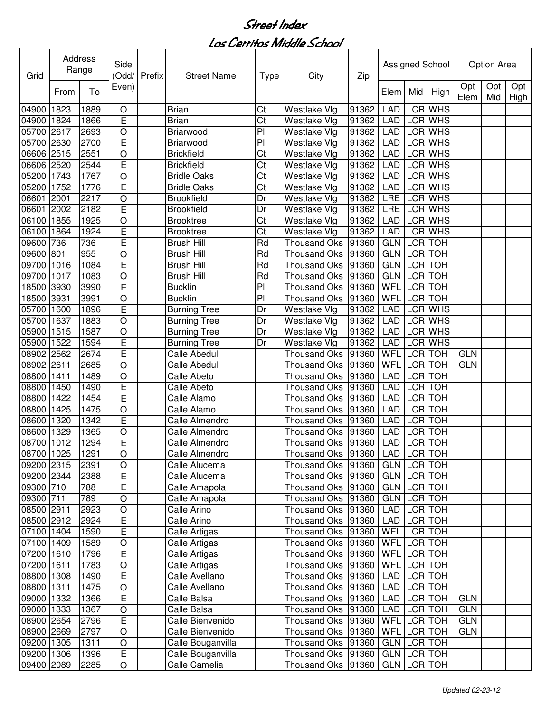| Grid       |      | Address<br>Range | Side<br>(Odd/  | Prefix | <b>Street Name</b>  | <b>Type</b>    | City                                | Zip   |             |                | Assigned School |             | Option Area |                    |
|------------|------|------------------|----------------|--------|---------------------|----------------|-------------------------------------|-------|-------------|----------------|-----------------|-------------|-------------|--------------------|
|            | From | To               | Even)          |        |                     |                |                                     |       | Elem        | Mid            | High            | Opt<br>Elem | Opt<br>Mid  | Opt<br><b>High</b> |
| 04900      | 1823 | 1889             | O              |        | <b>Brian</b>        | Ct             | Westlake Vlg                        | 91362 | <b>LAD</b>  |                | <b>LCR WHS</b>  |             |             |                    |
| 04900      | 1824 | 1866             | E              |        | <b>Brian</b>        | Ct             | Westlake Vlg                        | 91362 | <b>LAD</b>  |                | LCR WHS         |             |             |                    |
| 05700      | 2617 | 2693             | O              |        | Briarwood           | P <sub>1</sub> | Westlake Vlg                        | 91362 | <b>LAD</b>  |                | LCR WHS         |             |             |                    |
| 05700      | 2630 | 2700             | E              |        | Briarwood           | P <sub>1</sub> | Westlake Vlg                        | 91362 | <b>LAD</b>  |                | LCR WHS         |             |             |                    |
| 06606      | 2515 | 2551             | $\circ$        |        | <b>Brickfield</b>   | Ct             | Westlake Vlg                        | 91362 | <b>LAD</b>  |                | LCR WHS         |             |             |                    |
| 06606 2520 |      | 2544             | E              |        | <b>Brickfield</b>   | Ct             | Westlake Vlg                        | 91362 | <b>LAD</b>  |                | LCR WHS         |             |             |                    |
| 05200      | 1743 | 1767             | $\circ$        |        | <b>Bridle Oaks</b>  | Ct             | Westlake Vlg                        | 91362 | <b>LAD</b>  |                | LCR WHS         |             |             |                    |
| 05200      | 1752 | 1776             | E              |        | <b>Bridle Oaks</b>  | Ct             | Westlake Vlg                        | 91362 | <b>LAD</b>  |                | LCR WHS         |             |             |                    |
| 06601      | 2001 | 2217             | $\circ$        |        | <b>Brookfield</b>   | Dr             | Westlake Vlg                        | 91362 | LRE         |                | LCR WHS         |             |             |                    |
| 06601      | 2002 | 2182             | Ē              |        | <b>Brookfield</b>   | Dr             | Westlake Vlg                        | 91362 | <b>LRE</b>  |                | LCR WHS         |             |             |                    |
| 06100      | 1855 | 1925             | $\bigcirc$     |        | <b>Brooktree</b>    | Ct             | Westlake Vlg                        | 91362 | <b>LAD</b>  |                | LCR WHS         |             |             |                    |
| 06100      | 1864 | 1924             | Ē              |        | <b>Brooktree</b>    | Ct             | Westlake Vlg                        | 91362 | <b>LAD</b>  |                | LCR WHS         |             |             |                    |
| 09600      | 736  | 736              | E              |        | <b>Brush Hill</b>   | Rd             | <b>Thousand Oks</b>                 | 91360 | <b>GLN</b>  |                | LCR TOH         |             |             |                    |
| 09600      | 801  | 955              | $\circ$        |        | Brush Hill          | Rd             | <b>Thousand Oks</b>                 | 91360 | <b>GLN</b>  |                | LCR TOH         |             |             |                    |
| 09700      | 1016 | 1084             | E              |        | <b>Brush Hill</b>   | Rd             | <b>Thousand Oks</b>                 | 91360 | <b>GLN</b>  |                | LCR TOH         |             |             |                    |
| 09700      | 1017 | 1083             | $\circ$        |        | Brush Hill          | Rd             | Thousand Oks                        | 91360 | GLN         | LCR TOH        |                 |             |             |                    |
| 18500      | 3930 | 3990             | E              |        | <b>Bucklin</b>      | P <sub>1</sub> | <b>Thousand Oks</b>                 | 91360 | WFL         |                | LCR TOH         |             |             |                    |
| 18500      | 3931 | 3991             | $\circ$        |        | <b>Bucklin</b>      | $\overline{P}$ | <b>Thousand Oks</b>                 | 91360 | WFL         |                | LCR TOH         |             |             |                    |
| 05700      | 1600 | 1896             | Ē              |        | <b>Burning Tree</b> | Dr             | Westlake Vlg                        | 91362 | <b>LAD</b>  |                | LCR WHS         |             |             |                    |
| 05700      | 1637 | 1883             | O              |        | <b>Burning Tree</b> | Dr             | Westlake Vlg                        | 91362 | <b>LAD</b>  |                | LCR WHS         |             |             |                    |
| 05900      | 1515 | 1587             | $\circ$        |        | <b>Burning Tree</b> | Dr             | Westlake Vlg                        | 91362 | <b>LAD</b>  |                | <b>LCR WHS</b>  |             |             |                    |
| 05900      | 1522 | 1594             | E              |        | <b>Burning Tree</b> | Dr             | Westlake Vlg                        | 91362 | <b>LAD</b>  |                | <b>LCR WHS</b>  |             |             |                    |
| 08902      | 2562 | 2674             | E              |        | <b>Calle Abedul</b> |                | <b>Thousand Oks</b>                 | 91360 | WFL         | <b>LCR</b>     | <b>TOH</b>      | <b>GLN</b>  |             |                    |
| 08902      | 2611 | 2685             | $\circ$        |        | <b>Calle Abedul</b> |                | <b>Thousand Oks</b>                 | 91360 | <b>WFL</b>  | <b>LCR TOH</b> |                 | <b>GLN</b>  |             |                    |
| 08800      | 1411 | 1489             | $\circ$        |        | Calle Abeto         |                | Thousand Oks                        | 91360 | <b>LAD</b>  | <b>LCR</b>     | <b>TOH</b>      |             |             |                    |
| 08800      | 1450 | 1490             | E              |        | Calle Abeto         |                | Thousand Oks 91360                  |       | <b>LAD</b>  |                | LCR TOH         |             |             |                    |
| 08800      | 1422 | 1454             | Ē              |        | Calle Alamo         |                | Thousand Oks                        | 91360 | <b>LAD</b>  |                | LCR TOH         |             |             |                    |
| 08800      | 1425 | 1475             | $\circ$        |        | Calle Alamo         |                | <b>Thousand Oks</b>                 | 91360 | <b>LAD</b>  |                | LCR TOH         |             |             |                    |
| 08600      | 1320 | 1342             | E              |        | Calle Almendro      |                | <b>Thousand Oks</b>                 | 91360 | <b>LAD</b>  | <b>LCR</b>     | <b>TOH</b>      |             |             |                    |
| 08600      | 1329 | 1365             | $\circ$        |        | Calle Almendro      |                | <b>Thousand Oks</b>                 | 91360 | <b>LAD</b>  | LCR            | <b>TOH</b>      |             |             |                    |
| 08700      | 1012 | 1294             | E              |        | Calle Almendro      |                | Thousand Oks 91360                  |       | <b>LAD</b>  |                | LCR TOH         |             |             |                    |
| 08700 1025 |      | 1291             | O              |        | Calle Almendro      |                | Thousand Oks  91360   LAD   LCR TOH |       |             |                |                 |             |             |                    |
| 09200 2315 |      | 2391             | O              |        | Calle Alucema       |                | Thousand Oks  91360                 |       | GLN LCR TOH |                |                 |             |             |                    |
| 09200 2344 |      | 2388             | $\overline{E}$ |        | Calle Alucema       |                | Thousand Oks   91360                |       | GLN LCR TOH |                |                 |             |             |                    |
| 09300 710  |      | 788              | E              |        | Calle Amapola       |                | Thousand Oks   91360                |       | GLN LCR TOH |                |                 |             |             |                    |
| 09300 711  |      | 789              | $\circ$        |        | Calle Amapola       |                | Thousand Oks 91360                  |       | GLN LCR TOH |                |                 |             |             |                    |
| 08500 2911 |      | 2923             | $\bigcirc$     |        | Calle Arino         |                | Thousand Oks 91360                  |       | LAD LCR TOH |                |                 |             |             |                    |
| 08500 2912 |      | 2924             | E              |        | Calle Arino         |                | Thousand Oks 91360                  |       | LAD         | LCR TOH        |                 |             |             |                    |
| 07100 1404 |      | 1590             | E              |        | Calle Artigas       |                | Thousand Oks 91360                  |       | WFL LCR TOH |                |                 |             |             |                    |
| 07100 1409 |      | 1589             | O              |        | Calle Artigas       |                | Thousand Oks   91360                |       | WFL LCR TOH |                |                 |             |             |                    |
| 07200 1610 |      | 1796             | E              |        | Calle Artigas       |                | Thousand Oks   91360                |       | WFL LCR TOH |                |                 |             |             |                    |
| 07200 1611 |      | 1783             | $\bigcirc$     |        | Calle Artigas       |                | Thousand Oks   91360                |       | WFL LCR TOH |                |                 |             |             |                    |
| 08800 1308 |      | 1490             | E              |        | Calle Avellano      |                | Thousand Oks   91360                |       | LAD         | LCR TOH        |                 |             |             |                    |
| 08800 1311 |      | 1475             | $\circ$        |        | Calle Avellano      |                | Thousand Oks   91360                |       | LAD         |                | LCR TOH         |             |             |                    |
| 09000 1332 |      | 1366             | E              |        | Calle Balsa         |                | Thousand Oks 91360                  |       | LAD         | LCR TOH        |                 | <b>GLN</b>  |             |                    |
| 09000 1333 |      | 1367             | $\mathsf O$    |        | Calle Balsa         |                | Thousand Oks 91360                  |       | LAD         | LCR TOH        |                 | <b>GLN</b>  |             |                    |
| 08900 2654 |      | 2796             | E              |        | Calle Bienvenido    |                | Thousand Oks   91360                |       | WFL         |                | LCR TOH         | <b>GLN</b>  |             |                    |
| 08900 2669 |      | 2797             | O              |        | Calle Bienvenido    |                | Thousand Oks 91360                  |       | WFL         | LCR TOH        |                 | <b>GLN</b>  |             |                    |
| 09200 1305 |      | 1311             | $\mathsf O$    |        | Calle Bouganvilla   |                | Thousand Oks 91360                  |       | GLN LCR TOH |                |                 |             |             |                    |
| 09200 1306 |      | 1396             | E              |        | Calle Bouganvilla   |                | Thousand Oks   91360                |       | GLN LCR TOH |                |                 |             |             |                    |
| 09400 2089 |      | 2285             | O              |        | Calle Camelia       |                | Thousand Oks   91360                |       | GLN LCR TOH |                |                 |             |             |                    |
|            |      |                  |                |        |                     |                |                                     |       |             |                |                 |             |             |                    |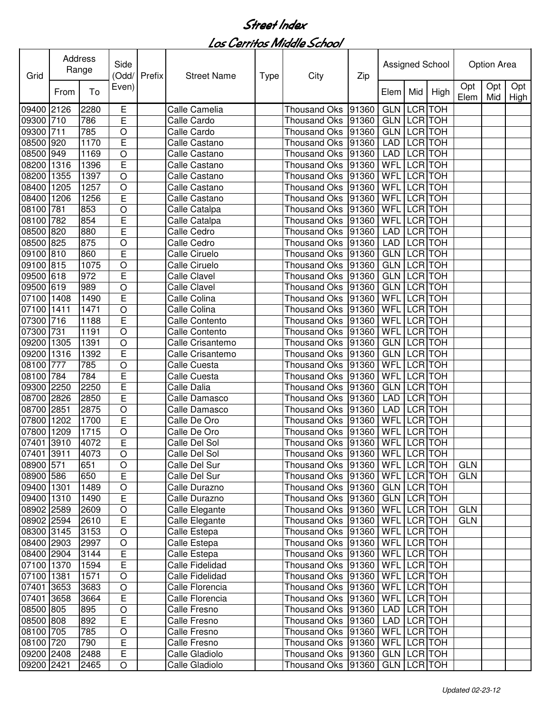| Grid       |      | Address<br>Range | Side<br>(Odd/  | Prefix | <b>Street Name</b>  | <b>Type</b> | City                                  | Zip   |             |                | Assigned School |             | Option Area |                 |
|------------|------|------------------|----------------|--------|---------------------|-------------|---------------------------------------|-------|-------------|----------------|-----------------|-------------|-------------|-----------------|
|            | From | To               | Even)          |        |                     |             |                                       |       | Elem        | Mid            | High            | Opt<br>Elem | Opt         | Opt<br>Mid High |
| 09400      | 2126 | 2280             | Ε              |        | Calle Camelia       |             | <b>Thousand Oks</b>                   | 91360 | <b>GLN</b>  | <b>LCR</b>     | <b>TOH</b>      |             |             |                 |
| 09300      | 710  | 786              | E              |        | Calle Cardo         |             | <b>Thousand Oks</b>                   | 91360 | <b>GLN</b>  |                | LCR TOH         |             |             |                 |
| 09300      | 711  | 785              | O              |        | Calle Cardo         |             | <b>Thousand Oks</b>                   | 91360 | <b>GLN</b>  | <b>LCR</b>     | <b>TOH</b>      |             |             |                 |
| 08500      | 920  | 1170             | E              |        | Calle Castano       |             | <b>Thousand Oks</b>                   | 91360 | <b>LAD</b>  | LCR TOH        |                 |             |             |                 |
| 08500      | 949  | 1169             | O              |        | Calle Castano       |             | <b>Thousand Oks</b>                   | 91360 | <b>LAD</b>  | LCR TOH        |                 |             |             |                 |
| 08200      | 1316 | 1396             | E              |        | Calle Castano       |             | Thousand Oks                          | 91360 | WFL         | LCR TOH        |                 |             |             |                 |
| 08200      | 1355 | 1397             | $\circ$        |        | Calle Castano       |             | <b>Thousand Oks</b>                   | 91360 | WFL         | <b>LCR</b>     | <b>TOH</b>      |             |             |                 |
| 08400      | 1205 | 1257             | O              |        | Calle Castano       |             | Thousand Oks                          | 91360 | <b>WFL</b>  | <b>LCR</b>     | <b>TOH</b>      |             |             |                 |
| 08400      | 1206 | 1256             | E              |        | Calle Castano       |             | Thousand Oks                          | 91360 | WFL         | <b>LCR</b>     | <b>TOH</b>      |             |             |                 |
| 08100      | 781  | 853              | O              |        | Calle Catalpa       |             | Thousand Oks                          | 91360 | WFL         | <b>LCR</b>     | <b>TOH</b>      |             |             |                 |
| 08100      | 782  | 854              | E              |        | Calle Catalpa       |             | <b>Thousand Oks</b>                   | 91360 | WFL         | <b>LCR</b>     | <b>TOH</b>      |             |             |                 |
| 08500      | 820  | 880              | E              |        | Calle Cedro         |             | <b>Thousand Oks</b>                   | 91360 | <b>LAD</b>  | LCR TOH        |                 |             |             |                 |
| 08500      | 825  | 875              | O              |        | Calle Cedro         |             | Thousand Oks                          | 91360 | <b>LAD</b>  |                | LCR TOH         |             |             |                 |
| 09100      | 810  | 860              | Ē              |        | Calle Ciruelo       |             | <b>Thousand Oks</b>                   | 91360 | <b>GLN</b>  |                | LCR TOH         |             |             |                 |
| 09100      | 815  | 1075             | O              |        | Calle Ciruelo       |             | Thousand Oks                          | 91360 | <b>GLN</b>  | LCR TOH        |                 |             |             |                 |
| 09500      | 618  | 972              | E              |        | Calle Clavel        |             | Thousand Oks                          | 91360 | <b>GLN</b>  |                | <b>LCR</b> TOH  |             |             |                 |
| 09500      | 619  | 989              | O              |        | <b>Calle Clavel</b> |             | <b>Thousand Oks</b>                   | 91360 | <b>GLN</b>  | LCR TOH        |                 |             |             |                 |
| 07100      | 1408 | 1490             | E              |        | Calle Colina        |             | <b>Thousand Oks</b>                   | 91360 | <b>WFL</b>  |                | LCR TOH         |             |             |                 |
| 07100      | 1411 | 1471             | O              |        | Calle Colina        |             | <b>Thousand Oks</b>                   | 91360 | WFL         | <b>LCR</b>     | <b>TOH</b>      |             |             |                 |
| 07300      | 716  | 1188             | E              |        | Calle Contento      |             | <b>Thousand Oks</b>                   | 91360 | WFL         | <b>LCR</b>     | <b>TOH</b>      |             |             |                 |
| 07300      | 731  | 1191             | O              |        | Calle Contento      |             | <b>Thousand Oks</b>                   | 91360 | <b>WFL</b>  | <b>LCR</b>     | <b>TOH</b>      |             |             |                 |
| 09200      | 1305 | 1391             | O              |        | Calle Crisantemo    |             | <b>Thousand Oks</b>                   | 91360 | <b>GLN</b>  | <b>LCR</b> TOH |                 |             |             |                 |
| 09200      | 1316 | 1392             | Ē              |        | Calle Crisantemo    |             | <b>Thousand Oks</b>                   | 91360 | <b>GLN</b>  | <b>LCR</b>     | <b>TOH</b>      |             |             |                 |
| 08100      | 777  | 785              | O              |        | <b>Calle Cuesta</b> |             | <b>Thousand Oks</b>                   | 91360 | WFL         | <b>LCR</b> TOH |                 |             |             |                 |
| 08100      | 784  | 784              | Ē              |        | <b>Calle Cuesta</b> |             | <b>Thousand Oks</b>                   | 91360 | WFL         | <b>LCR</b>     | <b>TOH</b>      |             |             |                 |
| 09300      | 2250 | 2250             | E              |        | Calle Dalia         |             | Thousand Oks                          | 91360 | <b>GLN</b>  | <b>LCR</b>     | <b>TOH</b>      |             |             |                 |
| 08700      | 2826 | 2850             | E              |        | Calle Damasco       |             | Thousand Oks                          | 91360 | <b>LAD</b>  | <b>LCR</b>     | <b>TOH</b>      |             |             |                 |
| 08700      | 2851 | 2875             | O              |        | Calle Damasco       |             | <b>Thousand Oks</b>                   | 91360 | <b>LAD</b>  | <b>LCR</b>     | <b>TOH</b>      |             |             |                 |
| 07800      | 1202 | 1700             | E              |        | Calle De Oro        |             | <b>Thousand Oks</b>                   | 91360 | WFL         |                | LCR TOH         |             |             |                 |
| 07800      | 1209 | 1715             | O              |        | Calle De Oro        |             | Thousand Oks                          | 91360 | WFL         | <b>LCR</b>     | <b>TOH</b>      |             |             |                 |
| 07401      | 3910 | 4072             | E              |        | Calle Del Sol       |             | Thousand Oks                          | 91360 | <b>WFL</b>  |                | LCR TOH         |             |             |                 |
| 07401 3911 |      | 4073             | O              |        | Calle Del Sol       |             | Thousand Oks  91360   WFL   LCR   TOH |       |             |                |                 |             |             |                 |
| 08900 571  |      | 651              | $\circ$        |        | Calle Del Sur       |             | Thousand Oks  91360   WFL   LCR   TOH |       |             |                |                 | <b>GLN</b>  |             |                 |
| 08900 586  |      | 650              | $\overline{E}$ |        | Calle Del Sur       |             | Thousand Oks   91360                  |       | WFL LCR TOH |                |                 | <b>GLN</b>  |             |                 |
| 09400 1301 |      | 1489             | $\bigcirc$     |        | Calle Durazno       |             | Thousand Oks 91360                    |       | GLN LCR TOH |                |                 |             |             |                 |
| 09400 1310 |      | 1490             | E              |        | Calle Durazno       |             | Thousand Oks 91360                    |       | GLN LCR TOH |                |                 |             |             |                 |
| 08902 2589 |      | 2609             | $\bigcirc$     |        | Calle Elegante      |             | Thousand Oks 91360                    |       | WFL LCR TOH |                |                 | <b>GLN</b>  |             |                 |
| 08902 2594 |      | 2610             | E              |        | Calle Elegante      |             | Thousand Oks 91360                    |       | WFL LCR TOH |                |                 | <b>GLN</b>  |             |                 |
| 08300 3145 |      | 3153             | $\circ$        |        | Calle Estepa        |             | Thousand Oks   91360                  |       | WFL LCR TOH |                |                 |             |             |                 |
| 08400 2903 |      | 2997             | $\circ$        |        | Calle Estepa        |             | Thousand Oks   91360                  |       | WFL LCR TOH |                |                 |             |             |                 |
| 08400 2904 |      | 3144             | E              |        | Calle Estepa        |             | Thousand Oks   91360                  |       | WFL LCR TOH |                |                 |             |             |                 |
| 07100 1370 |      | 1594             | E              |        | Calle Fidelidad     |             | Thousand Oks 91360                    |       | WFL LCR TOH |                |                 |             |             |                 |
| 07100 1381 |      | 1571             | $\bigcirc$     |        | Calle Fidelidad     |             | Thousand Oks 91360                    |       | WFL LCR TOH |                |                 |             |             |                 |
| 07401 3653 |      | 3683             | $\bigcirc$     |        | Calle Florencia     |             | Thousand Oks 91360                    |       | WFL LCR TOH |                |                 |             |             |                 |
| 07401 3658 |      | 3664             | $\overline{E}$ |        | Calle Florencia     |             | Thousand Oks 91360                    |       | WFL LCR TOH |                |                 |             |             |                 |
| 08500 805  |      | 895              | $\bigcirc$     |        | Calle Fresno        |             | Thousand Oks 91360                    |       | LAD LCR TOH |                |                 |             |             |                 |
| 08500 808  |      | 892              | E              |        | Calle Fresno        |             | Thousand Oks 91360                    |       | LAD LCR TOH |                |                 |             |             |                 |
| 08100 705  |      | 785              | $\bigcirc$     |        | Calle Fresno        |             | Thousand Oks 91360                    |       | WFL LCR TOH |                |                 |             |             |                 |
| 08100 720  |      | 790              | E              |        | Calle Fresno        |             | Thousand Oks 91360                    |       | WFL LCR TOH |                |                 |             |             |                 |
| 09200 2408 |      | 2488             | E              |        | Calle Gladiolo      |             | Thousand Oks   91360                  |       | GLN LCR TOH |                |                 |             |             |                 |
| 09200 2421 |      | 2465             | $\bigcirc$     |        | Calle Gladiolo      |             | Thousand Oks   91360                  |       | GLN LCR TOH |                |                 |             |             |                 |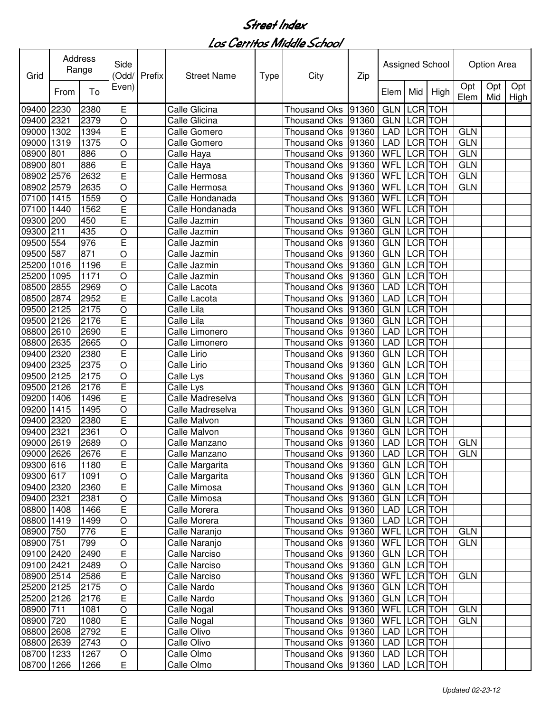| Grid       |      | Address<br>Range | Side<br>(Odd/  | Prefix | <b>Street Name</b>   | <b>Type</b> | City                                  | Zip   |             |                | Assigned School |             | Option Area |                    |
|------------|------|------------------|----------------|--------|----------------------|-------------|---------------------------------------|-------|-------------|----------------|-----------------|-------------|-------------|--------------------|
|            | From | To               | Even)          |        |                      |             |                                       |       | Elem        | Mid            | High            | Opt<br>Elem | Opt<br>Mid  | Opt<br><b>High</b> |
| 09400      | 2230 | 2380             | Е              |        | <b>Calle Glicina</b> |             | <b>Thousand Oks</b>                   | 91360 | <b>GLN</b>  | <b>LCR</b>     | <b>TOH</b>      |             |             |                    |
| 09400      | 2321 | 2379             | O              |        | Calle Glicina        |             | <b>Thousand Oks</b>                   | 91360 | <b>GLN</b>  | LCR TOH        |                 |             |             |                    |
| 09000      | 1302 | 1394             | E              |        | Calle Gomero         |             | <b>Thousand Oks</b>                   | 91360 | <b>LAD</b>  |                | LCR TOH         | <b>GLN</b>  |             |                    |
| 09000      | 1319 | 1375             | $\circ$        |        | Calle Gomero         |             | <b>Thousand Oks</b>                   | 91360 | <b>LAD</b>  | <b>LCR</b>     | <b>TOH</b>      | <b>GLN</b>  |             |                    |
| 08900      | 801  | 886              | $\circ$        |        | Calle Haya           |             | <b>Thousand Oks</b>                   | 91360 | WFL         | <b>LCR</b>     | <b>TOH</b>      | <b>GLN</b>  |             |                    |
| 08900      | 801  | 886              | E              |        | Calle Haya           |             | <b>Thousand Oks</b>                   | 91360 | WFL         | <b>LCR</b>     | <b>TOH</b>      | <b>GLN</b>  |             |                    |
| 08902      | 2576 | 2632             | E              |        | Calle Hermosa        |             | Thousand Oks                          | 91360 | WFL         | <b>LCR</b>     | <b>TOH</b>      | <b>GLN</b>  |             |                    |
| 08902      | 2579 | 2635             | $\circ$        |        | Calle Hermosa        |             | Thousand Oks                          | 91360 | WFL         | <b>LCR</b>     | <b>TOH</b>      | <b>GLN</b>  |             |                    |
| 07100      | 1415 | 1559             | $\circ$        |        | Calle Hondanada      |             | Thousand Oks 91360                    |       | WFL         | LCR TOH        |                 |             |             |                    |
| 07100      | 1440 | 1562             | Ē              |        | Calle Hondanada      |             | Thousand Oks                          | 91360 | WFL         | LCR TOH        |                 |             |             |                    |
| 09300      | 200  | 450              | Ē              |        | Calle Jazmin         |             | Thousand Oks                          | 91360 | <b>GLN</b>  | <b>LCR</b>     | <b>TOH</b>      |             |             |                    |
| 09300      | 211  | 435              | $\circ$        |        | Calle Jazmin         |             | <b>Thousand Oks</b>                   | 91360 | <b>GLN</b>  | <b>LCR</b>     | <b>TOH</b>      |             |             |                    |
| 09500      | 554  | 976              | E              |        | Calle Jazmin         |             | <b>Thousand Oks</b>                   | 91360 | <b>GLN</b>  | LCR TOH        |                 |             |             |                    |
| 09500      | 587  | 871              | $\circ$        |        | Calle Jazmin         |             | <b>Thousand Oks</b>                   | 91360 | <b>GLN</b>  |                | LCR TOH         |             |             |                    |
| 25200      | 1016 | 1196             | Ē              |        | Calle Jazmin         |             | <b>Thousand Oks</b>                   | 91360 | <b>GLN</b>  |                | LCR TOH         |             |             |                    |
| 25200      | 1095 | 1171             | $\circ$        |        | Calle Jazmin         |             | <b>Thousand Oks</b>                   | 91360 | <b>GLN</b>  |                | LCR TOH         |             |             |                    |
| 08500      | 2855 | 2969             | $\circ$        |        | Calle Lacota         |             | Thousand Oks                          | 91360 | <b>LAD</b>  |                | LCR TOH         |             |             |                    |
| 08500      | 2874 | 2952             | E              |        | Calle Lacota         |             | <b>Thousand Oks</b>                   | 91360 | <b>LAD</b>  |                | LCR TOH         |             |             |                    |
| 09500 2125 |      | 2175             | $\circ$        |        | Calle Lila           |             | Thousand Oks                          | 91360 | <b>GLN</b>  |                | LCR TOH         |             |             |                    |
| 09500 2126 |      | 2176             | E              |        | Calle Lila           |             | Thousand Oks                          | 91360 | GLN         | LCR TOH        |                 |             |             |                    |
| 08800      | 2610 | 2690             | E              |        | Calle Limonero       |             | <b>Thousand Oks</b>                   | 91360 | <b>LAD</b>  | <b>LCR</b>     | <b>TOH</b>      |             |             |                    |
| 08800      | 2635 | 2665             | $\overline{O}$ |        | Calle Limonero       |             | <b>Thousand Oks</b>                   | 91360 | <b>LAD</b>  |                | <b>LCR</b> TOH  |             |             |                    |
| 09400      | 2320 | 2380             | E              |        | Calle Lirio          |             | <b>Thousand Oks</b>                   | 91360 | GLN         | <b>LCR</b>     | <b>TOH</b>      |             |             |                    |
| 09400      | 2325 | 2375             | $\circ$        |        | Calle Lirio          |             | <b>Thousand Oks</b>                   | 91360 | <b>GLN</b>  | <b>LCR</b> TOH |                 |             |             |                    |
| 09500 2125 |      | 2175             | $\circ$        |        | Calle Lys            |             | <b>Thousand Oks</b>                   | 91360 | <b>GLN</b>  | <b>LCR</b>     | <b>TOH</b>      |             |             |                    |
| 09500 2126 |      | 2176             | E              |        | Calle Lys            |             | Thousand Oks   91360                  |       | <b>GLN</b>  | LCR TOH        |                 |             |             |                    |
| 09200      | 1406 | 1496             | E              |        | Calle Madreselva     |             | <b>Thousand Oks</b>                   | 91360 | GLN         | <b>LCR</b> TOH |                 |             |             |                    |
| 09200      | 1415 | 1495             | $\circ$        |        | Calle Madreselva     |             | <b>Thousand Oks</b>                   | 91360 | <b>GLN</b>  | <b>LCR</b>     | <b>TOH</b>      |             |             |                    |
| 09400      | 2320 | 2380             | E              |        | Calle Malvon         |             | <b>Thousand Oks</b>                   | 91360 | <b>GLN</b>  | <b>LCR</b>     | <b>TOH</b>      |             |             |                    |
| 09400      | 2321 | 2361             | $\circ$        |        | Calle Malvon         |             | <b>Thousand Oks</b>                   | 91360 | <b>GLN</b>  | <b>LCR</b>     | <b>TOH</b>      |             |             |                    |
| 09000      | 2619 | 2689             | O              |        | Calle Manzano        |             | Thousand Oks   91360                  |       | <b>LAD</b>  | <b>LCR</b>     | <b>TOH</b>      | <b>GLN</b>  |             |                    |
| 09000 2626 |      | 2676             | ᄇ              |        | Calle Manzano        |             | Thousand Oks  91360   LAD   LCR TOH   |       |             |                |                 | <b>GLN</b>  |             |                    |
| 09300 616  |      | 1180             | E              |        | Calle Margarita      |             | Thousand Oks  91360                   |       | GLN LCR TOH |                |                 |             |             |                    |
| 09300 617  |      | 1091             | $\mathsf O$    |        | Calle Margarita      |             | Thousand Oks   91360                  |       | GLN LCR TOH |                |                 |             |             |                    |
| 09400 2320 |      | 2360             | E              |        | Calle Mimosa         |             | Thousand Oks   91360                  |       | GLN LCR TOH |                |                 |             |             |                    |
| 09400 2321 |      | 2381             | $\mathsf O$    |        | Calle Mimosa         |             | Thousand Oks 91360                    |       | GLN LCR TOH |                |                 |             |             |                    |
| 08800 1408 |      | 1466             | E              |        | Calle Morera         |             | Thousand Oks 91360                    |       | LAD LCR TOH |                |                 |             |             |                    |
| 08800 1419 |      | 1499             | $\bigcirc$     |        | Calle Morera         |             | Thousand Oks 91360                    |       | LAD LCR TOH |                |                 |             |             |                    |
| 08900 750  |      | 776              | E              |        | Calle Naranjo        |             | Thousand Oks 91360                    |       | WFL LCR TOH |                |                 | <b>GLN</b>  |             |                    |
| 08900 751  |      | 799              | $\bigcirc$     |        | Calle Naranjo        |             | Thousand Oks 91360                    |       | WFL LCR TOH |                |                 | <b>GLN</b>  |             |                    |
| 09100 2420 |      | 2490             | E              |        | Calle Narciso        |             | Thousand Oks   91360                  |       | GLN LCR TOH |                |                 |             |             |                    |
| 09100 2421 |      | 2489             | $\bigcirc$     |        | Calle Narciso        |             | Thousand Oks   91360                  |       | GLN LCR TOH |                |                 |             |             |                    |
| 08900 2514 |      | 2586             | E              |        | Calle Narciso        |             | Thousand Oks  91360                   |       | WFL LCR TOH |                |                 | <b>GLN</b>  |             |                    |
| 25200 2125 |      | 2175             | $\mathsf O$    |        | Calle Nardo          |             | Thousand Oks   91360                  |       | GLN LCR TOH |                |                 |             |             |                    |
| 25200 2126 |      | 2176             | E              |        | Calle Nardo          |             | Thousand Oks 91360                    |       | GLN LCR TOH |                |                 |             |             |                    |
| 08900 711  |      | 1081             | $\mathsf O$    |        | Calle Nogal          |             | Thousand Oks 91360                    |       | WFL LCR TOH |                |                 | <b>GLN</b>  |             |                    |
| 08900 720  |      | 1080             | E              |        | Calle Nogal          |             | Thousand Oks 91360                    |       | WFL LCR TOH |                |                 | <b>GLN</b>  |             |                    |
| 08800 2608 |      | 2792             | E              |        | Calle Olivo          |             | Thousand Oks 91360                    |       | LAD         | LCR TOH        |                 |             |             |                    |
| 08800 2639 |      | 2743             | $\bigcirc$     |        | Calle Olivo          |             | Thousand Oks   91360                  |       | LAD         |                | LCR TOH         |             |             |                    |
| 08700 1233 |      | 1267             | $\bigcirc$     |        | Calle Olmo           |             | Thousand Oks   91360                  |       | LAD LCR TOH |                |                 |             |             |                    |
| 08700 1266 |      | 1266             | E              |        | Calle Olmo           |             | Thousand Oks  91360   LAD   LCR   TOH |       |             |                |                 |             |             |                    |
|            |      |                  |                |        |                      |             |                                       |       |             |                |                 |             |             |                    |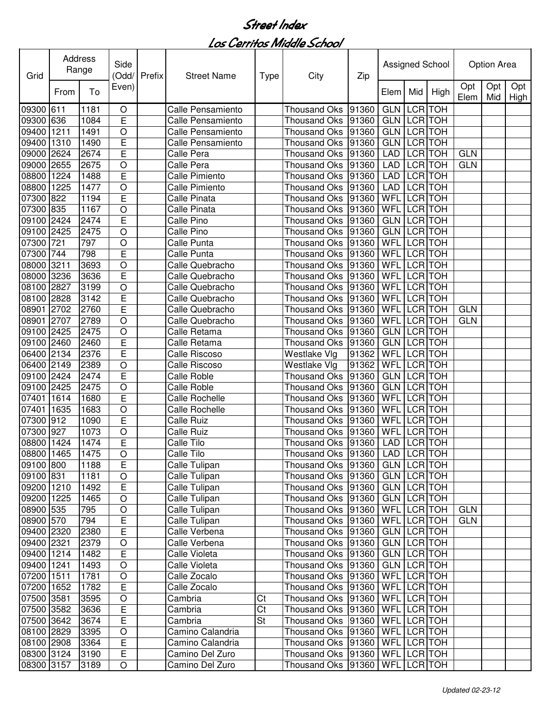| Grid       |      | Address<br>Range | Side<br>(Odd/  | Prefix | <b>Street Name</b>       | <b>Type</b>            | City                                  | Zip   |             |                | Assigned School |             | Option Area |                 |
|------------|------|------------------|----------------|--------|--------------------------|------------------------|---------------------------------------|-------|-------------|----------------|-----------------|-------------|-------------|-----------------|
|            | From | To               | Even)          |        |                          |                        |                                       |       | Elem        | Mid            | High            | Opt<br>Elem | Opt         | Opt<br>Mid High |
| 09300      | 611  | 1181             | $\circ$        |        | <b>Calle Pensamiento</b> |                        | <b>Thousand Oks</b>                   | 91360 | <b>GLN</b>  | <b>LCR</b>     | <b>TOH</b>      |             |             |                 |
| 09300      | 636  | 1084             | E              |        | Calle Pensamiento        |                        | <b>Thousand Oks</b>                   | 91360 | <b>GLN</b>  |                | LCR TOH         |             |             |                 |
| 09400      | 1211 | 1491             | O              |        | Calle Pensamiento        |                        | <b>Thousand Oks</b>                   | 91360 | <b>GLN</b>  | <b>LCR</b>     | <b>TOH</b>      |             |             |                 |
| 09400      | 1310 | 1490             | E              |        | Calle Pensamiento        |                        | <b>Thousand Oks</b>                   | 91360 | <b>GLN</b>  | <b>LCR</b>     | <b>TOH</b>      |             |             |                 |
| 09000      | 2624 | 2674             | E              |        | Calle Pera               |                        | <b>Thousand Oks</b>                   | 91360 | <b>LAD</b>  | <b>LCR</b> TOH |                 | <b>GLN</b>  |             |                 |
| 09000      | 2655 | 2675             | O              |        | Calle Pera               |                        | Thousand Oks                          | 91360 | LAD         | <b>LCR</b>     | <b>TOH</b>      | <b>GLN</b>  |             |                 |
| 08800      | 1224 | 1488             | E              |        | <b>Calle Pimiento</b>    |                        | Thousand Oks                          | 91360 | LAD         | <b>LCR</b>     | <b>TOH</b>      |             |             |                 |
| 08800      | 1225 | 1477             | O              |        | <b>Calle Pimiento</b>    |                        | Thousand Oks                          | 91360 | <b>LAD</b>  | <b>LCR</b>     | <b>TOH</b>      |             |             |                 |
| 07300      | 822  | 1194             | E              |        | Calle Pinata             |                        | Thousand Oks                          | 91360 | WFL         | <b>LCR</b>     | <b>TOH</b>      |             |             |                 |
| 07300      | 835  | 1167             | O              |        | Calle Pinata             |                        | Thousand Oks                          | 91360 | WFL         | <b>LCR</b>     | <b>TOH</b>      |             |             |                 |
| 09100      | 2424 | 2474             | E              |        | Calle Pino               |                        | <b>Thousand Oks</b>                   | 91360 | <b>GLN</b>  | <b>LCR</b>     | <b>TOH</b>      |             |             |                 |
| 09100      | 2425 | 2475             | O              |        | Calle Pino               |                        | <b>Thousand Oks</b>                   | 91360 | <b>GLN</b>  | LCR TOH        |                 |             |             |                 |
| 07300      | 721  | 797              | O              |        | Calle Punta              |                        | Thousand Oks                          | 91360 | WFL         |                | LCR TOH         |             |             |                 |
| 07300      | 744  | 798              | Ē              |        | Calle Punta              |                        | <b>Thousand Oks</b>                   | 91360 | <b>WFL</b>  |                | LCR TOH         |             |             |                 |
| 08000      | 3211 | 3693             | O              |        | Calle Quebracho          |                        | Thousand Oks                          | 91360 | WFL         |                | LCR TOH         |             |             |                 |
| 08000      | 3236 | 3636             | E              |        | Calle Quebracho          |                        | Thousand Oks                          | 91360 | <b>WFL</b>  |                | <b>LCR</b> TOH  |             |             |                 |
| 08100      | 2827 | 3199             | O              |        | Calle Quebracho          |                        | <b>Thousand Oks</b>                   | 91360 | WFL         | <b>LCR</b>     | <b>TOH</b>      |             |             |                 |
| 08100      | 2828 | 3142             | E              |        | Calle Quebracho          |                        | <b>Thousand Oks</b>                   | 91360 | WFL         | <b>LCR</b>     | <b>TOH</b>      |             |             |                 |
| 08901      | 2702 | 2760             | E              |        | Calle Quebracho          |                        | <b>Thousand Oks</b>                   | 91360 | WFL         | <b>LCR</b>     | <b>TOH</b>      | <b>GLN</b>  |             |                 |
| 08901      | 2707 | 2789             | O              |        | Calle Quebracho          |                        | <b>Thousand Oks</b>                   | 91360 | WFL         | <b>LCR</b>     | <b>TOH</b>      | <b>GLN</b>  |             |                 |
| 09100      | 2425 | 2475             | O              |        | Calle Retama             |                        | <b>Thousand Oks</b>                   | 91360 | <b>GLN</b>  | LCR TOH        |                 |             |             |                 |
| 09100      | 2460 | 2460             | E              |        | Calle Retama             |                        | <b>Thousand Oks</b>                   | 91360 | <b>GLN</b>  | <b>LCR</b> TOH |                 |             |             |                 |
| 06400      | 2134 | 2376             | Ē              |        | Calle Riscoso            |                        | Westlake Vlg                          | 91362 | <b>WFL</b>  | <b>LCR</b>     | <b>TOH</b>      |             |             |                 |
| 06400      | 2149 | 2389             | O              |        | Calle Riscoso            |                        | Westlake Vlg                          | 91362 | WFL         | <b>LCR</b>     | <b>TOH</b>      |             |             |                 |
| 09100 2424 |      | 2474             | Ē              |        | <b>Calle Roble</b>       |                        | <b>Thousand Oks</b>                   | 91360 | <b>GLN</b>  | <b>LCR</b>     | <b>TOH</b>      |             |             |                 |
| 09100      | 2425 | 2475             | $\circ$        |        | <b>Calle Roble</b>       |                        | Thousand Oks                          | 91360 | <b>GLN</b>  | <b>LCR</b>     | <b>TOH</b>      |             |             |                 |
| 07401      | 1614 | 1680             | E              |        | <b>Calle Rochelle</b>    |                        | Thousand Oks                          | 91360 | WFL         | <b>LCR</b>     | <b>TOH</b>      |             |             |                 |
| 07401      | 1635 | 1683             | O              |        | Calle Rochelle           |                        | <b>Thousand Oks</b>                   | 91360 | WFL         | <b>LCR</b>     | <b>TOH</b>      |             |             |                 |
| 07300      | 912  | 1090             | E              |        | <b>Calle Ruiz</b>        |                        | <b>Thousand Oks</b>                   | 91360 | WFL         | <b>LCR</b>     | <b>TOH</b>      |             |             |                 |
| 07300      | 927  | 1073             | O              |        | Calle Ruiz               |                        | Thousand Oks                          | 91360 | WFL         | <b>LCR</b>     | <b>TOH</b>      |             |             |                 |
| 08800      | 1424 | 1474             | E              |        | Calle Tilo               |                        | Thousand Oks                          | 91360 | <b>LAD</b>  |                | LCR TOH         |             |             |                 |
| 08800 1465 |      | 1475             | O              |        | Calle Tilo               |                        | Thousand Oks  91360   LAD   LCR   TOH |       |             |                |                 |             |             |                 |
| 09100 800  |      | 1188             | $\overline{E}$ |        | Calle Tulipan            |                        | Thousand Oks   91360                  |       | GLN LCR TOH |                |                 |             |             |                 |
| 09100 831  |      | 1181             | $\circ$        |        | Calle Tulipan            |                        | Thousand Oks 91360                    |       | GLN LCR TOH |                |                 |             |             |                 |
| 09200 1210 |      | 1492             | E              |        | Calle Tulipan            |                        | Thousand Oks   91360                  |       | GLN LCR TOH |                |                 |             |             |                 |
| 09200 1225 |      | 1465             | $\circ$        |        | Calle Tulipan            |                        | Thousand Oks 91360                    |       | GLN LCR TOH |                |                 |             |             |                 |
| 08900 535  |      | 795              | $\bigcirc$     |        | Calle Tulipan            |                        | Thousand Oks 91360                    |       | WFL LCR TOH |                |                 | <b>GLN</b>  |             |                 |
| 08900 570  |      | 794              | E              |        | Calle Tulipan            |                        | Thousand Oks 91360                    |       | WFL LCR TOH |                |                 | <b>GLN</b>  |             |                 |
| 09400 2320 |      | 2380             | E              |        | Calle Verbena            |                        | Thousand Oks 91360                    |       | GLN LCR TOH |                |                 |             |             |                 |
| 09400 2321 |      | 2379             | $\bigcirc$     |        | Calle Verbena            |                        | Thousand Oks 91360                    |       | GLN LCR TOH |                |                 |             |             |                 |
| 09400 1214 |      | 1482             | E              |        | Calle Violeta            |                        | Thousand Oks   91360                  |       | GLN LCR TOH |                |                 |             |             |                 |
| 09400 1241 |      | 1493             | $\bigcirc$     |        | Calle Violeta            |                        | Thousand Oks   91360                  |       | GLN LCR TOH |                |                 |             |             |                 |
| 07200 1511 |      | 1781             | $\bigcirc$     |        | Calle Zocalo             |                        | Thousand Oks   91360                  |       | WFL LCR TOH |                |                 |             |             |                 |
| 07200 1652 |      | 1782             | E              |        | Calle Zocalo             |                        | Thousand Oks 91360                    |       | WFL LCR TOH |                |                 |             |             |                 |
| 07500 3581 |      | 3595             | $\bigcirc$     |        | Cambria                  | Ct                     | Thousand Oks 91360                    |       | WFL LCR TOH |                |                 |             |             |                 |
| 07500 3582 |      | 3636             | E              |        | Cambria                  | $\overline{\text{C}t}$ | Thousand Oks 91360                    |       | WFL LCR TOH |                |                 |             |             |                 |
| 07500 3642 |      | 3674             | $\overline{E}$ |        | Cambria                  | St                     | Thousand Oks 91360                    |       | WFL LCR TOH |                |                 |             |             |                 |
| 08100 2829 |      | 3395             | $\circ$        |        | Camino Calandria         |                        | Thousand Oks 91360                    |       | WFL LCR TOH |                |                 |             |             |                 |
| 08100 2908 |      | 3364             | E              |        | Camino Calandria         |                        | Thousand Oks   91360                  |       | WFL LCR TOH |                |                 |             |             |                 |
| 08300 3124 |      | 3190             | E              |        | Camino Del Zuro          |                        | Thousand Oks  91360   WFL   LCR   TOH |       |             |                |                 |             |             |                 |
| 08300 3157 |      | 3189             | $\circ$        |        | Camino Del Zuro          |                        | Thousand Oks  91360   WFL   LCR   TOH |       |             |                |                 |             |             |                 |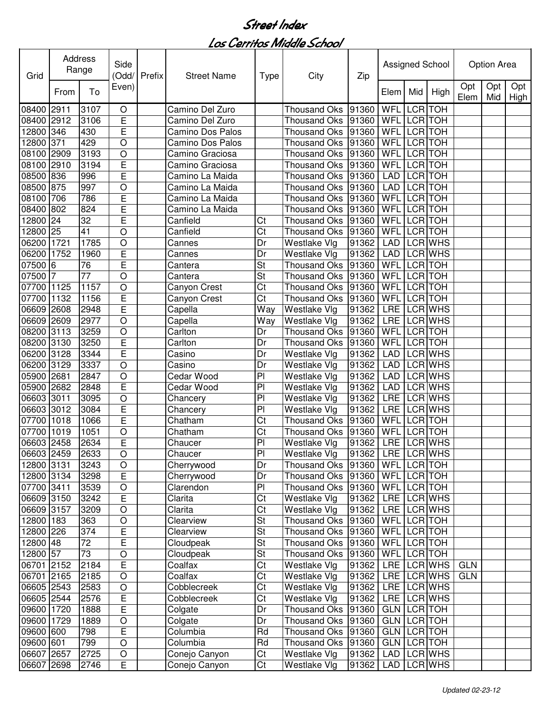| Grid           |              | Address<br>Range | Side<br>(Odd/           | Prefix | <b>Street Name</b>   | <b>Type</b>            | City                                  | Zip               |                    |                | Assigned School |             | Option Area |                    |
|----------------|--------------|------------------|-------------------------|--------|----------------------|------------------------|---------------------------------------|-------------------|--------------------|----------------|-----------------|-------------|-------------|--------------------|
|                | From         | To               | Even)                   |        |                      |                        |                                       |                   | Elem               | Mid            | High            | Opt<br>Elem | Opt<br>Mid  | Opt<br><b>High</b> |
| 08400          | 2911         | 3107             | O                       |        | Camino Del Zuro      |                        | <b>Thousand Oks</b>                   | 91360             | WFL                |                | LCR TOH         |             |             |                    |
| 08400          | 2912         | 3106             | E                       |        | Camino Del Zuro      |                        | <b>Thousand Oks</b>                   | 91360             | <b>WFL</b>         | LCR TOH        |                 |             |             |                    |
| 12800          | 346          | 430              | E                       |        | Camino Dos Palos     |                        | <b>Thousand Oks</b>                   | 91360             | WFL                |                | LCR TOH         |             |             |                    |
| 12800          | 371          | 429              | O                       |        | Camino Dos Palos     |                        | <b>Thousand Oks</b>                   | 91360             | WFL                |                | LCR TOH         |             |             |                    |
| 08100          | 2909         | 3193             | $\circ$                 |        | Camino Graciosa      |                        | <b>Thousand Oks</b>                   | 91360             | WFL                | <b>LCR</b>     | <b>TOH</b>      |             |             |                    |
| 08100          | 2910         | 3194             | E                       |        | Camino Graciosa      |                        | <b>Thousand Oks</b>                   | 91360             | WFL                |                | LCR TOH         |             |             |                    |
| 08500          | 836          | 996              | E                       |        | Camino La Maida      |                        | <b>Thousand Oks</b>                   | 91360             | LAD                | LCR TOH        |                 |             |             |                    |
| 08500          | 875          | 997              | O                       |        | Camino La Maida      |                        | Thousand Oks                          | 91360             | <b>LAD</b>         | LCR TOH        |                 |             |             |                    |
| 08100          | 706          | 786              | E                       |        | Camino La Maida      |                        | Thousand Oks                          | 91360             | WFL                | LCR TOH        |                 |             |             |                    |
| 08400          | 802          | 824              | Ē                       |        | Camino La Maida      |                        | Thousand Oks                          | 91360             | <b>WFL</b>         | LCR TOH        |                 |             |             |                    |
| 12800          | 24           | $\overline{32}$  | $\overline{\mathsf{E}}$ |        | Canfield             | Ct                     | Thousand Oks                          | 91360             | <b>WFL</b>         | LCR TOH        |                 |             |             |                    |
| 12800          | 25           | $\overline{41}$  | $\circ$                 |        | Canfield             | Ct                     | Thousand Oks                          | 91360             | WFL                |                | LCR TOH         |             |             |                    |
| 06200          | 1721         | 1785             | $\circ$                 |        | Cannes               | Dr                     | Westlake Vlg                          | 91362             | <b>LAD</b>         |                | LCR WHS         |             |             |                    |
| 06200          | 1752         | 1960             | E                       |        | Cannes               | Dr                     | Westlake Vlg                          | 91362             | <b>LAD</b>         |                | LCR WHS         |             |             |                    |
| 07500          | 6            | 76               | Ē                       |        | Cantera              | <b>St</b>              | <b>Thousand Oks</b>                   | 91360             | <b>WFL</b>         |                | LCR TOH         |             |             |                    |
| 07500          | 7            | $\overline{77}$  | O                       |        | Cantera              | <b>St</b>              | <b>Thousand Oks</b>                   | 91360             | <b>WFL</b>         | <b>LCR</b> TOH |                 |             |             |                    |
| 07700          | 1125         | 1157             | O                       |        | Canyon Crest         | Ct                     | Thousand Oks                          | 91360             | <b>WFL</b>         | <b>LCR</b> TOH |                 |             |             |                    |
| 07700          | 1132         | 1156             | E                       |        | Canyon Crest         | Ct                     | <b>Thousand Oks</b>                   | 91360             | <b>WFL</b>         |                | <b>LCR</b> TOH  |             |             |                    |
| 06609 2608     |              | 2948             | $\overline{\mathsf{E}}$ |        | Capella              | Way                    | Westlake Vlg                          | 91362             | LRE                |                | LCR WHS         |             |             |                    |
| 06609          | 2609         | 2977             | $\circ$                 |        | Capella              | Way                    | Westlake Vlg                          | 91362             | <b>LRE</b>         |                | LCR WHS         |             |             |                    |
| 08200          | 3113         | 3259             | $\circ$                 |        | Carlton              | Dr                     | <b>Thousand Oks</b>                   | 91360             | <b>WFL</b>         | <b>LCR</b> TOH | <b>LCR</b> TOH  |             |             |                    |
| 08200          | 3130         | 3250<br>3344     | E<br>Ē                  |        | Carlton              | Dr<br>Dr               | <b>Thousand Oks</b>                   | 91360             | WFL<br><b>LAD</b>  |                | <b>LCR WHS</b>  |             |             |                    |
| 06200<br>06200 | 3128<br>3129 | 3337             | $\circ$                 |        | Casino               | Dr                     | Westlake Vlg                          | 91362<br>91362    | <b>LAD</b>         |                | <b>LCR WHS</b>  |             |             |                    |
| 05900          | 2681         | 2847             | $\circ$                 |        | Casino<br>Cedar Wood | $\overline{P}$         | Westlake Vlg<br>Westlake Vlg          | 91362             | <b>LAD</b>         |                | <b>LCR WHS</b>  |             |             |                    |
| 05900          | 2682         | 2848             | E                       |        | Cedar Wood           | P <sub>1</sub>         | Westlake Vlg                          | 91362             | <b>LAD</b>         |                | $LCR$ WHS       |             |             |                    |
| 06603 3011     |              | 3095             | O                       |        | Chancery             | P <sub>1</sub>         | Westlake Vlg                          | 91362             | LRE                |                | $LCR$ WHS       |             |             |                    |
| 06603 3012     |              | 3084             | E                       |        | Chancery             | PI                     | Westlake Vlg                          | 91362             | <b>LRE</b>         |                | LCR WHS         |             |             |                    |
| 07700          | 1018         | 1066             | E                       |        | Chatham              | Ct                     | <b>Thousand Oks</b>                   | 91360             | WFL                |                | LCR TOH         |             |             |                    |
| 07700          | 1019         | 1051             | O                       |        | Chatham              | Ct                     | Thousand Oks                          | 91360             | WFL                |                | LCR TOH         |             |             |                    |
| 06603 2458     |              | 2634             | E                       |        | Chaucer              | PI                     | Westlake Vlg                          | 91362             | <b>LRE</b>         |                | LCR WHS         |             |             |                    |
| 06603 2459     |              | 2633             | $\overline{\rm o}$      |        | Chaucer              | PI                     | Westlake Vlg                          | 91362 LRE LCR WHS |                    |                |                 |             |             |                    |
| 12800 3131     |              | 3243             | O                       |        | Cherrywood           | Dr                     | Thousand Oks  91360   WFL   LCR   TOH |                   |                    |                |                 |             |             |                    |
| 12800 3134     |              | 3298             | $\overline{\mathsf{E}}$ |        | Cherrywood           | Dr                     | Thousand Oks 91360                    |                   | WFL LCR TOH        |                |                 |             |             |                    |
| 07700 3411     |              | 3539             | $\bigcirc$              |        | Clarendon            | PI                     | Thousand Oks 91360                    |                   | WFL LCR TOH        |                |                 |             |             |                    |
| 06609 3150     |              | 3242             | E                       |        | Clarita              | Ct                     | Westlake Vlg                          | 91362             |                    |                | LRE LCR WHS     |             |             |                    |
| 06609 3157     |              | 3209             | $\circ$                 |        | Clarita              | Ct                     | Westlake Vlg                          | 91362             |                    |                | LRE LCR WHS     |             |             |                    |
| 12800 183      |              | 363              | $\circ$                 |        | Clearview            | <b>St</b>              | Thousand Oks 91360                    |                   | WFL LCR TOH        |                |                 |             |             |                    |
| 12800 226      |              | 374              | E                       |        | Clearview            | <b>St</b>              | Thousand Oks 91360                    |                   | WFL LCR TOH        |                |                 |             |             |                    |
| 12800 48       |              | 72               | E                       |        | Cloudpeak            | <b>St</b>              | Thousand Oks 91360                    |                   | WFL LCR TOH        |                |                 |             |             |                    |
| 12800 57       |              | $\overline{73}$  | $\circ$                 |        | Cloudpeak            | <b>St</b>              | Thousand Oks 91360                    |                   | WFL LCR TOH        |                |                 |             |             |                    |
| 06701 2152     |              | 2184             | E                       |        | Coalfax              | $\overline{\text{C}t}$ | Westlake Vlg                          | 91362             |                    |                | LRE LCRWHS      | <b>GLN</b>  |             |                    |
| 06701 2165     |              | 2185             | $\circ$                 |        | Coalfax              | $\overline{\text{C}t}$ | Westlake Vlg                          | 91362             |                    |                | LRE LCRWHS      | <b>GLN</b>  |             |                    |
| 06605 2543     |              | 2583             | $\circ$                 |        | Cobblecreek          | $\overline{\text{C}t}$ | Westlake Vlg                          | 91362             |                    |                | LRE LCR WHS     |             |             |                    |
| 06605 2544     |              | 2576             | E                       |        | Cobblecreek          | Ct                     | Westlake Vlg                          | 91362             |                    |                | LRE LCR WHS     |             |             |                    |
| 09600 1720     |              | 1888             | E                       |        | Colgate              | Dr                     | Thousand Oks 91360                    |                   | <b>GLN LCR TOH</b> |                |                 |             |             |                    |
| 09600 1729     |              | 1889             | $\bigcirc$              |        | Colgate              | Dr                     | Thousand Oks 91360                    |                   | <b>GLN LCR TOH</b> |                |                 |             |             |                    |
| 09600 600      |              | 798              | E                       |        | Columbia             | Rd                     | Thousand Oks 91360                    |                   | GLN LCR TOH        |                |                 |             |             |                    |
| 09600 601      |              | 799              | $\circ$                 |        | Columbia             | Rd                     | Thousand Oks 91360                    |                   | GLN LCR TOH        |                |                 |             |             |                    |
| 06607 2657     |              | 2725             | $\circ$                 |        | Conejo Canyon        | Ct                     | Westlake Vlg                          | 91362             |                    |                | LAD LCR WHS     |             |             |                    |
| 06607 2698     |              | 2746             | E                       |        | Conejo Canyon        | Ct                     | Westlake Vlg                          | 91362             | LAD                |                | LCR WHS         |             |             |                    |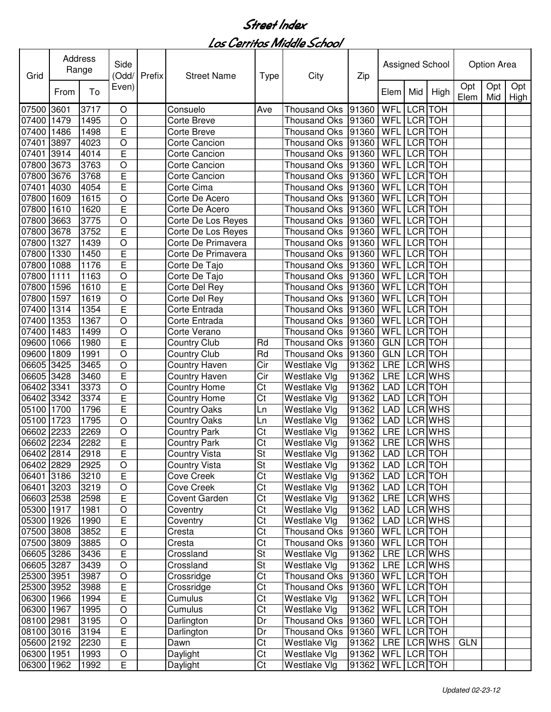| Grid       | Address | Range | Side<br>(Odd/           | Prefix | <b>Street Name</b>   | <b>Type</b>            | City                 | Zip                     |             |                | Assigned School |             | Option Area |                 |
|------------|---------|-------|-------------------------|--------|----------------------|------------------------|----------------------|-------------------------|-------------|----------------|-----------------|-------------|-------------|-----------------|
|            | From    | To    | Even)                   |        |                      |                        |                      |                         | Elem        | Mid            | High            | Opt<br>Elem | Opt         | Opt<br>Mid High |
| 07500      | 3601    | 3717  | $\circ$                 |        | Consuelo             | Ave                    | <b>Thousand Oks</b>  | 91360                   | WFL         |                | LCR TOH         |             |             |                 |
| 07400      | 1479    | 1495  | $\circ$                 |        | Corte Breve          |                        | <b>Thousand Oks</b>  | 91360                   | WFL         |                | LCR TOH         |             |             |                 |
| 07400      | 1486    | 1498  | E                       |        | <b>Corte Breve</b>   |                        | <b>Thousand Oks</b>  | 91360                   | WFL         |                | LCR TOH         |             |             |                 |
| 07401      | 3897    | 4023  | $\circ$                 |        | Corte Cancion        |                        | <b>Thousand Oks</b>  | 91360                   | WFL         | <b>LCR TOH</b> |                 |             |             |                 |
| 07401      | 3914    | 4014  | E                       |        | <b>Corte Cancion</b> |                        | <b>Thousand Oks</b>  | 91360                   | <b>WFL</b>  |                | LCR TOH         |             |             |                 |
| 07800      | 3673    | 3763  | $\circ$                 |        | <b>Corte Cancion</b> |                        | <b>Thousand Oks</b>  | 91360                   | <b>WFL</b>  |                | LCR TOH         |             |             |                 |
| 07800      | 3676    | 3768  | E                       |        | <b>Corte Cancion</b> |                        | Thousand Oks         | 91360                   | WFL         | LCR TOH        |                 |             |             |                 |
| 07401      | 4030    | 4054  | Ē                       |        | Corte Cima           |                        | Thousand Oks         | 91360                   | <b>WFL</b>  | LCR TOH        |                 |             |             |                 |
| 07800      | 1609    | 1615  | $\overline{O}$          |        | Corte De Acero       |                        | Thousand Oks         | 91360                   | WFL         | LCR TOH        |                 |             |             |                 |
| 07800      | 1610    | 1620  | Ē                       |        | Corte De Acero       |                        | <b>Thousand Oks</b>  | 91360                   | WFL         |                | LCR TOH         |             |             |                 |
| 07800      | 3663    | 3775  | $\circ$                 |        | Corte De Los Reyes   |                        | <b>Thousand Oks</b>  | 91360                   | WFL         |                | LCR TOH         |             |             |                 |
| 07800      | 3678    | 3752  | E                       |        | Corte De Los Reyes   |                        | <b>Thousand Oks</b>  | 91360                   | WFL         |                | LCR TOH         |             |             |                 |
| 07800      | 1327    | 1439  | $\overline{O}$          |        | Corte De Primavera   |                        | Thousand Oks         | 91360                   | WFL         |                | LCR TOH         |             |             |                 |
| 07800      | 1330    | 1450  | Ē                       |        | Corte De Primavera   |                        | <b>Thousand Oks</b>  | 91360                   | <b>WFL</b>  |                | LCR TOH         |             |             |                 |
| 07800      | 1088    | 1176  | Ē                       |        | Corte De Tajo        |                        | Thousand Oks         | 91360                   | WFL         |                | LCR TOH         |             |             |                 |
| 07800      | 1111    | 1163  | $\overline{O}$          |        | Corte De Tajo        |                        | Thousand Oks         | 91360                   | WFL         |                | LCR TOH         |             |             |                 |
| 07800      | 1596    | 1610  | Ē                       |        | Corte Del Rey        |                        | Thousand Oks         | 91360                   | WFL         |                | LCR TOH         |             |             |                 |
| 07800      | 1597    | 1619  | $\circ$                 |        | Corte Del Rey        |                        | Thousand Oks         | 91360                   | WFL         |                | <b>LCR</b> TOH  |             |             |                 |
| 07400      | 1314    | 1354  | E                       |        | Corte Entrada        |                        | Thousand Oks         | 91360                   | WFL         |                | <b>LCR</b> TOH  |             |             |                 |
| 07400      | 1353    | 1367  | $\circ$                 |        | Corte Entrada        |                        | <b>Thousand Oks</b>  | 91360                   | WFL         |                | <b>LCR</b> TOH  |             |             |                 |
| 07400      | 1483    | 1499  | $\overline{O}$          |        | Corte Verano         |                        | <b>Thousand Oks</b>  | 91360                   | WFL         |                | <b>LCR</b> TOH  |             |             |                 |
| 09600      | 1066    | 1980  | E                       |        | <b>Country Club</b>  | Rd                     | <b>Thousand Oks</b>  | 91360                   | <b>GLN</b>  | <b>LCR</b> TOH |                 |             |             |                 |
| 09600      | 1809    | 1991  | $\overline{O}$          |        | <b>Country Club</b>  | Rd                     | <b>Thousand Oks</b>  | 91360                   | GLN         |                | <b>LCR TOH</b>  |             |             |                 |
| 06605      | 3425    | 3465  | $\circ$                 |        | Country Haven        | Cir                    | Westlake Vlg         | 91362                   | <b>LRE</b>  |                | <b>LCR WHS</b>  |             |             |                 |
| 06605 3428 |         | 3460  | $\overline{\mathsf{E}}$ |        | Country Haven        | Cir                    | Westlake Vlg         | 91362                   | <b>LRE</b>  |                | <b>LCR WHS</b>  |             |             |                 |
| 06402      | 3341    | 3373  | $\circ$                 |        | <b>Country Home</b>  | Ct                     | Westlake Vlg         | 91362                   | <b>LAD</b>  |                | LCR TOH         |             |             |                 |
| 06402      | 3342    | 3374  | E                       |        | <b>Country Home</b>  | Ct                     | Westlake Vlg         | 91362                   | <b>LAD</b>  |                | LCR TOH         |             |             |                 |
| 05100      | 1700    | 1796  | E                       |        | <b>Country Oaks</b>  | Ln                     | Westlake Vlg         | 91362                   | <b>LAD</b>  |                | LCR WHS         |             |             |                 |
| 05100      | 1723    | 1795  | $\circ$                 |        | <b>Country Oaks</b>  | Ln                     | Westlake Vlg         | 91362                   | <b>LAD</b>  |                | LCR WHS         |             |             |                 |
| 06602      | 2233    | 2269  | O                       |        | <b>Country Park</b>  | Ct                     | Westlake Vlg         | 91362                   | LRE         |                | <b>LCR WHS</b>  |             |             |                 |
| 06602 2234 |         | 2282  | E                       |        | <b>Country Park</b>  | Ct                     | Westlake Vlg         | 91362                   | <b>LRE</b>  |                | LCR WHS         |             |             |                 |
| 06402 2814 |         | 2918  | ᄂ                       |        | Country Vista        | St                     | Westlake Vlg         | 91362   LAD   LCR   TOH |             |                |                 |             |             |                 |
| 06402 2829 |         | 2925  | $\bigcirc$              |        | <b>Country Vista</b> | St                     | Westlake Vlg         | 91362                   | LAD LCR TOH |                |                 |             |             |                 |
| 06401 3186 |         | 3210  | $\overline{E}$          |        | Cove Creek           | Ct                     | Westlake Vlg         | 91362                   | LAD LCR TOH |                |                 |             |             |                 |
| 06401 3203 |         | 3219  | $\bigcirc$              |        | <b>Cove Creek</b>    | Ct                     | Westlake Vlg         | 91362                   | LAD         |                | LCR TOH         |             |             |                 |
| 06603 2538 |         | 2598  | E                       |        | Covent Garden        | Ct                     | Westlake Vlg         | 91362                   | LRE         |                | LCR WHS         |             |             |                 |
| 05300 1917 |         | 1981  | $\bigcirc$              |        | Coventry             | Ct                     | Westlake Vlg         | 91362                   | LAD         |                | LCR WHS         |             |             |                 |
| 05300 1926 |         | 1990  | E                       |        | Coventry             | Ct                     | Westlake Vlg         | 91362                   | <b>LAD</b>  |                | LCR WHS         |             |             |                 |
| 07500 3808 |         | 3852  | E                       |        | Cresta               | Ct                     | Thousand Oks   91360 |                         | WFL LCR TOH |                |                 |             |             |                 |
| 07500 3809 |         | 3885  | $\bigcirc$              |        | Cresta               | Ct                     | Thousand Oks   91360 |                         | WFL LCR TOH |                |                 |             |             |                 |
| 06605 3286 |         | 3436  | E                       |        | Crossland            | <b>St</b>              | Westlake Vlg         | 91362                   |             |                | LRE LCR WHS     |             |             |                 |
| 06605 3287 |         | 3439  | $\bigcirc$              |        | Crossland            | St                     | Westlake Vlg         | 91362                   |             |                | LRE LCR WHS     |             |             |                 |
| 25300 3951 |         | 3987  | $\circ$                 |        | Crossridge           | $\overline{\text{C}t}$ | Thousand Oks   91360 |                         | WFL LCR TOH |                |                 |             |             |                 |
| 25300 3952 |         | 3988  | E                       |        | Crossridge           | Ct                     | Thousand Oks 91360   |                         | WFL LCR TOH |                |                 |             |             |                 |
| 06300 1966 |         | 1994  | E                       |        | Cumulus              | Ct                     | Westlake Vlg         | 91362                   | WFL LCR TOH |                |                 |             |             |                 |
| 06300 1967 |         | 1995  | $\bigcirc$              |        | Cumulus              | Ct                     | Westlake Vlg         | 91362                   | WFL LCR TOH |                |                 |             |             |                 |
| 08100 2981 |         | 3195  | $\bigcirc$              |        | Darlington           | Dr                     | Thousand Oks 91360   |                         | WFL LCR TOH |                |                 |             |             |                 |
| 08100 3016 |         | 3194  | E                       |        | Darlington           | Dr                     | Thousand Oks 91360   |                         | WFL LCR TOH |                |                 |             |             |                 |
| 05600 2192 |         | 2230  | E                       |        | Dawn                 | Ct                     | Westlake Vlg         | 91362                   |             |                | LRE LCR WHS     | <b>GLN</b>  |             |                 |
| 06300 1951 |         | 1993  | O                       |        | Daylight             | Ct                     | Westlake Vlg         | 91362                   | WFL LCR TOH |                |                 |             |             |                 |
| 06300 1962 |         | 1992  | Е                       |        | Daylight             | Ct                     | <b>Westlake Vlg</b>  | 91362                   | WFL LCR TOH |                |                 |             |             |                 |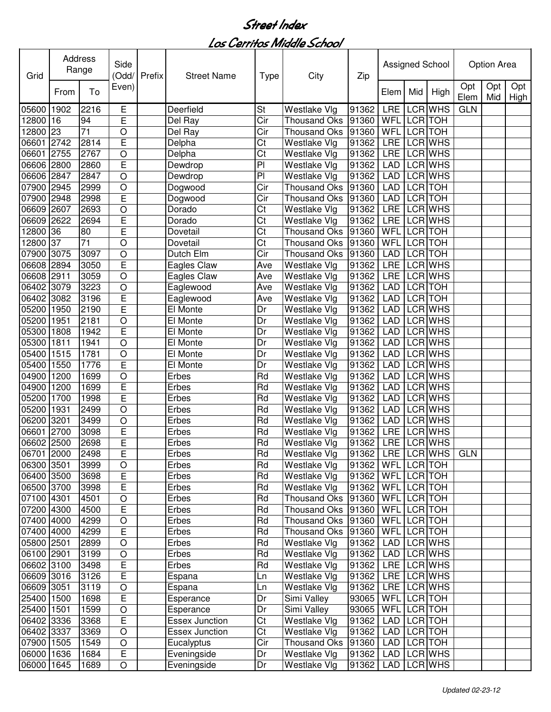| Grid       |      | Address<br>Range | Side<br>(Odd/  | Prefix | <b>Street Name</b>    | <b>Type</b>     | City                 | Zip                 |             |            | Assigned School |             | Option Area |                    |
|------------|------|------------------|----------------|--------|-----------------------|-----------------|----------------------|---------------------|-------------|------------|-----------------|-------------|-------------|--------------------|
|            | From | To               | Even)          |        |                       |                 |                      |                     | Elem        | Mid        | High            | Opt<br>Elem | Opt<br>Mid  | Opt<br><b>High</b> |
| 05600      | 1902 | 2216             | Е              |        | Deerfield             | St              | Westlake Vlg         | 91362               | <b>LRE</b>  |            | LCR WHS         | <b>GLN</b>  |             |                    |
| 12800      | 16   | 94               | E              |        | Del Ray               | Cir             | <b>Thousand Oks</b>  | 91360               | WFL         | LCR TOH    |                 |             |             |                    |
| 12800      | 23   | $\overline{71}$  | $\circ$        |        | Del Ray               | Cir             | <b>Thousand Oks</b>  | 91360               | WFL         |            | LCR TOH         |             |             |                    |
| 06601      | 2742 | 2814             | E              |        | Delpha                | Ct              | Westlake Vlg         | 91362               | <b>LRE</b>  |            | <b>LCR WHS</b>  |             |             |                    |
| 06601      | 2755 | 2767             | $\circ$        |        | Delpha                | Ct              | Westlake Vlg         | 91362               | <b>LRE</b>  |            | LCR WHS         |             |             |                    |
| 06606      | 2800 | 2860             | E              |        | Dewdrop               | P <sub>1</sub>  | Westlake Vlg         | 91362               | <b>LAD</b>  |            | LCR WHS         |             |             |                    |
| 06606      | 2847 | 2847             | $\overline{O}$ |        | Dewdrop               | P <sub>1</sub>  | Westlake Vlg         | 91362               | <b>LAD</b>  |            | LCR WHS         |             |             |                    |
| 07900      | 2945 | 2999             | $\circ$        |        | Dogwood               | Cir             | <b>Thousand Oks</b>  | 91360               | <b>LAD</b>  | LCR TOH    |                 |             |             |                    |
| 07900      | 2948 | 2998             | Ē              |        | Dogwood               | Cir             | <b>Thousand Oks</b>  | 91360               | <b>LAD</b>  | LCR TOH    |                 |             |             |                    |
| 06609      | 2607 | 2693             | $\circ$        |        | Dorado                | Ct              | Westlake Vlg         | 91362               | <b>LRE</b>  |            | LCR WHS         |             |             |                    |
| 06609      | 2622 | 2694             | Ē              |        | Dorado                | Ct              | Westlake Vlg         | 91362               | <b>LRE</b>  |            | LCR WHS         |             |             |                    |
| 12800      | 36   | 80               | Ē              |        | Dovetail              | Ct              | <b>Thousand Oks</b>  | 91360               | WFL         | <b>LCR</b> | <b>TOH</b>      |             |             |                    |
| 12800      | 37   | $\overline{71}$  | $\circ$        |        | Dovetail              | Ct              | <b>Thousand Oks</b>  | 91360               | WFL         | <b>LCR</b> | <b>TOH</b>      |             |             |                    |
| 07900      | 3075 | 3097             | $\circ$        |        | Dutch Elm             | Cir             | Thousand Oks         | 91360               | <b>LAD</b>  | LCR TOH    |                 |             |             |                    |
| 06608      | 2894 | 3050             | Ē              |        | Eagles Claw           | Ave             | Westlake Vlg         | 91362               | LRE         |            | LCR WHS         |             |             |                    |
| 06608      | 2911 | 3059             | $\circ$        |        | Eagles Claw           | Ave             | Westlake Vlg         | 91362               | <b>LRE</b>  |            | <b>LCR WHS</b>  |             |             |                    |
| 06402      | 3079 | 3223             | $\circ$        |        | Eaglewood             | Ave             | Westlake Vlg         | 91362               | <b>LAD</b>  |            | <b>LCR</b> TOH  |             |             |                    |
| 06402      | 3082 | 3196             | Ē              |        | Eaglewood             | Ave             | Westlake Vlg         | 91362               | <b>LAD</b>  |            | <b>LCR TOH</b>  |             |             |                    |
| 05200      | 1950 | 2190             | Ē              |        | El Monte              | Dr              | Westlake Vlg         | 91362               | <b>LAD</b>  |            | <b>LCR WHS</b>  |             |             |                    |
| 05200      | 1951 | 2181             | $\circ$        |        | El Monte              | Dr              | Westlake Vlg         | 91362               | <b>LAD</b>  |            | <b>LCR WHS</b>  |             |             |                    |
| 05300      | 1808 | 1942             | E              |        | El Monte              | Dr              | Westlake Vlg         | 91362               | <b>LAD</b>  |            | <b>LCR WHS</b>  |             |             |                    |
| 05300      | 1811 | 1941             | $\circ$        |        | El Monte              | Dr              | Westlake Vlg         | 91362               | <b>LAD</b>  |            | <b>LCR WHS</b>  |             |             |                    |
| 05400      | 1515 | 1781             | $\overline{O}$ |        | El Monte              | Dr              | Westlake Vlg         | 91362               | <b>LAD</b>  |            | <b>LCR WHS</b>  |             |             |                    |
| 05400      | 1550 | 1776             | E              |        | El Monte              | Dr              | Westlake Vlg         | 91362               | <b>LAD</b>  |            | <b>LCR WHS</b>  |             |             |                    |
| 04900      | 1200 | 1699             | $\circ$        |        | Erbes                 | $\overline{Rd}$ | Westlake Vlg         | 91362               | <b>LAD</b>  |            | <b>LCR WHS</b>  |             |             |                    |
| 04900      | 1200 | 1699             | E              |        | Erbes                 | Rd              | Westlake Vlg         | 91362               | <b>LAD</b>  |            | LCR WHS         |             |             |                    |
| 05200      | 1700 | 1998             | Ē              |        | Erbes                 | Rd              | Westlake Vlg         | 91362               | <b>LAD</b>  |            | LCR WHS         |             |             |                    |
| 05200      | 1931 | 2499             | $\circ$        |        | Erbes                 | Rd              | Westlake Vlg         | 91362               | <b>LAD</b>  |            | LCR WHS         |             |             |                    |
| 06200      | 3201 | 3499             | $\circ$        |        | Erbes                 | Rd              | Westlake Vlg         | 91362               | <b>LAD</b>  |            | LCR WHS         |             |             |                    |
| 06601      | 2700 | 3098             | E              |        | Erbes                 | Rd              | Westlake Vlg         | 91362               | LRE         |            | LCR WHS         |             |             |                    |
| 06602 2500 |      | 2698             | E              |        | Erbes                 | Rd              | Westlake Vlg         | 91362               | <b>LRE</b>  |            | LCR WHS         |             |             |                    |
| 06701 2000 |      | 2498             | E,             |        | Erbes                 | Rd              | Westlake Vlg         | 91362 LRE LCR WHS   |             |            |                 | <b>GLN</b>  |             |                    |
| 06300 3501 |      | 3999             | O              |        | Erbes                 | Rd              | Westlake Vlg         | 91362   WFL LCR TOH |             |            |                 |             |             |                    |
| 06400 3500 |      | 3698             | $\overline{E}$ |        | Erbes                 | Rd              | Westlake Vlg         | 91362   WFL LCR TOH |             |            |                 |             |             |                    |
| 06500 3700 |      | 3998             | E              |        | Erbes                 | Rd              | Westlake Vlg         | 91362               | WFL LCR TOH |            |                 |             |             |                    |
| 07100 4301 |      | 4501             | $\circ$        |        | Erbes                 | Rd              | Thousand Oks 91360   |                     | WFL LCR TOH |            |                 |             |             |                    |
| 07200 4300 |      | 4500             | E              |        | Erbes                 | Rd              | Thousand Oks 91360   |                     | WFL LCR TOH |            |                 |             |             |                    |
| 07400 4000 |      | 4299             | $\circ$        |        | Erbes                 | Rd              | Thousand Oks 91360   |                     | WFL LCR TOH |            |                 |             |             |                    |
| 07400 4000 |      | 4299             | E              |        | Erbes                 | Rd              | Thousand Oks 91360   |                     | WFL LCR TOH |            |                 |             |             |                    |
| 05800 2501 |      | 2899             | $\circ$        |        | Erbes                 | Rd              | Westlake Vlg         | 91362               |             |            | LAD LCR WHS     |             |             |                    |
| 06100 2901 |      | 3199             | $\circ$        |        | Erbes                 | Rd              | Westlake Vlg         | 91362               |             |            | LAD LCR WHS     |             |             |                    |
| 06602 3100 |      | 3498             | E              |        | Erbes                 | Rd              | Westlake Vlg         | 91362               |             |            | LRE LCR WHS     |             |             |                    |
| 06609 3016 |      | 3126             | E              |        | Espana                | Ln              | Westlake Vlg         | 91362               |             |            | LRE LCR WHS     |             |             |                    |
| 06609 3051 |      | 3119             | $\bigcirc$     |        | Espana                | Ln              | Westlake Vlg         | 91362               |             |            | LRE LCR WHS     |             |             |                    |
| 25400 1500 |      | 1698             | E              |        | Esperance             | Dr              | Simi Valley          | 93065               | WFL LCR TOH |            |                 |             |             |                    |
| 25400 1501 |      | 1599             | $\bigcirc$     |        | Esperance             | Dr              | Simi Valley          | 93065               | WFL LCR TOH |            |                 |             |             |                    |
| 06402 3336 |      | 3368             | E              |        | Essex Junction        | Ct              | Westlake Vlg         | 91362               |             |            | LAD LCR TOH     |             |             |                    |
| 06402 3337 |      | 3369             | $\circ$        |        | <b>Essex Junction</b> | Ct              | Westlake Vlg         | 91362               |             |            | LAD LCR TOH     |             |             |                    |
| 07900 1505 |      | 1549             | O              |        | Eucalyptus            | Cir             | Thousand Oks   91360 |                     | LAD LCR TOH |            |                 |             |             |                    |
| 06000 1636 |      | 1684             | E              |        | Eveningside           | Dr              | Westlake Vlg         | 91362               |             |            | LAD LCR WHS     |             |             |                    |
| 06000 1645 |      | 1689             | $\circ$        |        | Eveningside           | Dr              | Westlake Vlg         | 91362               | LAD         |            | LCR WHS         |             |             |                    |
|            |      |                  |                |        |                       |                 |                      |                     |             |            |                 |             |             |                    |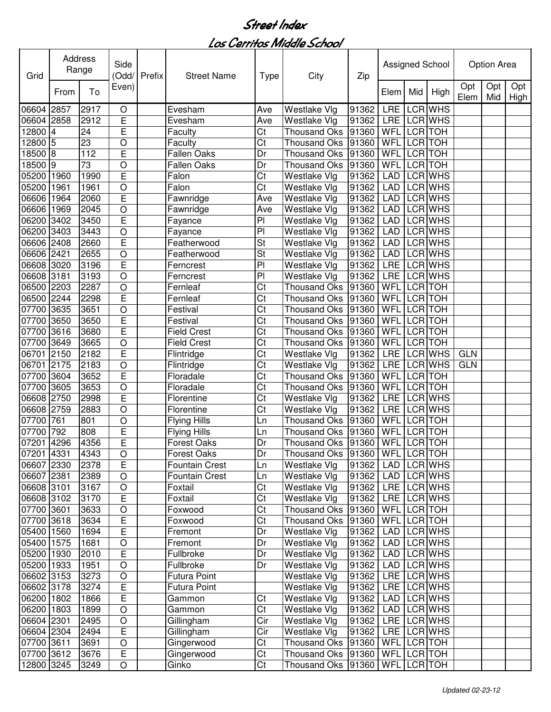| Grid                     |                | <b>Address</b><br>Range | Side<br>(Odd/      | Prefix | <b>Street Name</b>               | <b>Type</b>            | City                                   | Zip            |             |                | Assigned School            |             | Option Area |                    |
|--------------------------|----------------|-------------------------|--------------------|--------|----------------------------------|------------------------|----------------------------------------|----------------|-------------|----------------|----------------------------|-------------|-------------|--------------------|
|                          | From           | To                      | Even)              |        |                                  |                        |                                        |                | Elem        | Mid            | High                       | Opt<br>Elem | Opt<br>Mid  | Opt<br><b>High</b> |
| 06604                    | 2857           | 2917                    | O                  |        | Evesham                          | Ave                    | Westlake Vlg                           | 91362          | <b>LRE</b>  |                | LCR WHS                    |             |             |                    |
| 06604                    | 2858           | 2912                    | E                  |        | Evesham                          | Ave                    | Westlake Vlg                           | 91362          | <b>LRE</b>  |                | LCR WHS                    |             |             |                    |
| 12800                    | $\overline{4}$ | 24                      | E                  |        | Faculty                          | Ct                     | <b>Thousand Oks</b>                    | 91360          | WFL         |                | LCR TOH                    |             |             |                    |
| 12800                    | 5              | 23                      | O                  |        | Faculty                          | Ct                     | <b>Thousand Oks</b>                    | 91360          | WFL         | <b>LCR</b>     | <b>TOH</b>                 |             |             |                    |
| 18500                    | 8              | 112                     | E                  |        | <b>Fallen Oaks</b>               | Dr                     | <b>Thousand Oks</b>                    | 91360          | WFL         | LCR TOH        |                            |             |             |                    |
| 18500                    | 9              | 73                      | O                  |        | <b>Fallen Oaks</b>               | Dr                     | <b>Thousand Oks</b>                    | 91360          | <b>WFL</b>  | LCR TOH        |                            |             |             |                    |
| 05200                    | 1960           | 1990                    | E                  |        | Falon                            | Ct                     | Westlake Vlg                           | 91362          | <b>LAD</b>  |                | LCR WHS                    |             |             |                    |
| 05200                    | 1961           | 1961                    | O                  |        | Falon                            | Ct                     | Westlake Vlg                           | 91362          | <b>LAD</b>  |                | LCR WHS                    |             |             |                    |
| 06606                    | 1964           | 2060                    | Ē                  |        | Fawnridge                        | Ave                    | Westlake Vlg                           | 91362          | <b>LAD</b>  |                | LCR WHS                    |             |             |                    |
| 06606                    | 1969           | 2045                    | $\overline{O}$     |        | Fawnridge                        | Ave                    | Westlake Vlg                           | 91362          | <b>LAD</b>  |                | LCR WHS                    |             |             |                    |
| 06200                    | 3402           | 3450                    | Ē                  |        | Fayance                          | P <sub>1</sub>         | Westlake Vlg                           | 91362          | <b>LAD</b>  |                | LCR WHS                    |             |             |                    |
| 06200                    | 3403           | 3443                    | O                  |        | Fayance                          | P <sub>1</sub>         | Westlake Vlg                           | 91362          | <b>LAD</b>  |                | LCR WHS                    |             |             |                    |
| 06606                    | 2408           | 2660                    | E                  |        | Featherwood                      | St                     | Westlake Vlg                           | 91362          | <b>LAD</b>  |                | LCR WHS                    |             |             |                    |
| 06606                    | 2421           | 2655                    | O                  |        | Featherwood                      | St                     | Westlake Vlg                           | 91362          | <b>LAD</b>  |                | LCR WHS                    |             |             |                    |
| 06608                    | 3020           | 3196                    | E                  |        | Ferncrest                        | P <sub>1</sub>         | Westlake Vlg                           | 91362          | <b>LRE</b>  |                | LCR WHS                    |             |             |                    |
| 06608                    | 3181           | 3193                    | O                  |        | Ferncrest                        | P <sub>1</sub>         | Westlake Vlg                           | 91362          | <b>LRE</b>  |                | <b>LCR WHS</b>             |             |             |                    |
| 06500                    | 2203           | 2287                    | $\circ$            |        | Fernleaf                         | $\overline{\text{Ct}}$ | <b>Thousand Oks</b>                    | 91360          | <b>WFL</b>  | <b>LCR</b> TOH |                            |             |             |                    |
| 06500                    | 2244           | 2298                    | E                  |        | Fernleaf                         | $\overline{\text{Ct}}$ | <b>Thousand Oks</b>                    | 91360          | WFL         | <b>LCR</b> TOH |                            |             |             |                    |
| 07700                    | 3635           | 3651                    | O                  |        | Festival                         | Ct                     | <b>Thousand Oks</b>                    | 91360          | <b>WFL</b>  |                | <b>LCR</b> TOH             |             |             |                    |
| 07700                    | 3650           | 3650                    | E                  |        | Festival                         | Ct                     | <b>Thousand Oks</b>                    | 91360          | <b>WFL</b>  | <b>LCR</b> TOH |                            |             |             |                    |
| 07700                    | 3616           | 3680                    | E                  |        | <b>Field Crest</b>               | Ct                     | <b>Thousand Oks</b>                    | 91360          | <b>WFL</b>  | <b>LCR</b> TOH |                            |             |             |                    |
| 07700                    | 3649           | 3665                    | O                  |        | <b>Field Crest</b>               | $\overline{\text{C}t}$ | <b>Thousand Oks</b>                    | 91360          | <b>WFL</b>  |                | <b>LCR</b> TOH             |             |             |                    |
| 06701                    | 2150           | 2182                    | E                  |        | Flintridge                       | $\overline{\text{C}t}$ | Westlake Vlg                           | 91362          | <b>LRE</b>  |                | <b>LCR WHS</b>             | <b>GLN</b>  |             |                    |
| 06701                    | 2175           | 2183                    | O                  |        | Flintridge                       | $\overline{\text{Ct}}$ | Westlake Vlg                           | 91362          | <b>LRE</b>  |                | <b>LCR WHS</b>             | <b>GLN</b>  |             |                    |
| 07700                    | 3604           | 3652                    | Ē                  |        | Floradale                        | $\overline{\text{C}t}$ | <b>Thousand Oks</b>                    | 91360          | <b>WFL</b>  | <b>LCR</b> TOH |                            |             |             |                    |
| 07700                    | 3605           | 3653                    | $\circ$            |        | Floradale                        | Ct                     | <b>Thousand Oks</b>                    | 91360          | <b>WFL</b>  | LCR TOH        |                            |             |             |                    |
| 06608                    | 2750           | 2998                    | E                  |        | Florentine                       | Ct                     | Westlake Vlg                           | 91362          | LRE         |                | <b>LCR WHS</b>             |             |             |                    |
| 06608                    | 2759           | 2883                    | O                  |        | Florentine                       | Ct                     | Westlake Vlg                           | 91362          | LRE         |                | LCR WHS                    |             |             |                    |
| 07700                    | 761            | 801                     | O                  |        | <b>Flying Hills</b>              | Ln                     | <b>Thousand Oks</b>                    | 91360          | WFL         |                | LCR TOH                    |             |             |                    |
| 07700                    | 792            | 808                     | E                  |        | <b>Flying Hills</b>              | Ln                     | <b>Thousand Oks</b>                    | 91360          | WFL         | <b>LCR</b>     | <b>TOH</b>                 |             |             |                    |
| 07201                    | 4296           | 4356                    | Ē                  |        | <b>Forest Oaks</b>               | Dr                     | Thousand Oks 91360                     |                | WFL         |                | LCR TOH                    |             |             |                    |
| 07201 4331               |                | 4343                    | O                  |        | <b>Forest Oaks</b>               | Dr                     | Thousand Oks  91360   WFL   LCR   TOH  |                |             |                |                            |             |             |                    |
| 06607 2330               |                | 2378                    | E                  |        | <b>Fountain Crest</b>            | Ln                     | Westlake Vlg                           | 91362          |             |                | LAD LCR WHS                |             |             |                    |
| 06607 2381               |                | 2389                    | O                  |        | <b>Fountain Crest</b>            | Ln                     | Westlake Vlg                           | 91362          |             |                | LAD LCR WHS                |             |             |                    |
| 06608 3101               |                | 3167                    | $\bigcirc$         |        | Foxtail                          | Ct                     | Westlake Vlg                           | 91362          | LRE LCR WHS |                |                            |             |             |                    |
| 06608 3102               |                | 3170                    | E                  |        | Foxtail                          | Ct                     | Westlake Vlg                           | 91362          | LRE LCR WHS |                |                            |             |             |                    |
| 07700 3601               |                | 3633                    | O                  |        | Foxwood                          | Ct                     | Thousand Oks 91360                     |                | WFL LCR TOH |                |                            |             |             |                    |
| 07700 3618               |                | 3634                    | E                  |        | Foxwood                          | Ct                     | Thousand Oks 91360                     |                | WFL LCR TOH |                |                            |             |             |                    |
| 05400 1560               |                | 1694                    | E                  |        | Fremont                          | Dr                     | Westlake Vlg                           | 91362          |             |                | LAD LCR WHS                |             |             |                    |
| 05400 1575               |                | 1681                    | $\circ$            |        | Fremont                          | Dr                     | Westlake Vlg                           | 91362          | LAD         |                | LCR WHS                    |             |             |                    |
| 05200 1930               |                | 2010                    | E                  |        | Fullbroke                        | Dr                     | Westlake Vlg                           | 91362          |             |                | LAD LCR WHS                |             |             |                    |
| 05200 1933<br>06602 3153 |                | 1951<br>3273            | $\circ$<br>$\circ$ |        | Fullbroke<br><b>Futura Point</b> | Dr                     | Westlake Vlg<br>Westlake Vlg           | 91362<br>91362 |             |                | LAD LCR WHS<br>LRE LCR WHS |             |             |                    |
| 06602 3178               |                | 3274                    | E                  |        | <b>Futura Point</b>              |                        | Westlake Vlg                           | 91362          |             |                | LRE LCR WHS                |             |             |                    |
| 06200 1802               |                | 1866                    | E                  |        | Gammon                           | Ct                     | Westlake Vlg                           | 91362          |             |                | LAD LCR WHS                |             |             |                    |
| 06200 1803               |                | 1899                    | $\circ$            |        | Gammon                           | Ct                     | Westlake Vlg                           | 91362          |             |                | LAD LCR WHS                |             |             |                    |
| 06604 2301               |                | 2495                    | $\bigcirc$         |        | Gillingham                       | Cir                    | Westlake Vlg                           | 91362          |             |                | LRE LCR WHS                |             |             |                    |
| 06604 2304               |                | 2494                    | E                  |        | Gillingham                       | Cir                    | Westlake Vlg                           | 91362          |             |                | LRE LCR WHS                |             |             |                    |
| 07700 3611               |                | 3691                    | $\bigcirc$         |        | Gingerwood                       | Ct                     | Thousand Oks 91360                     |                | WFL LCR TOH |                |                            |             |             |                    |
| 07700 3612               |                | 3676                    | E                  |        | Gingerwood                       | Ct                     | Thousand Oks   91360                   |                | WFL LCR TOH |                |                            |             |             |                    |
| 12800 3245               |                | 3249                    | O                  |        | Ginko                            | Ct                     | Thousand Oks   91360   WFL   LCR   TOH |                |             |                |                            |             |             |                    |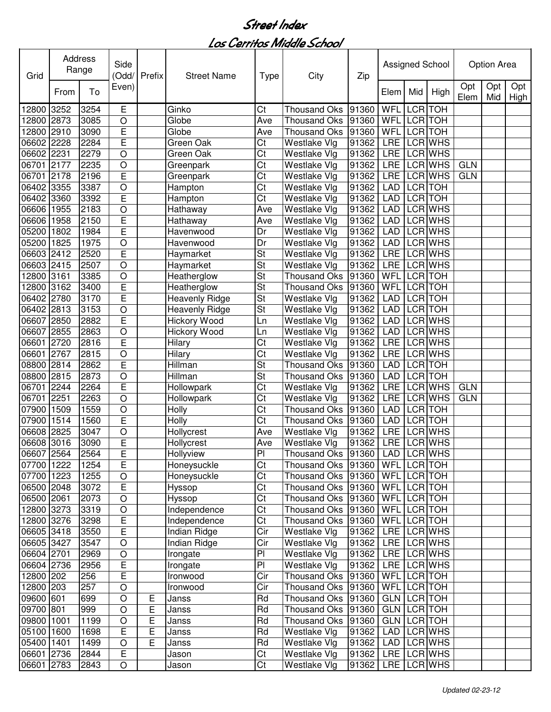| Grid       |      | Address<br>Range | Side<br>(Odd/           | Prefix | <b>Street Name</b>    | <b>Type</b>              | City                           | Zip   |             |                | Assigned School |             | Option Area |             |
|------------|------|------------------|-------------------------|--------|-----------------------|--------------------------|--------------------------------|-------|-------------|----------------|-----------------|-------------|-------------|-------------|
|            | From | To               | Even)                   |        |                       |                          |                                |       | Elem        | Mid            | High            | Opt<br>Elem | Opt<br>Mid  | Opt<br>High |
| 12800      | 3252 | 3254             | Е                       |        | Ginko                 | Ct                       | <b>Thousand Oks</b>            | 91360 | WFL         | <b>LCR</b>     | <b>TOH</b>      |             |             |             |
| 12800      | 2873 | 3085             | O                       |        | Globe                 | Ave                      | <b>Thousand Oks</b>            | 91360 | <b>WFL</b>  | LCR TOH        |                 |             |             |             |
| 12800      | 2910 | 3090             | E                       |        | Globe                 | Ave                      | Thousand Oks 91360             |       | WFL         | LCR TOH        |                 |             |             |             |
| 06602 2228 |      | 2284             | $\overline{\mathsf{E}}$ |        | Green Oak             | Ct                       | Westlake Vlg                   | 91362 | <b>LRE</b>  |                | LCR WHS         |             |             |             |
| 06602 2231 |      | 2279             | $\circ$                 |        | Green Oak             | Ct                       | Westlake Vlg                   | 91362 | <b>LRE</b>  |                | LCR WHS         |             |             |             |
| 06701      | 2177 | 2235             | $\circ$                 |        | Greenpark             | Ct                       | Westlake Vlg                   | 91362 | <b>LRE</b>  |                | LCR WHS         | <b>GLN</b>  |             |             |
| 06701      | 2178 | 2196             | E                       |        | Greenpark             | Ct                       | Westlake Vlg                   | 91362 | <b>LRE</b>  |                | LCR WHS         | <b>GLN</b>  |             |             |
| 06402 3355 |      | 3387             | $\circ$                 |        | Hampton               | Ct                       | Westlake Vlg                   | 91362 | <b>LAD</b>  | LCR TOH        |                 |             |             |             |
| 06402 3360 |      | 3392             | Ē                       |        | Hampton               | Ct                       | Westlake Vlg                   | 91362 | <b>LAD</b>  | LCR TOH        |                 |             |             |             |
| 06606 1955 |      | 2183             | $\circ$                 |        | Hathaway              | Ave                      | Westlake Vlg                   | 91362 | <b>LAD</b>  |                | LCR WHS         |             |             |             |
| 06606 1958 |      | 2150             | E                       |        | Hathaway              | Ave                      | Westlake Vlg                   | 91362 | <b>LAD</b>  |                | LCR WHS         |             |             |             |
| 05200 1802 |      | 1984             | E                       |        | Havenwood             | Dr                       | Westlake Vlg                   | 91362 | <b>LAD</b>  |                | LCR WHS         |             |             |             |
| 05200      | 1825 | 1975             | $\overline{O}$          |        | Havenwood             | Dr                       | Westlake Vlg                   | 91362 | <b>LAD</b>  |                | LCR WHS         |             |             |             |
| 06603 2412 |      | 2520             | Ē                       |        | Haymarket             | St                       | Westlake Vlg                   | 91362 | LRE         |                | LCR WHS         |             |             |             |
| 06603 2415 |      | 2507             | $\circ$                 |        | Haymarket             | St                       | Westlake Vlg                   | 91362 | <b>LRE</b>  |                | LCR WHS         |             |             |             |
| 12800      | 3161 | 3385             | $\circ$                 |        | Heatherglow           | $\overline{\mathsf{St}}$ | <b>Thousand Oks</b>            | 91360 | WFL         | LCR TOH        |                 |             |             |             |
| 12800      | 3162 | 3400             | Ē                       |        | Heatherglow           | <b>St</b>                | Thousand Oks                   | 91360 | WFL         | <b>LCR</b> TOH |                 |             |             |             |
| 06402 2780 |      | 3170             | Ē                       |        | <b>Heavenly Ridge</b> | $\overline{\mathsf{St}}$ | Westlake Vlg                   | 91362 | <b>LAD</b>  | <b>LCR</b> TOH |                 |             |             |             |
| 06402 2813 |      | 3153             | $\circ$                 |        | Heavenly Ridge        | $\overline{\mathsf{St}}$ | Westlake Vlg                   | 91362 | <b>LAD</b>  | LCR TOH        |                 |             |             |             |
| 06607      | 2850 | 2882             | E                       |        | Hickory Wood          | Ln                       | Westlake Vlg                   | 91362 | <b>LAD</b>  |                | LCR WHS         |             |             |             |
| 06607 2855 |      | 2863             | $\circ$                 |        | Hickory Wood          | Ln                       | Westlake Vlg                   | 91362 | <b>LAD</b>  |                | LCR WHS         |             |             |             |
| 06601      | 2720 | 2816             | Ē                       |        | Hilary                | Ct                       | Westlake Vlg                   | 91362 | <b>LRE</b>  |                | LCR WHS         |             |             |             |
| 06601      | 2767 | 2815             | $\circ$                 |        | Hilary                | Ct                       | Westlake Vlg                   | 91362 | <b>LRE</b>  |                | LCR WHS         |             |             |             |
| 08800      | 2814 | 2862             | E                       |        | Hillman               | St                       | <b>Thousand Oks</b>            | 91360 | <b>LAD</b>  | <b>LCR</b> TOH |                 |             |             |             |
| 08800      | 2815 | 2873             | $\overline{O}$          |        | Hillman               | $\overline{\mathsf{St}}$ | <b>Thousand Oks</b>            | 91360 | <b>LAD</b>  | <b>LCR</b> TOH |                 |             |             |             |
| 06701      | 2244 | 2264             | E                       |        | Hollowpark            | Ct                       | Westlake Vlg                   | 91362 | <b>LRE</b>  |                | LCR WHS         | <b>GLN</b>  |             |             |
| 06701      | 2251 | 2263             | $\circ$                 |        | Hollowpark            | Ct                       | Westlake Vlg                   | 91362 | <b>LRE</b>  |                | LCR WHS         | <b>GLN</b>  |             |             |
| 07900      | 1509 | 1559             | $\circ$                 |        | Holly                 | Ct                       | Thousand Oks 91360             |       | <b>LAD</b>  | LCR TOH        |                 |             |             |             |
| 07900      | 1514 | 1560             | E                       |        | Holly                 | Ct                       | Thousand Oks 91360             |       | <b>LAD</b>  | LCR TOH        |                 |             |             |             |
| 06608      | 2825 | 3047             | $\circ$                 |        | Hollycrest            | Ave                      | Westlake Vlg                   | 91362 | <b>LRE</b>  |                | LCR WHS         |             |             |             |
| 06608 3016 |      | 3090             | Ē                       |        | Hollycrest            | Ave                      | Westlake Vlg                   | 91362 |             |                | LRE LCRWHS      |             |             |             |
| 06607 2564 |      | 2564             | $\overline{\mathsf{E}}$ |        | Hollyview             | $\overline{P}$           | Thousand Oks 91360 LAD LCR WHS |       |             |                |                 |             |             |             |
| 07700 1222 |      | 1254             | E                       |        | Honeysuckle           | Ct                       | Thousand Oks 91360             |       | WFL LCR TOH |                |                 |             |             |             |
| 07700 1223 |      | 1255             | $\bigcirc$              |        | Honeysuckle           | Ct                       | Thousand Oks   91360           |       | WFL LCR TOH |                |                 |             |             |             |
| 06500 2048 |      | 3072             | E                       |        | Hyssop                | Ct                       | Thousand Oks 91360             |       | WFL LCR TOH |                |                 |             |             |             |
| 06500 2061 |      | 2073             | $\circ$                 |        | Hyssop                | Ct                       | Thousand Oks 91360             |       | WFL LCR TOH |                |                 |             |             |             |
| 12800 3273 |      | 3319             | $\bigcirc$              |        | Independence          | Ct                       | Thousand Oks 91360             |       | WFL LCR TOH |                |                 |             |             |             |
| 12800 3276 |      | 3298             | E                       |        | Independence          | Ct                       | Thousand Oks 91360             |       | WFL LCR TOH |                |                 |             |             |             |
| 06605 3418 |      | 3550             | E                       |        | Indian Ridge          | Cir                      | Westlake Vlg                   | 91362 | LRE         |                | <b>LCR WHS</b>  |             |             |             |
| 06605 3427 |      | 3547             | $\circ$                 |        | Indian Ridge          | Cir                      | Westlake Vlg                   | 91362 |             |                | LRE LCR WHS     |             |             |             |
| 06604 2701 |      | 2969             | $\circ$                 |        | Irongate              | PI                       | Westlake Vlg                   | 91362 |             |                | LRE LCR WHS     |             |             |             |
| 06604 2736 |      | 2956             | E                       |        | Irongate              | PI                       | Westlake Vlg                   | 91362 |             |                | LRE LCR WHS     |             |             |             |
| 12800 202  |      | 256              | E                       |        | Ironwood              | Cir                      | Thousand Oks 91360             |       | WFL LCR TOH |                |                 |             |             |             |
| 12800 203  |      | 257              | $\circ$                 |        | Ironwood              | Cir                      | Thousand Oks 91360             |       | WFL LCR TOH |                |                 |             |             |             |
| 09600 601  |      | 699              | $\circ$                 | Ε      | Janss                 | Rd                       | Thousand Oks 91360             |       | GLN LCR TOH |                |                 |             |             |             |
| 09700 801  |      | 999              | $\circ$                 | E      | Janss                 | $\overline{Rd}$          | Thousand Oks 91360             |       | GLN LCR TOH |                |                 |             |             |             |
| 09800 1001 |      | 1199             | $\circ$                 | E      | Janss                 | Rd                       | Thousand Oks 91360             |       | GLN LCR TOH |                |                 |             |             |             |
| 05100 1600 |      | 1698             | E                       | E      | Janss                 | Rd                       | Westlake Vlg                   | 91362 | LAD         |                | LCR WHS         |             |             |             |
| 05400 1401 |      | 1499             | $\circ$                 | E      | Janss                 | Rd                       | Westlake Vlg                   | 91362 | LAD         |                | LCR WHS         |             |             |             |
| 06601 2736 |      | 2844             | E                       |        | Jason                 | Ct                       | Westlake Vlg                   | 91362 |             |                | LRE LCR WHS     |             |             |             |
| 06601 2783 |      | 2843             | $\circ$                 |        | Jason                 | Ct                       | Westlake Vlg                   | 91362 |             |                | LRE LCR WHS     |             |             |             |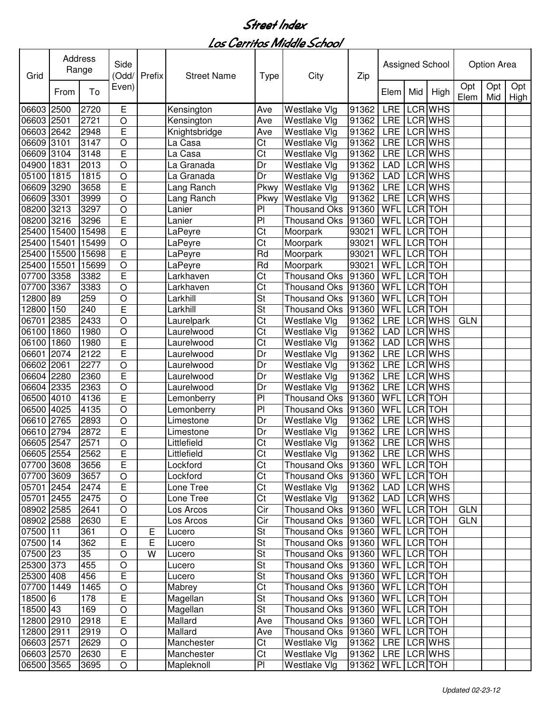| Grid       |       | Address<br>Range | Side<br>(Odd/           | Prefix | <b>Street Name</b> | <b>Type</b>              | City                                  | Zip                   |             |                | Assigned School |             | <b>Option Area</b> |             |
|------------|-------|------------------|-------------------------|--------|--------------------|--------------------------|---------------------------------------|-----------------------|-------------|----------------|-----------------|-------------|--------------------|-------------|
|            | From  | To               | Even)                   |        |                    |                          |                                       |                       | Elem        | Mid            | High            | Opt<br>Elem | Opt<br>Mid         | Opt<br>High |
| 06603      | 2500  | 2720             | E                       |        | Kensington         | Ave                      | Westlake Vlg                          | 91362                 | LRE         |                | LCR WHS         |             |                    |             |
| 06603 2501 |       | 2721             | O                       |        | Kensington         | Ave                      | Westlake Vlg                          | 91362                 | <b>LRE</b>  |                | LCR WHS         |             |                    |             |
| 06603 2642 |       | 2948             | E                       |        | Knightsbridge      | Ave                      | Westlake Vlg                          | 91362                 | <b>LRE</b>  |                | LCR WHS         |             |                    |             |
| 06609      | 3101  | 3147             | O                       |        | La Casa            | Ct                       | Westlake Vlg                          | 91362                 | <b>LRE</b>  |                | LCR WHS         |             |                    |             |
| 06609      | 3104  | 3148             | E                       |        | La Casa            | Ct                       | Westlake Vlg                          | 91362                 | <b>LRE</b>  |                | LCR WHS         |             |                    |             |
| 04900      | 1831  | 2013             | O                       |        | La Granada         | Dr                       | Westlake Vlg                          | 91362                 | <b>LAD</b>  |                | LCR WHS         |             |                    |             |
| 05100      | 1815  | 1815             | O                       |        | La Granada         | Dr                       | Westlake Vlg                          | 91362                 | <b>LAD</b>  |                | LCR WHS         |             |                    |             |
| 06609 3290 |       | 3658             | E                       |        | Lang Ranch         | Pkwy                     | Westlake Vlg                          | 91362                 | <b>LRE</b>  |                | LCR WHS         |             |                    |             |
| 06609 3301 |       | 3999             | $\circ$                 |        | Lang Ranch         | Pkwy                     | Westlake Vlg                          | 91362                 | <b>LRE</b>  |                | LCR WHS         |             |                    |             |
| 08200      | 3213  | 3297             | O                       |        | Lanier             | PI                       | <b>Thousand Oks</b>                   | 91360                 | WFL         | LCR TOH        |                 |             |                    |             |
| 08200      | 3216  | 3296             | Ē                       |        | Lanier             | PI                       | <b>Thousand Oks</b>                   | 91360                 | <b>WFL</b>  | LCR TOH        |                 |             |                    |             |
| 25400      | 15400 | 15498            | $\overline{\mathsf{E}}$ |        | LaPeyre            | Ct                       | Moorpark                              | 93021                 | <b>WFL</b>  | LCR TOH        |                 |             |                    |             |
| 25400      | 15401 | 15499            | $\overline{O}$          |        | LaPeyre            | $\overline{\text{C}t}$   | Moorpark                              | 93021                 | <b>WFL</b>  | <b>LCR</b> TOH |                 |             |                    |             |
| 25400      | 15500 | 15698            | Ē                       |        | LaPeyre            | Rd                       | Moorpark                              | 93021                 | WFL         |                | LCR TOH         |             |                    |             |
| 25400      | 15501 | 15699            | $\circ$                 |        | LaPeyre            | Rd                       | Moorpark                              | 93021                 | WFL         |                | LCR TOH         |             |                    |             |
| 07700      | 3358  | 3382             | Ē                       |        | Larkhaven          | $\overline{\text{C}t}$   | <b>Thousand Oks</b>                   | 91360                 | <b>WFL</b>  |                | <b>LCR</b> TOH  |             |                    |             |
| 07700      | 3367  | 3383             | O                       |        | Larkhaven          | $\overline{\text{C}t}$   | <b>Thousand Oks</b>                   | 91360                 | <b>WFL</b>  |                | <b>LCR</b> TOH  |             |                    |             |
| 12800      | 89    | 259              | O                       |        | Larkhill           | $\overline{\mathsf{St}}$ | <b>Thousand Oks</b>                   | 91360                 | <b>WFL</b>  |                | <b>LCR</b> TOH  |             |                    |             |
| 12800      | 150   | 240              | Ē                       |        | Larkhill           | St                       | <b>Thousand Oks</b>                   | 91360                 | WFL         |                | LCR TOH         |             |                    |             |
| 06701      | 2385  | 2433             | O                       |        | Laurelpark         | $\overline{\text{Ct}}$   | Westlake Vlg                          | 91362                 | <b>LRE</b>  |                | LCR WHS         | <b>GLN</b>  |                    |             |
| 06100      | 1860  | 1980             | $\overline{O}$          |        | Laurelwood         | Ct                       | Westlake Vlg                          | 91362                 | <b>LAD</b>  |                | LCR WHS         |             |                    |             |
| 06100      | 1860  | 1980             | E                       |        | Laurelwood         | Ct                       | Westlake Vlg                          | 91362                 | <b>LAD</b>  |                | <b>LCR WHS</b>  |             |                    |             |
| 06601      | 2074  | 2122             | E                       |        | Laurelwood         | Dr                       | Westlake Vlg                          | 91362                 | <b>LRE</b>  |                | <b>LCR WHS</b>  |             |                    |             |
| 06602      | 2061  | 2277             | O                       |        | Laurelwood         | Dr                       | Westlake Vlg                          | 91362                 | <b>LRE</b>  |                | <b>LCR WHS</b>  |             |                    |             |
| 06604 2280 |       | 2360             | E                       |        | Laurelwood         | Dr                       | Westlake Vlg                          | 91362                 | <b>LRE</b>  |                | <b>LCR WHS</b>  |             |                    |             |
| 06604 2335 |       | 2363             | O                       |        | Laurelwood         | Dr                       | Westlake Vlg                          | 91362                 | <b>LRE</b>  |                | LCR WHS         |             |                    |             |
| 06500 4010 |       | 4136             | E                       |        | Lemonberry         | P <sub>1</sub>           | <b>Thousand Oks</b>                   | 91360                 | WFL         |                | LCR TOH         |             |                    |             |
| 06500      | 4025  | 4135             | $\circ$                 |        | Lemonberry         | PI                       | Thousand Oks                          | 91360                 | <b>WFL</b>  | LCR TOH        |                 |             |                    |             |
| 06610 2765 |       | 2893             | $\circ$                 |        | Limestone          | Dr                       | Westlake Vlg                          | 91362                 | LRE         |                | <b>LCR WHS</b>  |             |                    |             |
| 06610      | 2794  | 2872             | E                       |        | Limestone          | Dr                       | Westlake Vlg                          | 91362                 | LRE         |                | <b>LCR WHS</b>  |             |                    |             |
| 06605      | 2547  | 2571             | O                       |        | Littlefield        | Ct                       | Westlake Vlg                          | 91362                 | <b>LRE</b>  |                | <b>LCR WHS</b>  |             |                    |             |
| 06605 2554 |       | 2562             | E                       |        | Littlefield        | Ct                       | Westlake Vlg                          | 91362 LRE LCR WHS     |             |                |                 |             |                    |             |
| 07700 3608 |       | 3656             | E                       |        | Lockford           | Ct                       | Thousand Oks  91360   WFL   LCR   TOH |                       |             |                |                 |             |                    |             |
| 07700 3609 |       | 3657             | O                       |        | Lockford           | Ct                       | Thousand Oks  91360   WFL   LCR   TOH |                       |             |                |                 |             |                    |             |
| 05701 2454 |       | 2474             | $\overline{E}$          |        | Lone Tree          | Ct                       | Westlake Vlg                          | 91362   LAD   LCR WHS |             |                |                 |             |                    |             |
| 05701 2455 |       | 2475             | $\circ$                 |        | Lone Tree          | Ct                       | Westlake Vlg                          | 91362   LAD   LCR WHS |             |                |                 |             |                    |             |
| 08902 2585 |       | 2641             | $\circ$                 |        | Los Arcos          | Cir                      | Thousand Oks   91360                  |                       | WFL LCR TOH |                |                 | <b>GLN</b>  |                    |             |
| 08902 2588 |       | 2630             | Е                       |        | Los Arcos          | Cir                      | Thousand Oks 91360                    |                       | WFL LCR TOH |                |                 | <b>GLN</b>  |                    |             |
| 07500 11   |       | 361              | $\circ$                 | Е      | Lucero             | St                       | Thousand Oks 91360                    |                       | WFL LCR TOH |                |                 |             |                    |             |
| 07500 14   |       | 362              | E                       | E      | Lucero             | <b>St</b>                | Thousand Oks 91360                    |                       | WFL LCR TOH |                |                 |             |                    |             |
| 07500 23   |       | 35               | $\circ$                 | W      | Lucero             | <b>St</b>                | Thousand Oks   91360                  |                       | WFL LCR TOH |                |                 |             |                    |             |
| 25300 373  |       | 455              | $\circ$                 |        | Lucero             | <b>St</b>                | Thousand Oks 91360                    |                       | WFL LCR TOH |                |                 |             |                    |             |
| 25300 408  |       | 456              | E                       |        | Lucero             | <b>St</b>                | Thousand Oks 91360                    |                       | WFL LCR TOH |                |                 |             |                    |             |
| 07700 1449 |       | 1465             | $\circ$                 |        | Mabrey             | $\overline{\text{C}t}$   | Thousand Oks   91360                  |                       | WFL LCR TOH |                |                 |             |                    |             |
| 18500 6    |       | 178              | E                       |        | Magellan           | $\overline{\mathsf{St}}$ | Thousand Oks   91360                  |                       | WFL LCR TOH |                |                 |             |                    |             |
| 18500 43   |       | 169              | $\bigcirc$              |        | Magellan           | $\overline{\mathsf{St}}$ | Thousand Oks   91360                  |                       | WFL LCR TOH |                |                 |             |                    |             |
| 12800 2910 |       | 2918             | E                       |        | Mallard            | Ave                      | Thousand Oks   91360                  |                       | WFL LCR TOH |                |                 |             |                    |             |
| 12800 2911 |       | 2919             | $\circ$                 |        | Mallard            | Ave                      | Thousand Oks 91360                    |                       | WFL LCR TOH |                |                 |             |                    |             |
| 06603 2571 |       | 2629             | O                       |        | Manchester         | Ct                       | Westlake Vlg                          | 91362                 |             |                | LRE LCR WHS     |             |                    |             |
| 06603 2570 |       | 2630             | E                       |        | Manchester         | Ct                       | Westlake Vlg                          | 91362   LRE   LCR WHS |             |                |                 |             |                    |             |
| 06500 3565 |       | 3695             | $\circ$                 |        | Mapleknoll         | PI                       | Westlake Vlg                          | 91362                 | WFL LCR TOH |                |                 |             |                    |             |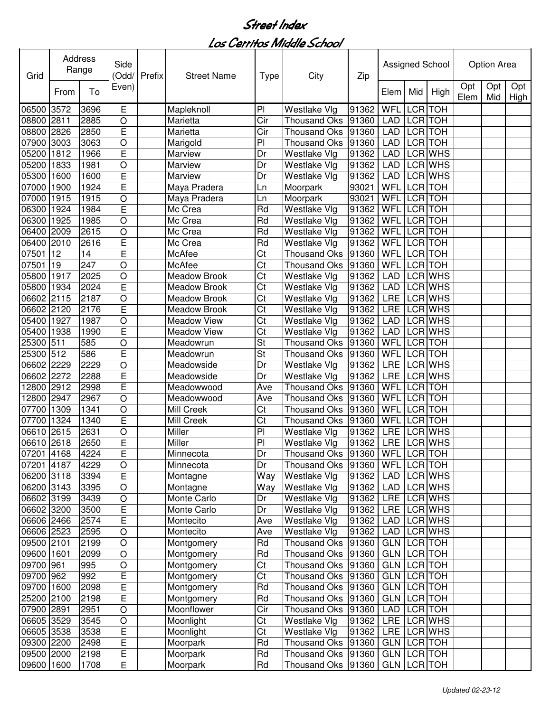| Grid       |      | Address<br>Range | Side<br>(Odd/  | Prefix | <b>Street Name</b>  | <b>Type</b>              | City                                  | Zip   |                    |            | Assigned School |             | <b>Option Area</b> |             |
|------------|------|------------------|----------------|--------|---------------------|--------------------------|---------------------------------------|-------|--------------------|------------|-----------------|-------------|--------------------|-------------|
|            | From | To               | Even)          |        |                     |                          |                                       |       | Elem               | Mid        | High            | Opt<br>Elem | Opt<br>Mid         | Opt<br>High |
| 06500      | 3572 | 3696             | E              |        | Mapleknoll          | PI                       | Westlake Vlg                          | 91362 | WFL                | <b>LCR</b> | <b>TOH</b>      |             |                    |             |
| 08800      | 2811 | 2885             | $\circ$        |        | Marietta            | Cir                      | <b>Thousand Oks</b>                   | 91360 | <b>LAD</b>         |            | LCR TOH         |             |                    |             |
| 08800      | 2826 | 2850             | E              |        | Marietta            | Cir                      | <b>Thousand Oks</b>                   | 91360 | LAD                |            | LCR TOH         |             |                    |             |
| 07900      | 3003 | 3063             | $\circ$        |        | Marigold            | PI                       | <b>Thousand Oks</b>                   | 91360 | LAD                | <b>LCR</b> | <b>TOH</b>      |             |                    |             |
| 05200      | 1812 | 1966             | E              |        | Marview             | Dr                       | Westlake Vlg                          | 91362 | LAD                | <b>LCR</b> | <b>WHS</b>      |             |                    |             |
| 05200      | 1833 | 1981             | $\circ$        |        | Marview             | Dr                       | Westlake Vlg                          | 91362 | <b>LAD</b>         |            | LCR WHS         |             |                    |             |
| 05300      | 1600 | 1600             | E              |        | Marview             | Dr                       | Westlake Vlg                          | 91362 | <b>LAD</b>         |            | LCR WHS         |             |                    |             |
| 07000      | 1900 | 1924             | Ē              |        | Maya Pradera        | Ln                       | Moorpark                              | 93021 | WFL                |            | LCR TOH         |             |                    |             |
| 07000      | 1915 | 1915             | $\overline{O}$ |        | Maya Pradera        | Ln                       | Moorpark                              | 93021 | WFL                |            | LCR TOH         |             |                    |             |
| 06300      | 1924 | 1984             | E              |        | Mc Crea             | Rd                       | Westlake Vlg                          | 91362 | WFL                |            | LCR TOH         |             |                    |             |
| 06300      | 1925 | 1985             | $\overline{O}$ |        | Mc Crea             | Rd                       | Westlake Vlg                          | 91362 | WFL                |            | LCR TOH         |             |                    |             |
| 06400      | 2009 | 2615             | $\circ$        |        | Mc Crea             | Rd                       | Westlake Vlg                          | 91362 | WFL                |            | LCR TOH         |             |                    |             |
| 06400      | 2010 | 2616             | E              |        | Mc Crea             | Rd                       | Westlake Vlg                          | 91362 | WFL                |            | LCR TOH         |             |                    |             |
| 07501      | 12   | 14               | E              |        | McAfee              | Ct                       | <b>Thousand Oks</b>                   | 91360 | WFL                |            | LCR TOH         |             |                    |             |
| 07501      | 19   | 247              | $\circ$        |        | McAfee              | Ct                       | <b>Thousand Oks</b>                   | 91360 | WFL                |            | LCR TOH         |             |                    |             |
| 05800      | 1917 | 2025             | $\circ$        |        | <b>Meadow Brook</b> | $\overline{\text{C}t}$   | Westlake Vlg                          | 91362 | <b>LAD</b>         |            | LCR WHS         |             |                    |             |
| 05800      | 1934 | 2024             | E              |        | <b>Meadow Brook</b> | $\overline{\text{C}t}$   | Westlake Vlg                          | 91362 | <b>LAD</b>         |            | <b>LCR</b> WHS  |             |                    |             |
| 06602      | 2115 | 2187             | $\circ$        |        | <b>Meadow Brook</b> | $\overline{\text{C}t}$   | Westlake Vlg                          | 91362 | <b>LRE</b>         |            | <b>LCR WHS</b>  |             |                    |             |
| 06602      | 2120 | 2176             | $\overline{E}$ |        | <b>Meadow Brook</b> | $\overline{\text{C}t}$   | <b>Westlake Vlg</b>                   | 91362 | <b>LRE</b>         |            | <b>LCR WHS</b>  |             |                    |             |
| 05400      | 1927 | 1987             | $\circ$        |        | <b>Meadow View</b>  | $\overline{\text{Ct}}$   | Westlake Vlg                          | 91362 | <b>LAD</b>         |            | <b>LCR WHS</b>  |             |                    |             |
| 05400      | 1938 | 1990             | E              |        | <b>Meadow View</b>  | $\overline{\text{Ct}}$   | Westlake Vlg                          | 91362 | <b>LAD</b>         |            | <b>LCR WHS</b>  |             |                    |             |
| 25300      | 511  | 585              | $\circ$        |        | Meadowrun           | $\overline{\mathsf{St}}$ | <b>Thousand Oks</b>                   | 91360 | <b>WFL</b>         |            | <b>LCR</b> TOH  |             |                    |             |
| 25300      | 512  | 586              | Ē              |        | Meadowrun           | St                       | Thousand Oks 91360                    |       | WFL                | <b>LCR</b> | <b>TOH</b>      |             |                    |             |
| 06602      | 2229 | 2229             | $\circ$        |        | Meadowside          | Dr                       | Westlake Vlg                          | 91362 | <b>LRE</b>         |            | <b>LCR WHS</b>  |             |                    |             |
| 06602      | 2272 | 2288             | E              |        | Meadowside          | Dr                       | Westlake Vlg                          | 91362 | <b>LRE</b>         |            | <b>LCR WHS</b>  |             |                    |             |
| 12800      | 2912 | 2998             | E              |        | Meadowwood          | Ave                      | <b>Thousand Oks</b>                   | 91360 | WFL                |            | LCR TOH         |             |                    |             |
| 12800      | 2947 | 2967             | $\circ$        |        | Meadowwood          | Ave                      | <b>Thousand Oks</b>                   | 91360 | WFL                | <b>LCR</b> | <b>TOH</b>      |             |                    |             |
| 07700      | 1309 | 1341             | $\circ$        |        | Mill Creek          | Ct                       | <b>Thousand Oks</b>                   | 91360 | WFL                |            | LCR TOH         |             |                    |             |
| 07700      | 1324 | 1340             | E              |        | Mill Creek          | Ct                       | <b>Thousand Oks</b>                   | 91360 | WFL                |            | LCR TOH         |             |                    |             |
| 06610      | 2615 | 2631             | $\circ$        |        | Miller              | PI                       | Westlake Vlg                          | 91362 | <b>LRE</b>         |            | LCR WHS         |             |                    |             |
| 06610 2618 |      | 2650             | E              |        | Miller              | PI                       | Westlake Vlg                          | 91362 | LRE                |            | LCR WHS         |             |                    |             |
| 07201 4168 |      | 4224             | Е              |        | Minnecota           | Dr                       | Thousand Oks  91360   WFL   LCR   TOH |       |                    |            |                 |             |                    |             |
| 07201      | 4187 | 4229             | O              |        | Minnecota           | Dr                       | Thousand Oks 91360                    |       | <b>WFL</b>         |            | LCR TOH         |             |                    |             |
| 06200 3118 |      | 3394             | E              |        | Montagne            | Way                      | Westlake Vlg                          | 91362 | LAD                |            | LCR WHS         |             |                    |             |
| 06200 3143 |      | 3395             | O              |        | Montagne            | Way                      | Westlake Vlg                          | 91362 | <b>LAD</b>         |            | LCR WHS         |             |                    |             |
| 06602 3199 |      | 3439             | O              |        | Monte Carlo         | Dr                       | Westlake Vlg                          | 91362 | LRE                |            | LCR WHS         |             |                    |             |
| 06602 3200 |      | 3500             | E              |        | Monte Carlo         | Dr                       | Westlake Vlg                          | 91362 | LRE                |            | LCR WHS         |             |                    |             |
| 06606 2466 |      | 2574             | E              |        | Montecito           | Ave                      | Westlake Vlg                          | 91362 | <b>LAD</b>         |            | LCR WHS         |             |                    |             |
| 06606 2523 |      | 2595             | $\circ$        |        | Montecito           | Ave                      | Westlake Vlg                          | 91362 | LAD                |            | LCR WHS         |             |                    |             |
| 09500 2101 |      | 2199             | O              |        | Montgomery          | $\overline{R}d$          | Thousand Oks 91360                    |       | <b>GLN</b>         |            | LCR TOH         |             |                    |             |
| 09600      | 1601 | 2099             | $\circ$        |        | Montgomery          | Rd                       | Thousand Oks 91360                    |       | <b>GLN</b>         |            | LCR TOH         |             |                    |             |
| 09700 961  |      | 995              | $\circ$        |        | Montgomery          | $\overline{\text{C}t}$   | Thousand Oks 91360                    |       | <b>GLN LCR TOH</b> |            |                 |             |                    |             |
| 09700 962  |      | 992              | E              |        | Montgomery          | $\overline{\text{C}t}$   | Thousand Oks 91360                    |       | GLN LCR TOH        |            |                 |             |                    |             |
| 09700      | 1600 | 2098             | E              |        | Montgomery          | Rd                       | Thousand Oks 91360                    |       | GLN LCR TOH        |            |                 |             |                    |             |
| 25200      | 2100 | 2198             | E              |        | Montgomery          | Rd                       | Thousand Oks 91360                    |       | <b>GLN</b>         |            | LCR TOH         |             |                    |             |
| 07900      | 2891 | 2951             | $\circ$        |        | Moonflower          | Cir                      | Thousand Oks 91360                    |       | LAD                |            | LCR TOH         |             |                    |             |
| 06605 3529 |      | 3545             | O              |        | Moonlight           | Ct                       | Westlake Vlg                          | 91362 | LRE                |            | LCR WHS         |             |                    |             |
| 06605 3538 |      | 3538             | E              |        | Moonlight           | $\overline{\text{C}t}$   | Westlake Vlg                          | 91362 | LRE                |            | LCR WHS         |             |                    |             |
| 09300 2200 |      | 2498             | E              |        | Moorpark            | Rd                       | Thousand Oks 91360                    |       | <b>GLN</b>         |            | LCR TOH         |             |                    |             |
| 09500 2000 |      | 2198             | E              |        | Moorpark            | Rd                       | Thousand Oks 91360                    |       | GLN LCR TOH        |            |                 |             |                    |             |
| 09600      | 1600 | 1708             | E              |        | Moorpark            | Rd                       | Thousand Oks 91360                    |       | GLN LCR TOH        |            |                 |             |                    |             |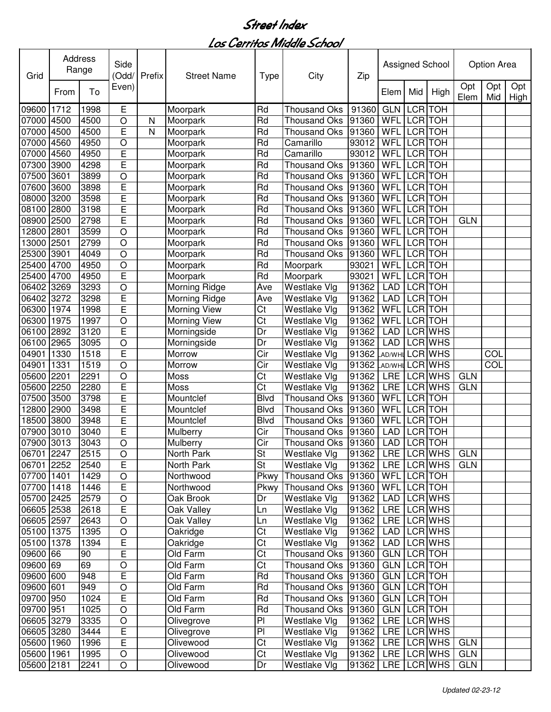| Grid           |              | Address<br>Range | Side<br>(Odd/  | Prefix | <b>Street Name</b>       | <b>Type</b>                | City                                       | Zip                  |             |            | Assigned School |             | Option Area      |                    |
|----------------|--------------|------------------|----------------|--------|--------------------------|----------------------------|--------------------------------------------|----------------------|-------------|------------|-----------------|-------------|------------------|--------------------|
|                | From         | To               | Even)          |        |                          |                            |                                            |                      | Elem        | Mid        | High            | Opt<br>Elem | Opt<br>Mid       | Opt<br><b>High</b> |
| 09600          | 1712         | 1998             | Е              |        | Moorpark                 | Rd                         | <b>Thousand Oks</b>                        | 91360                | <b>GLN</b>  | <b>LCR</b> | <b>TOH</b>      |             |                  |                    |
| 07000          | 4500         | 4500             | $\circ$        | N      | Moorpark                 | Rd                         | <b>Thousand Oks</b>                        | 91360                | WFL         |            | LCR TOH         |             |                  |                    |
| 07000          | 4500         | 4500             | E              | N      | Moorpark                 | Rd                         | <b>Thousand Oks</b>                        | 91360                | WFL         |            | LCR TOH         |             |                  |                    |
| 07000          | 4560         | 4950             | O              |        | Moorpark                 | Rd                         | Camarillo                                  | 93012                | WFL         | <b>LCR</b> | <b>TOH</b>      |             |                  |                    |
| 07000          | 4560         | 4950             | E              |        | Moorpark                 | Rd                         | Camarillo                                  | 93012                | WFL         | <b>LCR</b> | <b>TOH</b>      |             |                  |                    |
| 07300          | 3900         | 4298             | E              |        | Moorpark                 | Rd                         | <b>Thousand Oks</b>                        | 91360                | WFL         | <b>LCR</b> | <b>TOH</b>      |             |                  |                    |
| 07500          | 3601         | 3899             | $\overline{O}$ |        | Moorpark                 | Rd                         | <b>Thousand Oks</b>                        | 91360                | WFL         |            | LCR TOH         |             |                  |                    |
| 07600          | 3600         | 3898             | E              |        | Moorpark                 | Rd                         | <b>Thousand Oks</b>                        | 91360                | WFL         |            | LCR TOH         |             |                  |                    |
| 08000          | 3200         | 3598             | Ē              |        | Moorpark                 | Rd                         | <b>Thousand Oks</b>                        | 91360                | WFL         | <b>LCR</b> | <b>TOH</b>      |             |                  |                    |
| 08100          | 2800         | 3198             | Ē              |        | Moorpark                 | Rd                         | <b>Thousand Oks</b>                        | 91360                | WFL         | <b>LCR</b> | <b>TOH</b>      |             |                  |                    |
| 08900          | 2500         | 2798             | Ē              |        | Moorpark                 | Rd                         | <b>Thousand Oks</b>                        | 91360                | WFL         | <b>LCR</b> | <b>TOH</b>      | <b>GLN</b>  |                  |                    |
| 12800          | 2801         | 3599             | $\circ$        |        | Moorpark                 | Rd                         | <b>Thousand Oks</b>                        | 91360                | WFL         | <b>LCR</b> | <b>TOH</b>      |             |                  |                    |
| 13000          | 2501         | 2799             | $\circ$        |        | Moorpark                 | Rd                         | <b>Thousand Oks</b>                        | 91360                | WFL         | <b>LCR</b> | <b>TOH</b>      |             |                  |                    |
| 25300          | 3901         | 4049             | $\circ$        |        | Moorpark                 | Rd                         | <b>Thousand Oks</b>                        | 91360                | WFL         |            | <b>LCR</b> TOH  |             |                  |                    |
| 25400          | 4700         | 4950             | $\circ$        |        | Moorpark                 | Rd                         | Moorpark                                   | 93021                | WFL         |            | LCR TOH         |             |                  |                    |
| 25400          | 4700         | 4950             | Ē              |        | Moorpark                 | Rd                         | Moorpark                                   | 93021                | WFL         |            | <b>LCR</b> TOH  |             |                  |                    |
| 06402          | 3269         | 3293             | $\overline{O}$ |        | Morning Ridge            | Ave                        | Westlake Vlg                               | 91362                | LAD         |            | <b>LCR</b> TOH  |             |                  |                    |
| 06402          | 3272         | 3298             | Ē              |        | Morning Ridge            | Ave                        | Westlake Vlg                               | 91362                | LAD         |            | <b>LCR</b> TOH  |             |                  |                    |
| 06300          | 1974         | 1998             | Ē              |        | <b>Morning View</b>      | $\overline{\text{Ct}}$     | Westlake Vlg                               | 91362                | WFL         |            | <b>LCR</b> TOH  |             |                  |                    |
| 06300          | 1975         | 1997             | $\circ$        |        | <b>Morning View</b>      | Ct                         | Westlake Vlg                               | 91362                | WFL         |            | <b>LCR</b> TOH  |             |                  |                    |
| 06100          | 2892         | 3120             | E              |        | Morningside              | Dr                         | Westlake Vlg                               | 91362                | <b>LAD</b>  |            | <b>LCR WHS</b>  |             |                  |                    |
| 06100          | 2965         | 3095             | $\circ$        |        | Morningside              | Dr                         | Westlake Vlg                               | 91362                | <b>LAD</b>  |            | <b>LCR WHS</b>  |             |                  |                    |
| 04901          | 1330         | 1518             | Ē              |        | Morrow                   | $\overline{\text{Cir}}$    | Westlake Vlg                               | 91362 AD/WHI LCR WHS |             |            |                 |             | $\overline{COL}$ |                    |
| 04901          | 1331         | 1519             | $\circ$        |        | Morrow                   | $\overline{\text{Cir}}$    | Westlake Vlg                               | 91362 AD/WHI LCR WHS |             |            |                 |             | COL              |                    |
| 05600          | 2201         | 2291             | $\circ$        |        | Moss                     | $\overline{\text{Ct}}$     | Westlake Vlg                               | 91362                | <b>LRE</b>  |            | <b>LCR WHS</b>  | <b>GLN</b>  |                  |                    |
| 05600          | 2250         | 2280             | E<br>Ē         |        | Moss                     | Ct                         | Westlake Vlg                               | 91362                | <b>LRE</b>  | LCR TOH    | LCR WHS         | <b>GLN</b>  |                  |                    |
| 07500          | 3500         | 3798             | Ē              |        | Mountclef                | <b>Blvd</b><br><b>Blvd</b> | <b>Thousand Oks</b>                        | 91360                | WFL         | LCR TOH    |                 |             |                  |                    |
| 12800          | 2900         | 3498<br>3948     | Ē              |        | Mountclef                | <b>Blvd</b>                | <b>Thousand Oks</b>                        | 91360                | WFL<br>WFL  | <b>LCR</b> | <b>TOH</b>      |             |                  |                    |
| 18500<br>07900 | 3800<br>3010 |                  | E              |        | Mountclef                | Cir                        | <b>Thousand Oks</b>                        | 91360<br>91360       | <b>LAD</b>  | <b>LCR</b> | <b>TOH</b>      |             |                  |                    |
| 07900          | 3013         | 3040<br>3043     | $\circ$        |        | Mulberry<br>Mulberry     | Cir                        | <b>Thousand Oks</b><br><b>Thousand Oks</b> | 91360                | <b>LAD</b>  |            | LCR TOH         |             |                  |                    |
| 06701 2247     |              | 2515             | $\overline{O}$ |        |                          |                            |                                            | 91362   LRE LCR WHS  |             |            |                 | <b>GLN</b>  |                  |                    |
| 06701 2252     |              | 2540             | E              |        | North Park<br>North Park | St<br>St                   | Westlake Vlg<br>Westlake Vlg               | 91362                | LRE LCRWHS  |            |                 | <b>GLN</b>  |                  |                    |
| 07700 1401     |              | 1429             | $\bigcirc$     |        | Northwood                | Pkwy                       | Thousand Oks   91360                       |                      | WFL LCR TOH |            |                 |             |                  |                    |
| 07700 1418     |              | 1446             | $\overline{E}$ |        | Northwood                | Pkwy                       | Thousand Oks   91360                       |                      | WFL LCR TOH |            |                 |             |                  |                    |
| 05700 2425     |              | 2579             | $\bigcirc$     |        | Oak Brook                | Dr                         | Westlake Vlg                               | 91362                | <b>LAD</b>  |            | LCR WHS         |             |                  |                    |
| 06605 2538     |              | 2618             | $\overline{E}$ |        | Oak Valley               | Ln                         | Westlake Vlg                               | 91362                | LRE LCR WHS |            |                 |             |                  |                    |
| 06605 2597     |              | 2643             | $\circ$        |        | Oak Valley               | Ln                         | Westlake Vlg                               | 91362                | LRE LCR WHS |            |                 |             |                  |                    |
| 05100 1375     |              | 1395             | $\bigcirc$     |        | Oakridge                 | Ct                         | Westlake Vlg                               | 91362                | LAD         |            | LCR WHS         |             |                  |                    |
| 05100 1378     |              | 1394             | $\overline{E}$ |        | Oakridge                 | Ct                         | Westlake Vlg                               | 91362                | LAD         |            | LCR WHS         |             |                  |                    |
| 09600 66       |              | 90               | E              |        | Old Farm                 | Ct                         | Thousand Oks 91360                         |                      | GLN LCR TOH |            |                 |             |                  |                    |
| 09600 69       |              | 69               | $\circ$        |        | Old Farm                 | Ct                         | <b>Thousand Oks</b>                        | 91360                | GLN LCR TOH |            |                 |             |                  |                    |
| 09600 600      |              | 948              | E              |        | Old Farm                 | Rd                         | Thousand Oks 91360                         |                      | GLN LCR TOH |            |                 |             |                  |                    |
| 09600 601      |              | 949              | $\bigcirc$     |        | Old Farm                 | Rd                         | Thousand Oks 91360                         |                      | GLN LCR TOH |            |                 |             |                  |                    |
| 09700 950      |              | 1024             | E              |        | Old Farm                 | Rd                         | Thousand Oks 91360                         |                      | GLN LCR TOH |            |                 |             |                  |                    |
| 09700 951      |              | 1025             | $\bigcirc$     |        | Old Farm                 | Rd                         | Thousand Oks 91360                         |                      | GLN LCR TOH |            |                 |             |                  |                    |
| 06605 3279     |              | 3335             | $\bigcirc$     |        | Olivegrove               | PI                         | Westlake Vlg                               | 91362                |             |            | LRE LCR WHS     |             |                  |                    |
| 06605 3280     |              | 3444             | E              |        | Olivegrove               | PI                         | Westlake Vlg                               | 91362                |             |            | LRE LCR WHS     |             |                  |                    |
| 05600 1960     |              | 1996             | E              |        | Olivewood                | Ct                         | Westlake Vlg                               | 91362                |             |            | LRE LCR WHS     | <b>GLN</b>  |                  |                    |
| 05600 1961     |              | 1995             | $\bigcirc$     |        | Olivewood                | Ct                         | Westlake Vlg                               | 91362                |             |            | LRE LCR WHS     | <b>GLN</b>  |                  |                    |
| 05600 2181     |              | 2241             | O              |        | Olivewood                | Dr                         | Westlake Vlg                               | 91362                |             |            | LRE LCR WHS     | <b>GLN</b>  |                  |                    |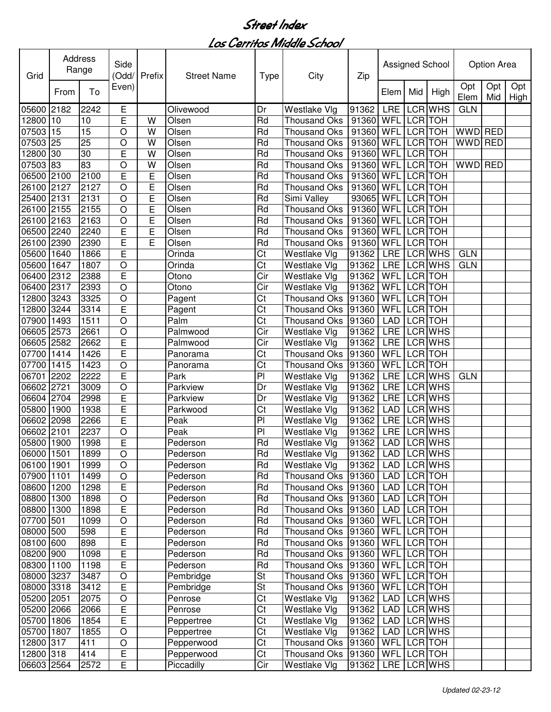| Grid       |      | Address<br>Range | Side<br>(Odd/           | Prefix | <b>Street Name</b> | <b>Type</b>              | City                | Zip               |             |                | Assigned School |             | Option Area |             |
|------------|------|------------------|-------------------------|--------|--------------------|--------------------------|---------------------|-------------------|-------------|----------------|-----------------|-------------|-------------|-------------|
|            | From | To               | Even)                   |        |                    |                          |                     |                   | Elem        | Mid            | High            | Opt<br>Elem | Opt<br>Mid  | Opt<br>High |
| 05600      | 2182 | 2242             | Е                       |        | Olivewood          | Dr                       | Westlake Vlg        | 91362             | <b>LRE</b>  |                | LCR WHS         | <b>GLN</b>  |             |             |
| 12800      | 10   | 10               | E                       | W      | Olsen              | Rd                       | <b>Thousand Oks</b> | 91360             | <b>WFL</b>  | LCR TOH        |                 |             |             |             |
| 07503      | 15   | 15               | $\circ$                 | W      | Olsen              | Rd                       | <b>Thousand Oks</b> | 91360             | WFL         |                | LCR TOH         | <b>WWD</b>  | <b>RED</b>  |             |
| 07503      | 25   | $\overline{25}$  | $\circ$                 | W      | Olsen              | Rd                       | <b>Thousand Oks</b> | 91360             | WFL         | LCR TOH        |                 | <b>WWD</b>  | <b>RED</b>  |             |
| 12800      | 30   | 30               | E                       | W      | Olsen              | Rd                       | <b>Thousand Oks</b> | 91360             | WFL         | <b>LCR</b>     | <b>TOH</b>      |             |             |             |
| 07503      | 83   | 83               | $\circ$                 | W      | Olsen              | Rd                       | <b>Thousand Oks</b> | 91360             | WFL         | LCR TOH        |                 | <b>WWD</b>  | <b>RED</b>  |             |
| 06500      | 2100 | 2100             | E                       | E      | Olsen              | Rd                       | <b>Thousand Oks</b> | 91360             | <b>WFL</b>  | <b>LCR</b>     | <b>TOH</b>      |             |             |             |
| 26100      | 2127 | 2127             | O                       | E      | Olsen              | Rd                       | <b>Thousand Oks</b> | 91360             | WFL         | LCR TOH        |                 |             |             |             |
| 25400      | 2131 | 2131             | $\circ$                 | E      | Olsen              | Rd                       | Simi Valley         | 93065             | <b>WFL</b>  | LCR TOH        |                 |             |             |             |
| 26100 2155 |      | 2155             | $\circ$                 | E      | Olsen              | Rd                       | <b>Thousand Oks</b> | 91360             | WFL         | LCR TOH        |                 |             |             |             |
| 26100 2163 |      | 2163             | $\circ$                 | E      | Olsen              | Rd                       | Thousand Oks        | 91360             | WFL LCR TOH |                |                 |             |             |             |
| 06500 2240 |      | 2240             | E                       | E      | Olsen              | Rd                       | <b>Thousand Oks</b> | 91360             | <b>WFL</b>  | LCR TOH        |                 |             |             |             |
| 26100      | 2390 | 2390             | Ē                       | E      | Olsen              | Rd                       | <b>Thousand Oks</b> | 91360             | WFL         | LCR TOH        |                 |             |             |             |
| 05600      | 1640 | 1866             | Ē                       |        | Orinda             | Ct                       | Westlake Vlg        | 91362             | LRE         |                | LCR WHS         | <b>GLN</b>  |             |             |
| 05600      | 1647 | 1807             | $\circ$                 |        | <b>Orinda</b>      | Ct                       | Westlake Vlg        | 91362             | <b>LRE</b>  |                | LCR WHS         | <b>GLN</b>  |             |             |
| 06400      | 2312 | 2388             | E                       |        | Otono              | Cir                      | Westlake Vlg        | 91362             | <b>WFL</b>  |                | <b>LCR</b> TOH  |             |             |             |
| 06400      | 2317 | 2393             | $\circ$                 |        | Otono              | Cir                      | Westlake Vlg        | 91362             | WFL         |                | <b>LCR</b> TOH  |             |             |             |
| 12800      | 3243 | 3325             | $\circ$                 |        | Pagent             | Ct                       | <b>Thousand Oks</b> | 91360             | WFL         |                | <b>LCR</b> TOH  |             |             |             |
| 12800      | 3244 | 3314             | E                       |        | Pagent             | Ct                       | <b>Thousand Oks</b> | 91360             | WFL         |                | <b>LCR</b> TOH  |             |             |             |
| 07900      | 1493 | 1511             | $\circ$                 |        | Palm               | $\overline{\text{Ct}}$   | Thousand Oks 91360  |                   | <b>LAD</b>  |                | LCR TOH         |             |             |             |
| 06605 2573 |      | 2661             | $\circ$                 |        | Palmwood           | Cir                      | Westlake Vlg        | 91362             | <b>LRE</b>  |                | LCR WHS         |             |             |             |
| 06605 2582 |      | 2662             | E                       |        | Palmwood           | Cir                      | Westlake Vlg        | 91362             | <b>LRE</b>  |                | <b>LCR WHS</b>  |             |             |             |
| 07700      | 1414 | 1426             | E                       |        | Panorama           | Ct                       | <b>Thousand Oks</b> | 91360             | WFL         | <b>LCR</b> TOH |                 |             |             |             |
| 07700      | 1415 | 1423             | $\overline{O}$          |        | Panorama           | $\overline{\text{Ct}}$   | <b>Thousand Oks</b> | 91360             | <b>WFL</b>  |                | <b>LCR</b> TOH  |             |             |             |
| 06701      | 2202 | 2222             | Ē                       |        | Park               | $\overline{P}$           | Westlake Vlg        | 91362             | <b>LRE</b>  |                | <b>LCR WHS</b>  | <b>GLN</b>  |             |             |
| 06602 2721 |      | 3009             | $\circ$                 |        | Parkview           | Dr                       | Westlake Vlg        | 91362             | <b>LRE</b>  |                | LCR WHS         |             |             |             |
| 06604 2704 |      | 2998             | E                       |        | Parkview           | Dr                       | Westlake Vlg        | 91362             | <b>LRE</b>  |                | <b>LCR WHS</b>  |             |             |             |
| 05800      | 1900 | 1938             | $\overline{\mathsf{E}}$ |        | Parkwood           | Ct                       | Westlake Vlg        | 91362             | <b>LAD</b>  |                | LCR WHS         |             |             |             |
| 06602      | 2098 | 2266             | Ē                       |        | Peak               | P <sub>1</sub>           | Westlake Vlg        | 91362             | <b>LRE</b>  |                | LCR WHS         |             |             |             |
| 06602      | 2101 | 2237             | $\circ$                 |        | Peak               | P <sub>1</sub>           | Westlake Vlg        | 91362             | LRE         |                | LCR WHS         |             |             |             |
| 05800 1900 |      | 1998             | E                       |        | Pederson           | Rd                       | Westlake Vlg        | 91362             | <b>LAD</b>  |                | <b>LCR WHS</b>  |             |             |             |
| 06000 1501 |      | 1899             | $\overline{O}$          |        | Pederson           | Rd                       | Westlake Vlg        | 91362 LAD LCR WHS |             |                |                 |             |             |             |
| 06100 1901 |      | 1999             | $\circ$                 |        | Pederson           | Rd                       | Westlake Vlg        | 91362             |             |                | LAD LCR WHS     |             |             |             |
| 07900 1101 |      | 1499             | O                       |        | Pederson           | Rd                       | Thousand Oks 91360  |                   | LAD LCR TOH |                |                 |             |             |             |
| 08600 1200 |      | 1298             | E                       |        | Pederson           | Rd                       | Thousand Oks 91360  |                   |             |                | LAD LCR TOH     |             |             |             |
| 08800 1300 |      | 1898             | O                       |        | Pederson           | Rd                       | Thousand Oks 91360  |                   | LAD LCR TOH |                |                 |             |             |             |
| 08800 1300 |      | 1898             | $\overline{E}$          |        | Pederson           | Rd                       | Thousand Oks 91360  |                   | LAD LCR TOH |                |                 |             |             |             |
| 07700 501  |      | 1099             | $\circ$                 |        | Pederson           | Rd                       | Thousand Oks 91360  |                   | WFL LCR TOH |                |                 |             |             |             |
| 08000 500  |      | 598              | E                       |        | Pederson           | Rd                       | Thousand Oks 91360  |                   | WFL LCR TOH |                |                 |             |             |             |
| 08100 600  |      | 898              | E                       |        | Pederson           | Rd                       | Thousand Oks 91360  |                   | WFL LCR TOH |                |                 |             |             |             |
| 08200 900  |      | 1098             | E                       |        | Pederson           | Rd                       | Thousand Oks 91360  |                   | WFL LCR TOH |                |                 |             |             |             |
| 08300 1100 |      | 1198             | E                       |        | Pederson           | Rd                       | Thousand Oks 91360  |                   | WFL LCR TOH |                |                 |             |             |             |
| 08000 3237 |      | 3487             | $\circ$                 |        | Pembridge          | $\overline{\mathsf{St}}$ | Thousand Oks 91360  |                   | WFL LCR TOH |                |                 |             |             |             |
| 08000 3318 |      | 3412             | E                       |        | Pembridge          | $\overline{\mathsf{St}}$ | Thousand Oks 91360  |                   | WFL LCR TOH |                |                 |             |             |             |
| 05200 2051 |      | 2075             | $\bigcirc$              |        | Penrose            | $\overline{\text{Ct}}$   | Westlake Vlg        | 91362             |             |                | LAD LCR WHS     |             |             |             |
| 05200 2066 |      | 2066             | E                       |        | Penrose            | Ct                       | Westlake Vlg        | 91362             | LAD         |                | LCR WHS         |             |             |             |
| 05700 1806 |      | 1854             | E                       |        | Peppertree         | Ct                       | Westlake Vlg        | 91362             | LAD         |                | LCR WHS         |             |             |             |
| 05700 1807 |      | 1855             | $\circ$                 |        | Peppertree         | Ct                       | Westlake Vlg        | 91362             |             |                | LAD LCR WHS     |             |             |             |
| 12800 317  |      | 411              | O                       |        | Pepperwood         | Ct                       | Thousand Oks 91360  |                   | WFL LCR TOH |                |                 |             |             |             |
| 12800 318  |      | 414              | Е                       |        | Pepperwood         | Ct                       | Thousand Oks 91360  |                   | WFL LCR TOH |                |                 |             |             |             |
| 06603 2564 |      | 2572             | E                       |        | Piccadilly         | Cir                      | Westlake Vlg        | 91362             |             |                | LRE LCR WHS     |             |             |             |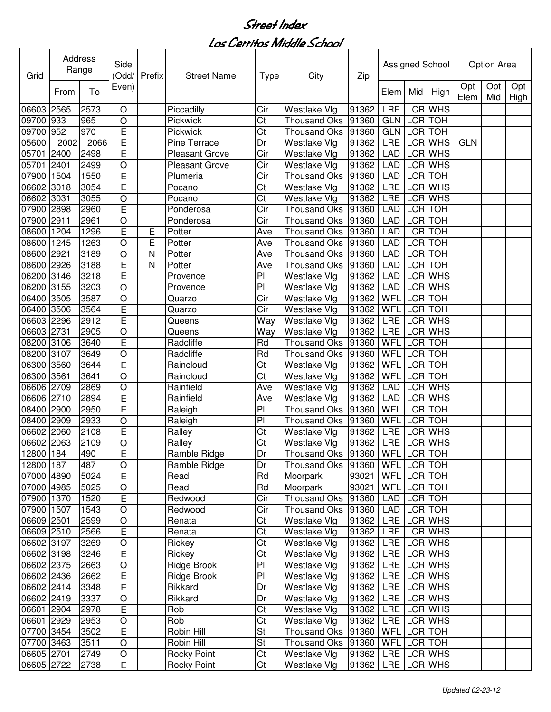| Grid                     |      | Address<br>Range | Side           | (Odd/ Prefix | <b>Street Name</b>     | <b>Type</b>              | City                               | Zip                   |                          |         | Assigned School           |             | Option Area |             |
|--------------------------|------|------------------|----------------|--------------|------------------------|--------------------------|------------------------------------|-----------------------|--------------------------|---------|---------------------------|-------------|-------------|-------------|
|                          | From | To               | Even)          |              |                        |                          |                                    |                       | Elem                     | Mid     | High                      | Opt<br>Elem | Opt<br>Mid  | Opt<br>High |
| 06603 2565               |      | 2573             | O              |              | Piccadilly             | Cir                      | Westlake Vlg                       | 91362                 | <b>LRE</b>               |         | LCR WHS                   |             |             |             |
| 09700                    | 933  | 965              | O              |              | Pickwick               | Ct                       | Thousand Oks                       | 91360                 | <b>GLN</b>               |         | LCR TOH                   |             |             |             |
| 09700                    | 952  | 970              | E              |              | Pickwick               | Ct                       | Thousand Oks 91360                 |                       | GLN                      |         | LCR TOH                   |             |             |             |
| 05600                    | 2002 | 2066             | E              |              | <b>Pine Terrace</b>    | Dr                       | Westlake Vlg                       | 91362                 | LRE                      |         | LCR WHS                   | <b>GLN</b>  |             |             |
| 05701                    | 2400 | 2498             | E              |              | <b>Pleasant Grove</b>  | Cir                      | Westlake Vlg                       | 91362                 | <b>LAD</b>               |         | LCR WHS                   |             |             |             |
| 05701                    | 2401 | 2499             | $\circ$        |              | <b>Pleasant Grove</b>  | Cir                      | Westlake Vlg                       | 91362                 | <b>LAD</b>               |         | LCR WHS                   |             |             |             |
| 07900                    | 1504 | 1550             | E              |              | Plumeria               | Cir                      | <b>Thousand Oks</b>                | 91360                 | <b>LAD</b>               |         | LCR TOH                   |             |             |             |
| 06602                    | 3018 | 3054             | E              |              | Pocano                 | Ct                       | Westlake Vlg                       | 91362                 | LRE                      |         | LCR WHS                   |             |             |             |
| 06602                    | 3031 | 3055             | $\circ$        |              | Pocano                 | Ct                       | Westlake Vlg                       | 91362                 | LRE                      |         | LCR WHS                   |             |             |             |
| 07900                    | 2898 | 2960             | E              |              | Ponderosa              | Cir                      | <b>Thousand Oks</b>                | 91360                 | <b>LAD</b>               |         | LCR TOH                   |             |             |             |
| 07900 2911               |      | 2961             | $\circ$        |              | Ponderosa              | Cir                      | Thousand Oks 91360                 |                       | <b>LAD</b>               |         | LCR TOH                   |             |             |             |
| 08600                    | 1204 | 1296             | Ē              | Ε            | Potter                 | Ave                      | Thousand Oks                       | 91360                 | <b>LAD</b>               |         | <b>LCR</b> TOH            |             |             |             |
| 08600                    | 1245 | 1263             | $\circ$        | E            | Potter                 | Ave                      | <b>Thousand Oks</b>                | 91360                 | <b>LAD</b>               |         | LCR TOH                   |             |             |             |
| 08600                    | 2921 | 3189             | O              | N            | Potter                 | Ave                      | Thousand Oks                       | 91360                 | <b>LAD</b>               |         | LCR TOH                   |             |             |             |
| 08600                    | 2926 | 3188             | E              | N            | Potter                 | Ave                      | Thousand Oks                       | 91360                 | <b>LAD</b>               |         | LCR TOH                   |             |             |             |
| 06200                    | 3146 | 3218             | Ē              |              | Provence               | PI                       | Westlake Vlg                       | 91362                 | <b>LAD</b>               |         | <b>LCR WHS</b>            |             |             |             |
| 06200                    | 3155 | 3203             | $\circ$        |              | Provence               | PI                       | Westlake Vlg                       | 91362                 | <b>LAD</b>               |         | <b>LCR WHS</b>            |             |             |             |
| 06400                    | 3505 | 3587             | $\circ$        |              | Quarzo                 | $\overline{\text{Cir}}$  | Westlake Vlg                       | 91362                 | <b>WFL</b>               |         | <b>LCR</b> TOH            |             |             |             |
| 06400                    | 3506 | 3564             | E              |              | Quarzo                 | Cir                      | Westlake Vlg                       | 91362                 | WFL                      |         | <b>LCR TOH</b>            |             |             |             |
| 06603 2296               |      | 2912             | E              |              | Queens                 | Way                      | Westlake Vlg                       | 91362                 | <b>LRE</b>               |         | <b>LCR WHS</b>            |             |             |             |
| 06603 2731               |      | 2905             | $\mathsf O$    |              | Queens                 | Way                      | Westlake Vlg                       | 91362                 | <b>LRE</b>               |         | <b>LCR WHS</b>            |             |             |             |
| 08200 3106               |      | 3640             | E              |              | Radcliffe              | Rd                       | <b>Thousand Oks</b>                | 91360                 | <b>WFL</b>               |         | LCR TOH                   |             |             |             |
| 08200                    | 3107 | 3649             | $\circ$        |              | Radcliffe              | Rd                       | <b>Thousand Oks</b>                | 91360                 | WFL                      |         | <b>LCR</b> TOH            |             |             |             |
| 06300                    | 3560 | 3644             | E              |              | Raincloud              | Ct                       | Westlake Vlg                       | 91362                 | <b>WFL</b>               |         | <b>LCR</b> TOH            |             |             |             |
| 06300                    | 3561 | 3641             | $\overline{O}$ |              | Raincloud              | $\overline{\text{Ct}}$   | Westlake Vlg                       | 91362                 | <b>WFL</b>               |         | <b>LCR TOH</b><br>LCR WHS |             |             |             |
| 06606 2709               |      | 2869<br>2894     | $\circ$        |              | Rainfield<br>Rainfield | Ave                      | Westlake Vlg                       | 91362                 | <b>LAD</b><br><b>LAD</b> |         | LCR WHS                   |             |             |             |
| 06606 2710<br>08400 2900 |      | 2950             | E<br>E         |              |                        | Ave<br>PI                | Westlake Vlg<br>Thousand Oks 91360 | 91362                 | WFL                      | LCR TOH |                           |             |             |             |
| 08400 2909               |      | 2933             | $\mathsf O$    |              | Raleigh<br>Raleigh     | PI                       | Thousand Oks 91360                 |                       | WFL                      |         | LCR TOH                   |             |             |             |
| 06602                    | 2060 | 2108             | E              |              | Ralley                 | Ct                       | Westlake Vlg                       | 91362                 | LRE                      |         | LCR WHS                   |             |             |             |
| 06602 2063               |      | 2109             | $\circ$        |              | Ralley                 | Ct                       | Westlake Vlg                       | 91362                 | LRE                      |         | LCR WHS                   |             |             |             |
| 12800 184                |      | 490              | E              |              | Ramble Ridge           | Dr                       | Thousand Oks 91360   WFL LCR TOH   |                       |                          |         |                           |             |             |             |
| 12800 187                |      | 487              | O              |              | Ramble Ridge           | Dr                       | Thousand Oks   91360               |                       | WFL LCR TOH              |         |                           |             |             |             |
| 07000 4890               |      | 5024             | E              |              | Read                   | Rd                       | Moorpark                           | 93021                 | WFL LCR TOH              |         |                           |             |             |             |
| 07000 4985               |      | 5025             | $\mathsf O$    |              | Read                   | Rd                       | Moorpark                           | 93021                 | WFL LCR TOH              |         |                           |             |             |             |
| 07900 1370               |      | 1520             | E              |              | Redwood                | Cir                      | Thousand Oks   91360               |                       | LAD                      |         | LCR TOH                   |             |             |             |
| 07900 1507               |      | 1543             | $\circ$        |              | Redwood                | Cir                      | Thousand Oks 91360                 |                       | LAD                      |         | LCR TOH                   |             |             |             |
| 06609 2501               |      | 2599             | $\circ$        |              | Renata                 | Ct                       | Westlake Vlg                       | 91362                 | LRE                      |         | LCR WHS                   |             |             |             |
| 06609 2510               |      | 2566             | Е              |              | Renata                 | Ct                       | Westlake Vlg                       | 91362                 |                          |         | LRE LCR WHS               |             |             |             |
| 06602 3197               |      | 3269             | $\mathsf O$    |              | Rickey                 | Ct                       | Westlake Vlg                       | 91362                 |                          |         | LRE LCR WHS               |             |             |             |
| 06602 3198               |      | 3246             | E              |              | Rickey                 | Ct                       | Westlake Vlg                       | 91362 LRE LCR WHS     |                          |         |                           |             |             |             |
| 06602 2375               |      | 2663             | $\circ$        |              | Ridge Brook            | P <sub>1</sub>           | Westlake Vlg                       | $\overline{9}$ 1362   | LRE LCR WHS              |         |                           |             |             |             |
| 06602 2436               |      | 2662             | E              |              | Ridge Brook            | PI                       | Westlake Vlg                       | 91362   LRE   LCR WHS |                          |         |                           |             |             |             |
| 06602 2414               |      | 3348             | E              |              | Rikkard                | Dr                       | Westlake Vlg                       | 91362   LRE LCR WHS   |                          |         |                           |             |             |             |
| 06602 2419               |      | 3337             | $\bigcirc$     |              | Rikkard                | Dr                       | Westlake Vlg                       | 91362                 | LRE LCR WHS              |         |                           |             |             |             |
| 06601 2904               |      | 2978             | E              |              | Rob                    | $\overline{\text{Ct}}$   | Westlake Vlg                       | 91362                 |                          |         | LRE LCR WHS               |             |             |             |
| 06601 2929               |      | 2953             | $\mathsf O$    |              | Rob                    | Ct                       | Westlake Vlg                       | 91362                 |                          |         | LRE LCR WHS               |             |             |             |
| 07700 3454               |      | 3502             | E              |              | Robin Hill             | <b>St</b>                | Thousand Oks 91360                 |                       | WFL LCR TOH              |         |                           |             |             |             |
| 07700 3463               |      | 3511             | O              |              | Robin Hill             | $\overline{\mathsf{St}}$ | Thousand Oks   91360               |                       | WFL LCR TOH              |         |                           |             |             |             |
| 06605 2701               |      | 2749             | O              |              | Rocky Point            | Ct                       | Westlake Vlg                       | 91362                 |                          |         | LRE LCR WHS               |             |             |             |
| 06605 2722               |      | 2738             | $\overline{E}$ |              | <b>Rocky Point</b>     | Ct                       | Westlake Vlg                       | 91362   LRE   LCR WHS |                          |         |                           |             |             |             |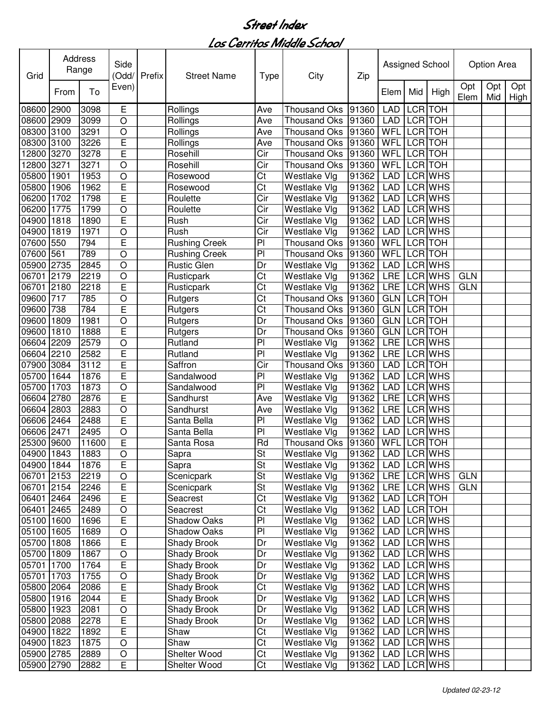| Grid       | Address | Range | Side<br>(Odd/  | Prefix | <b>Street Name</b>   | <b>Type</b>            | City                | Zip   |             |            | Assigned School |             | Option Area |                 |
|------------|---------|-------|----------------|--------|----------------------|------------------------|---------------------|-------|-------------|------------|-----------------|-------------|-------------|-----------------|
|            | From    | To    | Even)          |        |                      |                        |                     |       | Elem        | Mid        | High            | Opt<br>Elem | Opt         | Opt<br>Mid High |
| 08600      | 2900    | 3098  | Ε              |        | Rollings             | Ave                    | <b>Thousand Oks</b> | 91360 | <b>LAD</b>  | <b>LCR</b> | <b>TOH</b>      |             |             |                 |
| 08600      | 2909    | 3099  | $\circ$        |        | Rollings             | Ave                    | <b>Thousand Oks</b> | 91360 | <b>LAD</b>  |            | LCR TOH         |             |             |                 |
| 08300      | 3100    | 3291  | $\circ$        |        | Rollings             | Ave                    | <b>Thousand Oks</b> | 91360 | WFL         | <b>LCR</b> | <b>TOH</b>      |             |             |                 |
| 08300      | 3100    | 3226  | E              |        | Rollings             | Ave                    | <b>Thousand Oks</b> | 91360 | WFL         |            | LCR TOH         |             |             |                 |
| 12800      | 3270    | 3278  | E              |        | Rosehill             | Cir                    | <b>Thousand Oks</b> | 91360 | WFL         |            | LCR TOH         |             |             |                 |
| 12800      | 3271    | 3271  | $\circ$        |        | Rosehill             | Cir                    | <b>Thousand Oks</b> | 91360 | WFL         |            | LCR TOH         |             |             |                 |
| 05800      | 1901    | 1953  | $\circ$        |        | Rosewood             | Ct                     | Westlake Vlg        | 91362 | <b>LAD</b>  | <b>LCR</b> | <b>WHS</b>      |             |             |                 |
| 05800      | 1906    | 1962  | E              |        | Rosewood             | Ct                     | Westlake Vlg        | 91362 | <b>LAD</b>  |            | LCR WHS         |             |             |                 |
| 06200      | 1702    | 1798  | Ē              |        | Roulette             | Cir                    | Westlake Vlg        | 91362 | <b>LAD</b>  |            | LCR WHS         |             |             |                 |
| 06200      | 1775    | 1799  | $\circ$        |        | Roulette             | Cir                    | Westlake Vlg        | 91362 | <b>LAD</b>  |            | LCR WHS         |             |             |                 |
| 04900      | 1818    | 1890  | Ē              |        | Rush                 | Cir                    | Westlake Vlg        | 91362 | <b>LAD</b>  |            | LCR WHS         |             |             |                 |
| 04900      | 1819    | 1971  | $\circ$        |        | Rush                 | Cir                    | Westlake Vlg        | 91362 | <b>LAD</b>  |            | <b>LCR WHS</b>  |             |             |                 |
| 07600      | 550     | 794   | Ē              |        | <b>Rushing Creek</b> | PI                     | <b>Thousand Oks</b> | 91360 | WFL         |            | LCR TOH         |             |             |                 |
| 07600      | 561     | 789   | $\overline{O}$ |        | <b>Rushing Creek</b> | P <sub>1</sub>         | <b>Thousand Oks</b> | 91360 | WFL         |            | LCR TOH         |             |             |                 |
| 05900      | 2735    | 2845  | $\circ$        |        | <b>Rustic Glen</b>   | Dr                     | Westlake Vlg        | 91362 | <b>LAD</b>  |            | LCR WHS         |             |             |                 |
| 06701      | 2179    | 2219  | $\circ$        |        | Rusticpark           | $\overline{\text{Ct}}$ | Westlake Vlg        | 91362 | <b>LRE</b>  |            | <b>LCR WHS</b>  | <b>GLN</b>  |             |                 |
| 06701      | 2180    | 2218  | Ē              |        | Rusticpark           | $\overline{\text{Ct}}$ | Westlake Vlg        | 91362 | LRE         |            | LCR WHS         | <b>GLN</b>  |             |                 |
| 09600      | 717     | 785   | $\bigcirc$     |        | Rutgers              | Ct                     | <b>Thousand Oks</b> | 91360 | GLN         |            | <b>LCR</b> TOH  |             |             |                 |
| 09600      | 738     | 784   | E              |        | Rutgers              | Ct                     | <b>Thousand Oks</b> | 91360 | GLN         |            | <b>LCR</b> TOH  |             |             |                 |
| 09600      | 1809    | 1981  | $\circ$        |        | Rutgers              | Dr                     | <b>Thousand Oks</b> | 91360 | <b>GLN</b>  |            | <b>LCR</b> TOH  |             |             |                 |
| 09600      | 1810    | 1888  | Ē              |        | Rutgers              | Dr                     | <b>Thousand Oks</b> | 91360 | <b>GLN</b>  |            | <b>LCR</b> TOH  |             |             |                 |
| 06604      | 2209    | 2579  | $\circ$        |        | Rutland              | $\overline{P}$         | Westlake Vlg        | 91362 | <b>LRE</b>  |            | <b>LCR WHS</b>  |             |             |                 |
| 06604      | 2210    | 2582  | Ē              |        | Rutland              | $\overline{P}$         | Westlake Vlg        | 91362 | <b>LRE</b>  |            | <b>LCR WHS</b>  |             |             |                 |
| 07900      | 3084    | 3112  | Ē              |        | Saffron              | Cir                    | <b>Thousand Oks</b> | 91360 | <b>LAD</b>  |            | <b>LCR</b> TOH  |             |             |                 |
| 05700      | 1644    | 1876  | Ē              |        | Sandalwood           | $\overline{PI}$        | Westlake Vlg        | 91362 | <b>LAD</b>  |            | <b>LCR WHS</b>  |             |             |                 |
| 05700      | 1703    | 1873  | $\bigcirc$     |        | Sandalwood           | PI                     | Westlake Vlg        | 91362 | <b>LAD</b>  |            | LCR WHS         |             |             |                 |
| 06604      | 2780    | 2876  | Ē              |        | Sandhurst            | Ave                    | Westlake Vlg        | 91362 | LRE         |            | LCR WHS         |             |             |                 |
| 06604      | 2803    | 2883  | $\circ$        |        | Sandhurst            | Ave                    | Westlake Vlg        | 91362 | LRE         |            | <b>LCR WHS</b>  |             |             |                 |
| 06606      | 2464    | 2488  | E              |        | Santa Bella          | PI                     | Westlake Vlg        | 91362 | <b>LAD</b>  |            | <b>LCR WHS</b>  |             |             |                 |
| 06606      | 2471    | 2495  | $\circ$        |        | Santa Bella          | PI                     | Westlake Vlg        | 91362 | LAD         |            | LCR WHS         |             |             |                 |
| 25300      | 9600    | 11600 | E              |        | Santa Rosa           | Rd                     | <b>Thousand Oks</b> | 91360 | WFL         |            | LCR TOH         |             |             |                 |
| 04900 1843 |         | 1883  | O              |        | Sapra                | St                     | Westlake Vlg        | 91362 | LAD LCR WHS |            |                 |             |             |                 |
| 04900 1844 |         | 1876  | E              |        | Sapra                | St                     | Westlake Vlg        | 91362 | LAD         |            | LCR WHS         |             |             |                 |
| 06701 2153 |         | 2219  | $\bigcirc$     |        | Scenicpark           | St                     | Westlake Vlg        | 91362 | LRE         |            | LCR WHS         | <b>GLN</b>  |             |                 |
| 06701      | 2154    | 2246  | E              |        | Scenicpark           | St                     | Westlake Vlg        | 91362 | LRE         |            | LCR WHS         | <b>GLN</b>  |             |                 |
| 06401      | 2464    | 2496  | E              |        | Seacrest             | Ct                     | Westlake Vlg        | 91362 | LAD         |            | LCR TOH         |             |             |                 |
| 06401      | 2465    | 2489  | $\bigcirc$     |        | Seacrest             | Ct                     | Westlake Vlg        | 91362 | <b>LAD</b>  |            | LCR TOH         |             |             |                 |
| 05100 1600 |         | 1696  | E              |        | Shadow Oaks          | PI                     | Westlake Vlg        | 91362 | <b>LAD</b>  |            | LCR WHS         |             |             |                 |
| 05100 1605 |         | 1689  | $\bigcirc$     |        | <b>Shadow Oaks</b>   | PI                     | Westlake Vlg        | 91362 | <b>LAD</b>  |            | LCR WHS         |             |             |                 |
| 05700 1808 |         | 1866  | E              |        | Shady Brook          | Dr                     | Westlake Vlg        | 91362 | <b>LAD</b>  |            | LCR WHS         |             |             |                 |
| 05700 1809 |         | 1867  | $\bigcirc$     |        | Shady Brook          | Dr                     | Westlake Vlg        | 91362 | <b>LAD</b>  |            | LCR WHS         |             |             |                 |
| 05701      | 1700    | 1764  | Ē              |        | Shady Brook          | Dr                     | Westlake Vlg        | 91362 | LAD         |            | LCR WHS         |             |             |                 |
| 05701 1703 |         | 1755  | $\mathsf O$    |        | Shady Brook          | Dr                     | Westlake Vlg        | 91362 | LAD         |            | LCR WHS         |             |             |                 |
| 05800 2064 |         | 2086  | E              |        | Shady Brook          | Ct                     | Westlake Vlg        | 91362 | LAD         |            | LCR WHS         |             |             |                 |
| 05800 1916 |         | 2044  | E              |        | Shady Brook          | Dr                     | Westlake Vlg        | 91362 | LAD         |            | LCR WHS         |             |             |                 |
| 05800 1923 |         | 2081  | $\bigcirc$     |        | <b>Shady Brook</b>   | Dr                     | Westlake Vlg        | 91362 | LAD         |            | LCR WHS         |             |             |                 |
| 05800 2088 |         | 2278  | E              |        | <b>Shady Brook</b>   | Dr                     | Westlake Vlg        | 91362 | <b>LAD</b>  |            | LCR WHS         |             |             |                 |
| 04900 1822 |         | 1892  | E              |        | Shaw                 | Ct                     | Westlake Vlg        | 91362 | <b>LAD</b>  |            | LCR WHS         |             |             |                 |
| 04900 1823 |         | 1875  | $\circ$        |        | Shaw                 | Ct                     | Westlake Vlg        | 91362 | <b>LAD</b>  |            | LCR WHS         |             |             |                 |
| 05900 2785 |         | 2889  | O              |        | Shelter Wood         | Ct                     | Westlake Vlg        | 91362 | LAD         |            | LCR WHS         |             |             |                 |
| 05900 2790 |         | 2882  | E              |        | Shelter Wood         | Ct                     | <b>Westlake Vlg</b> | 91362 | <b>LAD</b>  |            | LCR WHS         |             |             |                 |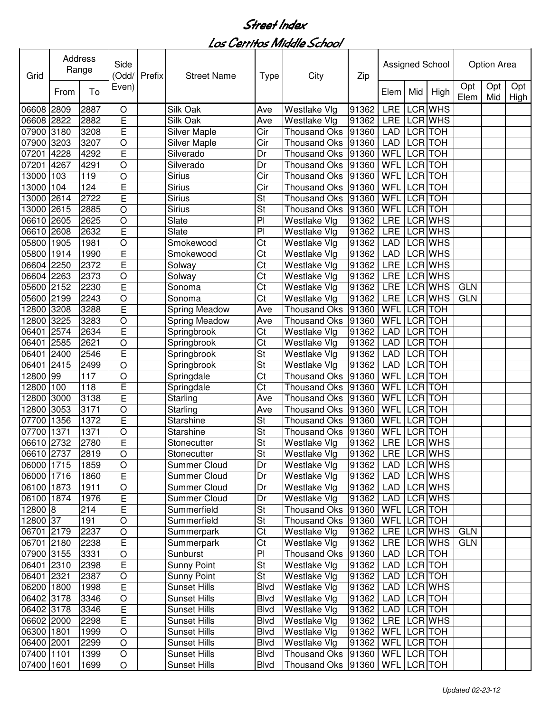| Grid       | Address         | Range             | Side<br>(Odd/  | Prefix | <b>Street Name</b>   | <b>Type</b>              | City                                   | Zip                   |             |            | Assigned School |             | <b>Option Area</b> |                 |
|------------|-----------------|-------------------|----------------|--------|----------------------|--------------------------|----------------------------------------|-----------------------|-------------|------------|-----------------|-------------|--------------------|-----------------|
|            | From            | To                | Even)          |        |                      |                          |                                        |                       | Elem        | Mid        | High            | Opt<br>Elem | Opt                | Opt<br>Mid High |
| 06608      | 2809            | 2887              | $\circ$        |        | Silk Oak             | Ave                      | Westlake Vlg                           | 91362                 | LRE         | <b>LCR</b> | <b>WHS</b>      |             |                    |                 |
| 06608      | 2822            | 2882              | E              |        | Silk Oak             | Ave                      | Westlake Vlg                           | 91362                 | <b>LRE</b>  |            | LCR WHS         |             |                    |                 |
| 07900      | 3180            | 3208              | E              |        | <b>Silver Maple</b>  | Cir                      | <b>Thousand Oks</b>                    | 91360                 | <b>LAD</b>  |            | LCR TOH         |             |                    |                 |
| 07900      | 3203            | 3207              | $\circ$        |        | <b>Silver Maple</b>  | Cir                      | <b>Thousand Oks</b>                    | 91360                 | <b>LAD</b>  |            | <b>LCR</b> TOH  |             |                    |                 |
| 07201      | 4228            | 4292              | E              |        | Silverado            | Dr                       | <b>Thousand Oks</b>                    | 91360                 | WFL         |            | <b>LCR</b> TOH  |             |                    |                 |
| 07201      | 4267            | 4291              | $\circ$        |        | Silverado            | Dr                       | <b>Thousand Oks</b>                    | 91360                 | WFL         |            | LCR TOH         |             |                    |                 |
| 13000      | 103             | 119               | $\circ$        |        | <b>Sirius</b>        | Cir                      | <b>Thousand Oks</b>                    | 91360                 | WFL         | <b>LCR</b> | <b>TOH</b>      |             |                    |                 |
| 13000      | 104             | 124               | E              |        | <b>Sirius</b>        | Cir                      | <b>Thousand Oks</b>                    | 91360                 | WFL         | <b>LCR</b> | <b>TOH</b>      |             |                    |                 |
| 13000      | 2614            | 2722              | Ē              |        | <b>Sirius</b>        | St                       | <b>Thousand Oks</b>                    | 91360                 | WFL         | <b>LCR</b> | <b>TOH</b>      |             |                    |                 |
| 13000      | 2615            | 2885              | $\circ$        |        | <b>Sirius</b>        | St                       | <b>Thousand Oks</b>                    | 91360                 | WFL         | <b>LCR</b> | <b>TOH</b>      |             |                    |                 |
| 06610      | 2605            | 2625              | $\circ$        |        | Slate                | PI                       | Westlake Vlg                           | 91362                 | LRE         |            | LCR WHS         |             |                    |                 |
| 06610      | 2608            | 2632              | Ē              |        | Slate                | PI                       | Westlake Vlg                           | 91362                 | <b>LRE</b>  |            | LCR WHS         |             |                    |                 |
| 05800      | 1905            | 1981              | $\overline{O}$ |        | Smokewood            | Ct                       | Westlake Vlg                           | 91362                 | LAD         |            | LCR WHS         |             |                    |                 |
| 05800      | 1914            | 1990              | E              |        | Smokewood            | Ct                       | Westlake Vlg                           | 91362                 | LAD         |            | <b>LCR</b> WHS  |             |                    |                 |
| 06604      | 2250            | 2372              | Ē              |        | Solway               | Ct                       | Westlake Vlg                           | 91362                 | LRE         |            | LCR WHS         |             |                    |                 |
| 06604      | 2263            | 2373              | $\circ$        |        | Solway               | $\overline{\text{Ct}}$   | Westlake Vlg                           | 91362                 | <b>LRE</b>  |            | LCR WHS         |             |                    |                 |
| 05600      | 2152            | 2230              | Ē              |        | Sonoma               | $\overline{\text{Ct}}$   | Westlake Vlg                           | 91362                 | <b>LRE</b>  |            | <b>LCR</b> WHS  | <b>GLN</b>  |                    |                 |
| 05600      | 2199            | 2243              | $\circ$        |        | Sonoma               | Ct                       | Westlake Vlg                           | 91362                 | <b>LRE</b>  |            | <b>LCR WHS</b>  | <b>GLN</b>  |                    |                 |
| 12800      | 3208            | 3288              | E              |        | Spring Meadow        | Ave                      | <b>Thousand Oks</b>                    | 91360                 | <b>WFL</b>  |            | <b>LCR</b> TOH  |             |                    |                 |
| 12800      | 3225            | 3283              | $\circ$        |        | <b>Spring Meadow</b> | Ave                      | <b>Thousand Oks</b>                    | 91360                 | WFL         |            | <b>LCR</b> TOH  |             |                    |                 |
| 06401      | 2574            | 2634              | E              |        | Springbrook          | Ct                       | Westlake Vlg                           | 91362                 | <b>LAD</b>  |            | <b>LCR</b> TOH  |             |                    |                 |
| 06401      | 2585            | 2621              | $\circ$        |        | Springbrook          | $\overline{\text{C}t}$   | Westlake Vlg                           | 91362                 | <b>LAD</b>  |            | <b>LCR TOH</b>  |             |                    |                 |
| 06401      | 2400            | 2546              | Ē              |        | Springbrook          | $\overline{\mathsf{St}}$ | Westlake Vlg                           | 91362                 | <b>LAD</b>  |            | <b>LCR TOH</b>  |             |                    |                 |
| 06401      | 2415            | 2499              | $\circ$        |        | Springbrook          | <b>St</b>                | Westlake Vlg                           | 91362                 | <b>LAD</b>  |            | <b>LCR</b> TOH  |             |                    |                 |
| 12800      | $\overline{99}$ | $\frac{117}{117}$ | $\circ$        |        | Springdale           | $\overline{\text{Ct}}$   | <b>Thousand Oks</b>                    | 91360                 | <b>WFL</b>  | <b>LCR</b> | <b>TOH</b>      |             |                    |                 |
| 12800      | 100             | 118               | E              |        | Springdale           | $\overline{\text{C}t}$   | <b>Thousand Oks</b>                    | 91360                 | WFL         | <b>LCR</b> | <b>TOH</b>      |             |                    |                 |
| 12800      | 3000            | 3138              | Ē              |        | Starling             | Ave                      | <b>Thousand Oks</b>                    | 91360                 | WFL         | <b>LCR</b> | <b>TOH</b>      |             |                    |                 |
| 12800      | 3053            | 3171              | $\circ$        |        | Starling             | Ave                      | <b>Thousand Oks</b>                    | 91360                 | WFL         | <b>LCR</b> | <b>TOH</b>      |             |                    |                 |
| 07700      | 1356            | 1372              | E              |        | <b>Starshine</b>     | St                       | <b>Thousand Oks</b>                    | 91360                 | WFL         |            | LCR TOH         |             |                    |                 |
| 07700      | 1371            | 1371              | O              |        | <b>Starshine</b>     | St                       | <b>Thousand Oks</b>                    | 91360                 | WFL         | <b>LCR</b> | <b>TOH</b>      |             |                    |                 |
| 06610      | 2732            | 2780              | E              |        | Stonecutter          | St                       | Westlake Vlg                           | 91362                 | <b>LRE</b>  |            | <b>LCR WHS</b>  |             |                    |                 |
| 06610 2737 |                 | 2819              | O              |        | Stonecutter          | St                       | Westlake Vlg                           | 91362   LRE   LCR WHS |             |            |                 |             |                    |                 |
| 06000 1715 |                 | 1859              | O              |        | Summer Cloud         | Dr                       | Westlake Vlg                           | 91362                 |             |            | LAD LCR WHS     |             |                    |                 |
| 06000 1716 |                 | 1860              | $\mathsf E$    |        | Summer Cloud         | Dr                       | Westlake Vlg                           | 91362                 |             |            | LAD LCR WHS     |             |                    |                 |
| 06100 1873 |                 | 1911              | O              |        | Summer Cloud         | Dr                       | Westlake Vlg                           | 91362                 |             |            | LAD LCR WHS     |             |                    |                 |
| 06100 1874 |                 | 1976              | E              |        | Summer Cloud         | Dr                       | Westlake Vlg                           | 91362                 |             |            | LAD LCR WHS     |             |                    |                 |
| $12800$ 8  |                 | 214               | E              |        | Summerfield          | St                       | Thousand Oks 91360                     |                       | WFL LCR TOH |            |                 |             |                    |                 |
| 12800 37   |                 | 191               | $\circ$        |        | Summerfield          | St                       | Thousand Oks 91360                     |                       | WFL LCR TOH |            |                 |             |                    |                 |
| 06701 2179 |                 | 2237              | $\circ$        |        | Summerpark           | Ct                       | Westlake Vlg                           | 91362                 | LRE LCRWHS  |            |                 | <b>GLN</b>  |                    |                 |
| 06701 2180 |                 | 2238              | $\mathsf E$    |        | Summerpark           | Ct                       | Westlake Vlg                           | 91362                 | LRE LCRWHS  |            |                 | <b>GLN</b>  |                    |                 |
| 07900 3155 |                 | 3331              | $\circ$        |        | Sunburst             | PI                       | Thousand Oks   91360                   |                       | LAD LCR TOH |            |                 |             |                    |                 |
| 06401 2310 |                 | 2398              | $\overline{E}$ |        | <b>Sunny Point</b>   | St                       | Westlake Vlg                           | 91362                 | LAD LCR TOH |            |                 |             |                    |                 |
| 06401 2321 |                 | 2387              | O              |        | <b>Sunny Point</b>   | <b>St</b>                | Westlake Vlg                           | 91362                 | LAD LCR TOH |            |                 |             |                    |                 |
| 06200 1800 |                 | 1998              | E              |        | <b>Sunset Hills</b>  | <b>Blvd</b>              | Westlake Vlg                           | 91362                 |             |            | LAD LCR WHS     |             |                    |                 |
| 06402 3178 |                 | 3346              | $\bigcirc$     |        | <b>Sunset Hills</b>  | <b>Blvd</b>              | Westlake Vlg                           | 91362                 | LAD LCR TOH |            |                 |             |                    |                 |
| 06402 3178 |                 | 3346              | E              |        | <b>Sunset Hills</b>  | <b>Blvd</b>              | Westlake Vlg                           | 91362                 | LAD LCR TOH |            |                 |             |                    |                 |
| 06602 2000 |                 | 2298              | $\overline{E}$ |        | <b>Sunset Hills</b>  | <b>Blvd</b>              | Westlake Vlg                           | 91362                 |             |            | LRE LCR WHS     |             |                    |                 |
| 06300 1801 |                 | 1999              | $\bigcirc$     |        | <b>Sunset Hills</b>  | <b>Blvd</b>              | Westlake Vlg                           | 91362                 | WFL LCR TOH |            |                 |             |                    |                 |
| 06400 2001 |                 | 2299              | O              |        | <b>Sunset Hills</b>  | <b>Blvd</b>              | Westlake Vlg                           | 91362                 | WFL LCR TOH |            |                 |             |                    |                 |
| 07400 1101 |                 | 1399              | O              |        | <b>Sunset Hills</b>  | <b>Blvd</b>              | Thousand Oks   91360                   |                       | WFL LCR TOH |            |                 |             |                    |                 |
| 07400 1601 |                 | 1699              | $\circ$        |        | <b>Sunset Hills</b>  | <b>Blvd</b>              | Thousand Oks   91360   WFL   LCR   TOH |                       |             |            |                 |             |                    |                 |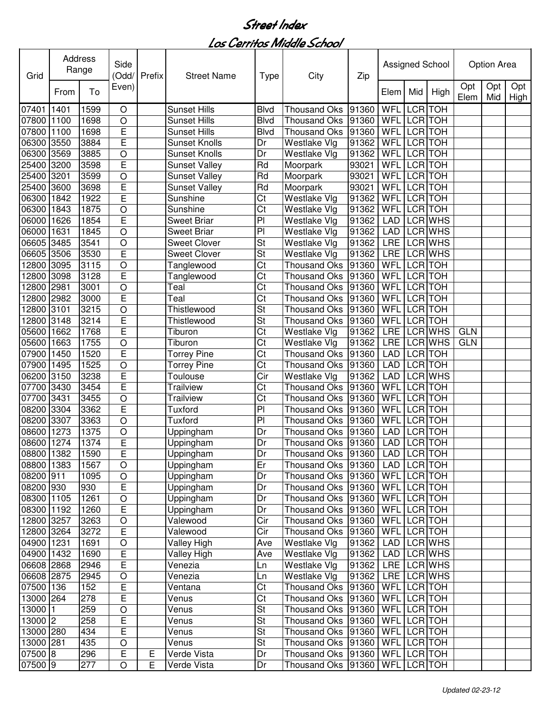| Grid       | Address | Range | Side<br>(Odd/  | Prefix | <b>Street Name</b>   | <b>Type</b>              | City                 | Zip   |             |                | Assigned School |             | Option Area |                    |
|------------|---------|-------|----------------|--------|----------------------|--------------------------|----------------------|-------|-------------|----------------|-----------------|-------------|-------------|--------------------|
|            | From    | To    | Even)          |        |                      |                          |                      |       | Elem        | Mid            | High            | Opt<br>Elem | Opt<br>Mid  | Opt<br><b>High</b> |
| 07401      | 1401    | 1599  | $\circ$        |        | <b>Sunset Hills</b>  | <b>Blvd</b>              | <b>Thousand Oks</b>  | 91360 | WFL         | <b>LCR</b>     | <b>TOH</b>      |             |             |                    |
| 07800      | 1100    | 1698  | $\circ$        |        | <b>Sunset Hills</b>  | <b>Blvd</b>              | <b>Thousand Oks</b>  | 91360 | WFL         | <b>LCR</b>     | <b>TOH</b>      |             |             |                    |
| 07800      | 1100    | 1698  | E              |        | <b>Sunset Hills</b>  | <b>Blvd</b>              | <b>Thousand Oks</b>  | 91360 | WFL         | <b>LCR</b>     | <b>TOH</b>      |             |             |                    |
| 06300      | 3550    | 3884  | Ē              |        | <b>Sunset Knolls</b> | Dr                       | Westlake Vlg         | 91362 | <b>WFL</b>  | LCR TOH        |                 |             |             |                    |
| 06300      | 3569    | 3885  | $\circ$        |        | <b>Sunset Knolls</b> | Dr                       | Westlake Vlg         | 91362 | WFL         | LCR TOH        |                 |             |             |                    |
| 25400      | 3200    | 3598  | E              |        | <b>Sunset Valley</b> | Rd                       | Moorpark             | 93021 | WFL         | <b>LCR</b>     | <b>TOH</b>      |             |             |                    |
| 25400      | 3201    | 3599  | $\circ$        |        | <b>Sunset Valley</b> | Rd                       | Moorpark             | 93021 | WFL         | <b>LCR</b>     | <b>TOH</b>      |             |             |                    |
| 25400      | 3600    | 3698  | Ē              |        | <b>Sunset Valley</b> | Rd                       | Moorpark             | 93021 | <b>WFL</b>  | <b>LCR</b>     | <b>TOH</b>      |             |             |                    |
| 06300      | 1842    | 1922  | Ē              |        | Sunshine             | Ct                       | Westlake Vlg         | 91362 | WFL         | <b>LCR</b>     | <b>TOH</b>      |             |             |                    |
| 06300      | 1843    | 1875  | $\circ$        |        | Sunshine             | Ct                       | Westlake Vlg         | 91362 | WFL         | LCR TOH        |                 |             |             |                    |
| 06000      | 1626    | 1854  | Ē              |        | <b>Sweet Briar</b>   | PI                       | Westlake Vlg         | 91362 | <b>LAD</b>  |                | LCR WHS         |             |             |                    |
| 06000      | 1631    | 1845  | $\circ$        |        | <b>Sweet Briar</b>   | PI                       | Westlake Vlg         | 91362 | <b>LAD</b>  |                | LCR WHS         |             |             |                    |
| 06605      | 3485    | 3541  | $\circ$        |        | <b>Sweet Clover</b>  | St                       | Westlake Vlg         | 91362 | <b>LRE</b>  |                | <b>LCR WHS</b>  |             |             |                    |
| 06605      | 3506    | 3530  | Ē              |        | <b>Sweet Clover</b>  | St                       | Westlake Vlg         | 91362 | <b>LRE</b>  |                | LCR WHS         |             |             |                    |
| 12800      | 3095    | 3115  | $\circ$        |        | Tanglewood           | Ct                       | <b>Thousand Oks</b>  | 91360 | WFL         | LCR TOH        |                 |             |             |                    |
| 12800      | 3098    | 3128  | Ē              |        | Tanglewood           | $\overline{\text{Ct}}$   | <b>Thousand Oks</b>  | 91360 | WFL         | LCR TOH        |                 |             |             |                    |
| 12800      | 2981    | 3001  | $\circ$        |        | Teal                 | Ct                       | <b>Thousand Oks</b>  | 91360 | <b>WFL</b>  | <b>LCR</b> TOH |                 |             |             |                    |
| 12800      | 2982    | 3000  | E              |        | Teal                 | Ct                       | <b>Thousand Oks</b>  | 91360 | WFL         | <b>LCR</b> TOH |                 |             |             |                    |
| 12800      | 3101    | 3215  | $\circ$        |        | Thistlewood          | St                       | <b>Thousand Oks</b>  | 91360 | WFL         | <b>LCR</b> TOH |                 |             |             |                    |
| 12800      | 3148    | 3214  | E              |        | Thistlewood          | St                       | <b>Thousand Oks</b>  | 91360 | <b>WFL</b>  | <b>LCR</b>     | <b>TOH</b>      |             |             |                    |
| 05600      | 1662    | 1768  | Ē              |        | Tiburon              | $\overline{\text{C}t}$   | Westlake Vlg         | 91362 | <b>LRE</b>  |                | <b>LCR WHS</b>  | <b>GLN</b>  |             |                    |
| 05600      | 1663    | 1755  | $\circ$        |        | Tiburon              | $\overline{\text{Ct}}$   | Westlake Vlg         | 91362 | <b>LRE</b>  |                | <b>LCR WHS</b>  | <b>GLN</b>  |             |                    |
| 07900      | 1450    | 1520  | Ē              |        | <b>Torrey Pine</b>   | $\overline{\text{C}t}$   | <b>Thousand Oks</b>  | 91360 | <b>LAD</b>  | <b>LCR</b> TOH |                 |             |             |                    |
| 07900      | 1495    | 1525  | $\overline{O}$ |        | <b>Torrey Pine</b>   | $\overline{\text{Ct}}$   | <b>Thousand Oks</b>  | 91360 | <b>LAD</b>  | <b>LCR</b> TOH |                 |             |             |                    |
| 06200      | 3150    | 3238  | E              |        | Toulouse             | $\overline{\text{Cir}}$  | Westlake Vlg         | 91362 | <b>LAD</b>  |                | <b>LCR WHS</b>  |             |             |                    |
| 07700      | 3430    | 3454  | Ē              |        | <b>Trailview</b>     | Ct                       | <b>Thousand Oks</b>  | 91360 | WFL         | LCR TOH        |                 |             |             |                    |
| 07700      | 3431    | 3455  | $\circ$        |        | <b>Trailview</b>     | Ct                       | <b>Thousand Oks</b>  | 91360 | WFL         | <b>LCR</b>     | <b>TOH</b>      |             |             |                    |
| 08200      | 3304    | 3362  | E              |        | Tuxford              | PI                       | <b>Thousand Oks</b>  | 91360 | WFL         | LCR TOH        |                 |             |             |                    |
| 08200      | 3307    | 3363  | $\circ$        |        | Tuxford              | PI                       | <b>Thousand Oks</b>  | 91360 | WFL         |                | LCR TOH         |             |             |                    |
| 08600      | 1273    | 1375  | O              |        | Uppingham            | Dr                       | <b>Thousand Oks</b>  | 91360 | LAD         |                | LCR TOH         |             |             |                    |
| 08600      | 1274    | 1374  | E              |        | Uppingham            | Dr                       | Thousand Oks         | 91360 | <b>LAD</b>  | LCR TOH        |                 |             |             |                    |
| 08800 1382 |         | 1590  | E              |        | Uppingham            | Dr                       | Thousand Oks   91360 |       | LAD LCR TOH |                |                 |             |             |                    |
| 08800 1383 |         | 1567  | $\circ$        |        | Uppingham            | Er                       | Thousand Oks 91360   |       | LAD         |                | LCR TOH         |             |             |                    |
| 08200 911  |         | 1095  | $\bigcirc$     |        | Uppingham            | Dr                       | Thousand Oks 91360   |       | <b>WFL</b>  |                | LCR TOH         |             |             |                    |
| 08200 930  |         | 930   | E              |        | Uppingham            | Dr                       | Thousand Oks 91360   |       | <b>WFL</b>  | LCR TOH        |                 |             |             |                    |
| 08300 1105 |         | 1261  | $\bigcirc$     |        | Uppingham            | Dr                       | <b>Thousand Oks</b>  | 91360 | <b>WFL</b>  | LCR TOH        |                 |             |             |                    |
| 08300 1192 |         | 1260  | E              |        | Uppingham            | Dr                       | Thousand Oks         | 91360 | <b>WFL</b>  | LCR TOH        |                 |             |             |                    |
| 12800 3257 |         | 3263  | $\bigcirc$     |        | Valewood             | Cir                      | <b>Thousand Oks</b>  | 91360 | <b>WFL</b>  | LCR TOH        |                 |             |             |                    |
| 12800 3264 |         | 3272  | E              |        | Valewood             | Cir                      | Thousand Oks         | 91360 | <b>WFL</b>  | LCR TOH        |                 |             |             |                    |
| 04900 1231 |         | 1691  | $\bigcirc$     |        | Valley High          | Ave                      | Westlake Vlg         | 91362 | LAD         |                | LCR WHS         |             |             |                    |
| 04900 1432 |         | 1690  | E              |        |                      |                          |                      |       | LAD         |                | LCR WHS         |             |             |                    |
|            |         |       | E              |        | Valley High          | Ave                      | Westlake Vlg         | 91362 | LRE         |                | <b>LCR WHS</b>  |             |             |                    |
| 06608 2868 |         | 2946  |                |        | Venezia              | Ln                       | Westlake Vlg         | 91362 |             |                |                 |             |             |                    |
| 06608 2875 |         | 2945  | $\bigcirc$     |        | Venezia              | Ln                       | Westlake Vlg         | 91362 | <b>LRE</b>  |                | LCR WHS         |             |             |                    |
| 07500 136  |         | 152   | E              |        | Ventana              | Ct                       | <b>Thousand Oks</b>  | 91360 | <b>WFL</b>  |                | LCR TOH         |             |             |                    |
| 13000      | 264     | 278   | E              |        | Venus                | $\overline{\text{C}t}$   | Thousand Oks         | 91360 | <b>WFL</b>  |                | LCR TOH         |             |             |                    |
| 13000      | 1       | 259   | $\bigcirc$     |        | Venus                | St                       | Thousand Oks         | 91360 | <b>WFL</b>  |                | LCR TOH         |             |             |                    |
| 13000 2    |         | 258   | E              |        | Venus                | $\overline{\mathsf{St}}$ | <b>Thousand Oks</b>  | 91360 | WFL LCR TOH |                |                 |             |             |                    |
| 13000 280  |         | 434   | E              |        | Venus                | St                       | Thousand Oks 91360   |       | WFL LCR TOH |                |                 |             |             |                    |
| 13000 281  |         | 435   | $\bigcirc$     |        | Venus                | $\overline{\mathsf{St}}$ | Thousand Oks 91360   |       | WFL LCR TOH |                |                 |             |             |                    |
| 07500 8    |         | 296   | E              | Ε      | Verde Vista          | Dr                       | Thousand Oks 91360   |       | WFL LCR TOH |                |                 |             |             |                    |
| 07500 9    |         | 277   | $\bigcirc$     | E      | Verde Vista          | Dr                       | Thousand Oks 91360   |       | WFL LCR TOH |                |                 |             |             |                    |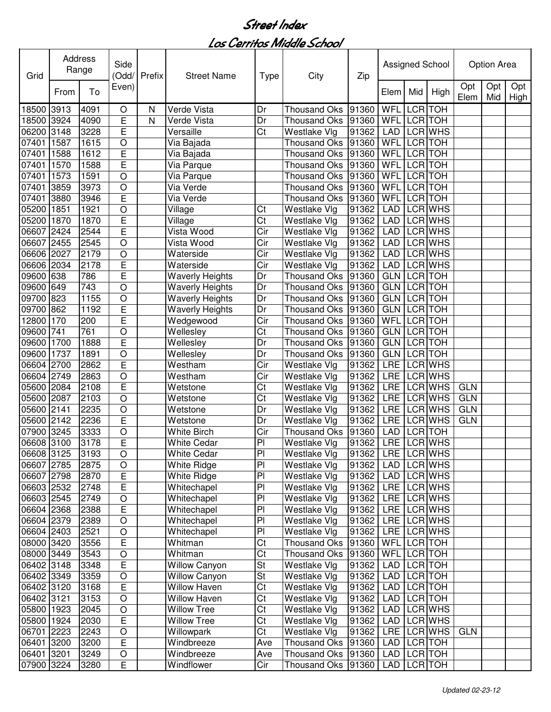| Grid       |      | Address<br>Range | Side<br>(Odd/  | Prefix       | <b>Street Name</b>     | <b>Type</b>              | City                | Zip                   |             |                | Assigned School |             | Option Area |             |
|------------|------|------------------|----------------|--------------|------------------------|--------------------------|---------------------|-----------------------|-------------|----------------|-----------------|-------------|-------------|-------------|
|            | From | To               | Even)          |              |                        |                          |                     |                       | Elem        | Mid            | High            | Opt<br>Elem | Opt<br>Mid  | Opt<br>High |
| 18500      | 3913 | 4091             | O              | $\mathsf{N}$ | Verde Vista            | Dr                       | <b>Thousand Oks</b> | 91360                 | WFL         | <b>LCR</b>     | <b>TOH</b>      |             |             |             |
| 18500      | 3924 | 4090             | E              | N            | Verde Vista            | Dr                       | <b>Thousand Oks</b> | 91360                 | WFL         |                | LCR TOH         |             |             |             |
| 06200      | 3148 | 3228             | E              |              | Versaille              | Ct                       | Westlake Vlg        | 91362                 | <b>LAD</b>  |                | LCR WHS         |             |             |             |
| 07401      | 1587 | 1615             | $\circ$        |              | Via Bajada             |                          | <b>Thousand Oks</b> | 91360                 | WFL         |                | LCR TOH         |             |             |             |
| 07401      | 1588 | 1612             | E              |              | Via Bajada             |                          | <b>Thousand Oks</b> | 91360                 | WFL         |                | <b>LCR</b> TOH  |             |             |             |
| 07401      | 1570 | 1588             | Ē              |              | Via Parque             |                          | Thousand Oks        | 91360                 | WFL         | LCR TOH        |                 |             |             |             |
| 07401      | 1573 | 1591             | $\overline{O}$ |              | Via Parque             |                          | Thousand Oks        | 91360                 | WFL         | <b>LCR</b> TOH |                 |             |             |             |
| 07401      | 3859 | 3973             | $\circ$        |              | Via Verde              |                          | Thousand Oks        | 91360                 | WFL         | <b>LCR</b>     | <b>TOH</b>      |             |             |             |
| 07401      | 3880 | 3946             | Ē              |              | Via Verde              |                          | <b>Thousand Oks</b> | 91360                 | WFL         |                | LCR TOH         |             |             |             |
| 05200      | 1851 | 1921             | $\circ$        |              | Village                | Ct                       | Westlake Vlg        | 91362                 | <b>LAD</b>  |                | LCR WHS         |             |             |             |
| 05200      | 1870 | 1870             | Ē              |              | Village                | Ct                       | Westlake Vlg        | 91362                 | <b>LAD</b>  |                | LCR WHS         |             |             |             |
| 06607      | 2424 | 2544             | Ē              |              | Vista Wood             | Cir                      | Westlake Vlg        | 91362                 | <b>LAD</b>  |                | <b>LCR WHS</b>  |             |             |             |
| 06607      | 2455 | 2545             | $\circ$        |              | Vista Wood             | Cir                      | Westlake Vlg        | 91362                 | <b>LAD</b>  |                | LCR WHS         |             |             |             |
| 06606      | 2027 | 2179             | $\circ$        |              | Waterside              | Cir                      | Westlake Vlg        | 91362                 | <b>LAD</b>  |                | <b>LCR WHS</b>  |             |             |             |
| 06606      | 2034 | 2178             | E              |              | Waterside              | Cir                      | Westlake Vlg        | 91362                 | <b>LAD</b>  |                | LCR WHS         |             |             |             |
| 09600      | 638  | 786              | E              |              | <b>Waverly Heights</b> | Dr                       | <b>Thousand Oks</b> | 91360                 | GLN         |                | <b>LCR</b> TOH  |             |             |             |
| 09600      | 649  | 743              | $\circ$        |              | <b>Waverly Heights</b> | Dr                       | <b>Thousand Oks</b> | 91360                 | GLN         | <b>LCR TOH</b> |                 |             |             |             |
| 09700      | 823  | 1155             | $\circ$        |              | <b>Waverly Heights</b> | Dr                       | <b>Thousand Oks</b> | 91360                 | GLN         |                | <b>LCR</b> TOH  |             |             |             |
| 09700      | 862  | 1192             | E              |              | <b>Waverly Heights</b> | Dr                       | <b>Thousand Oks</b> | 91360                 | <b>GLN</b>  | <b>LCR</b> TOH |                 |             |             |             |
| 12800      | 170  | 200              | E              |              | Wedgewood              | $\overline{\text{Cir}}$  | <b>Thousand Oks</b> | 91360                 | <b>WFL</b>  |                | <b>LCR TOH</b>  |             |             |             |
| 09600      | 741  | 761              | $\circ$        |              | Wellesley              | $\overline{\text{Ct}}$   | <b>Thousand Oks</b> | 91360                 | <b>GLN</b>  | <b>LCR</b> TOH |                 |             |             |             |
| 09600      | 1700 | 1888             | Ē              |              | Wellesley              | Dr                       | <b>Thousand Oks</b> | 91360                 | <b>GLN</b>  | <b>LCR</b> TOH |                 |             |             |             |
| 09600      | 1737 | 1891             | $\overline{O}$ |              | Wellesley              | $\overline{\mathsf{Dr}}$ | <b>Thousand Oks</b> | 91360                 | <b>GLN</b>  |                | <b>LCR</b> TOH  |             |             |             |
| 06604      | 2700 | 2862             | E              |              | Westham                | $\overline{\text{Cir}}$  | Westlake Vlg        | 91362                 | <b>LRE</b>  |                | <b>LCR WHS</b>  |             |             |             |
| 06604      | 2749 | 2863             | $\circ$        |              | Westham                | Cir                      | Westlake Vlg        | 91362                 | <b>LRE</b>  |                | <b>LCR WHS</b>  |             |             |             |
| 05600      | 2084 | 2108             | E              |              | Wetstone               | Ct                       | Westlake Vlg        | 91362                 | <b>LRE</b>  |                | LCR WHS         | <b>GLN</b>  |             |             |
| 05600      | 2087 | 2103             | $\circ$        |              | Wetstone               | Ct                       | Westlake Vlg        | 91362                 | <b>LRE</b>  |                | LCR WHS         | <b>GLN</b>  |             |             |
| 05600      | 2141 | 2235             | O              |              | Wetstone               | Dr                       | Westlake Vlg        | 91362                 | <b>LRE</b>  |                | LCR WHS         | <b>GLN</b>  |             |             |
| 05600      | 2142 | 2236             | E              |              | Wetstone               | Dr                       | Westlake Vlg        | 91362                 | <b>LRE</b>  |                | LCR WHS         | <b>GLN</b>  |             |             |
| 07900      | 3245 | 3333             | O              |              | White Birch            | Cir                      | <b>Thousand Oks</b> | 91360                 | <b>LAD</b>  |                | LCR TOH         |             |             |             |
| 06608 3100 |      | 3178             | E              |              | <b>White Cedar</b>     | PI                       | Westlake Vlg        | 91362                 | LRE         |                | LCR WHS         |             |             |             |
| 06608 3125 |      | 3193             | O              |              | <b>White Cedar</b>     | P <sub>1</sub>           | Westlake Vlg        | 91362   LRE   LCR WHS |             |                |                 |             |             |             |
| 06607 2785 |      | 2875             | O              |              | White Ridge            | PI                       | Westlake Vlg        | 91362                 | LAD         |                | LCR WHS         |             |             |             |
| 06607 2798 |      | 2870             | $\mathsf E$    |              | White Ridge            | P <sub>1</sub>           | Westlake Vlg        | 91362                 | <b>LAD</b>  |                | LCR WHS         |             |             |             |
| 06603 2532 |      | 2748             | E              |              | Whitechapel            | PI                       | Westlake Vlg        | 91362                 |             |                | LRE LCR WHS     |             |             |             |
| 06603 2545 |      | 2749             | $\bigcirc$     |              | Whitechapel            | PI                       | Westlake Vlg        | 91362                 |             |                | LRE LCR WHS     |             |             |             |
| 06604 2368 |      | 2388             | E              |              | Whitechapel            | PI                       | Westlake Vlg        | 91362                 | <b>LRE</b>  |                | LCR WHS         |             |             |             |
| 06604 2379 |      | 2389             | $\circ$        |              | Whitechapel            | PI                       | Westlake Vlg        | 91362                 |             |                | LRE LCR WHS     |             |             |             |
| 06604 2403 |      | 2521             | $\bigcirc$     |              | Whitechapel            | PI                       | Westlake Vlg        | 91362                 |             |                | LRE LCR WHS     |             |             |             |
| 08000 3420 |      | 3556             | E              |              | Whitman                | Ct                       | Thousand Oks 91360  |                       | WFL LCR TOH |                |                 |             |             |             |
| 08000 3449 |      | 3543             | $\mathsf O$    |              | Whitman                | $\overline{\text{C}t}$   | Thousand Oks 91360  |                       | WFL LCR TOH |                |                 |             |             |             |
| 06402 3148 |      | 3348             | E              |              | <b>Willow Canyon</b>   | <b>St</b>                | Westlake Vlg        | 91362                 | LAD         |                | LCR TOH         |             |             |             |
| 06402 3349 |      | 3359             | $\bigcirc$     |              | <b>Willow Canyon</b>   | <b>St</b>                | Westlake Vlg        | 91362                 | LAD         |                | LCR TOH         |             |             |             |
| 06402 3120 |      | 3168             | E              |              | Willow Haven           | Ct                       | Westlake Vlg        | 91362                 | LAD         |                | LCR TOH         |             |             |             |
| 06402 3121 |      | 3153             | $\circ$        |              | Willow Haven           | Ct                       | Westlake Vlg        | 91362                 | LAD         |                | LCR TOH         |             |             |             |
| 05800 1923 |      | 2045             | $\bigcirc$     |              | Willow Tree            | Ct                       | Westlake Vlg        | 91362                 | LAD         |                | LCR WHS         |             |             |             |
| 05800 1924 |      | 2030             | E              |              | <b>Willow Tree</b>     | Ct                       | Westlake Vlg        | 91362                 | LAD         |                | LCR WHS         |             |             |             |
| 06701 2223 |      | 2243             | $\bigcirc$     |              | Willowpark             | $\overline{\text{C}t}$   | Westlake Vlg        | 91362                 |             |                | LRE LCR WHS     | <b>GLN</b>  |             |             |
| 06401      | 3200 | 3200             | E              |              | Windbreeze             | Ave                      | Thousand Oks 91360  |                       | <b>LAD</b>  |                | LCR TOH         |             |             |             |
| 06401      | 3201 | 3249             | O              |              | Windbreeze             | Ave                      | Thousand Oks 91360  |                       | LAD LCR TOH |                |                 |             |             |             |
| 07900 3224 |      | 3280             | E              |              | Windflower             | Cir                      | Thousand Oks 91360  |                       | LAD         |                | LCR TOH         |             |             |             |